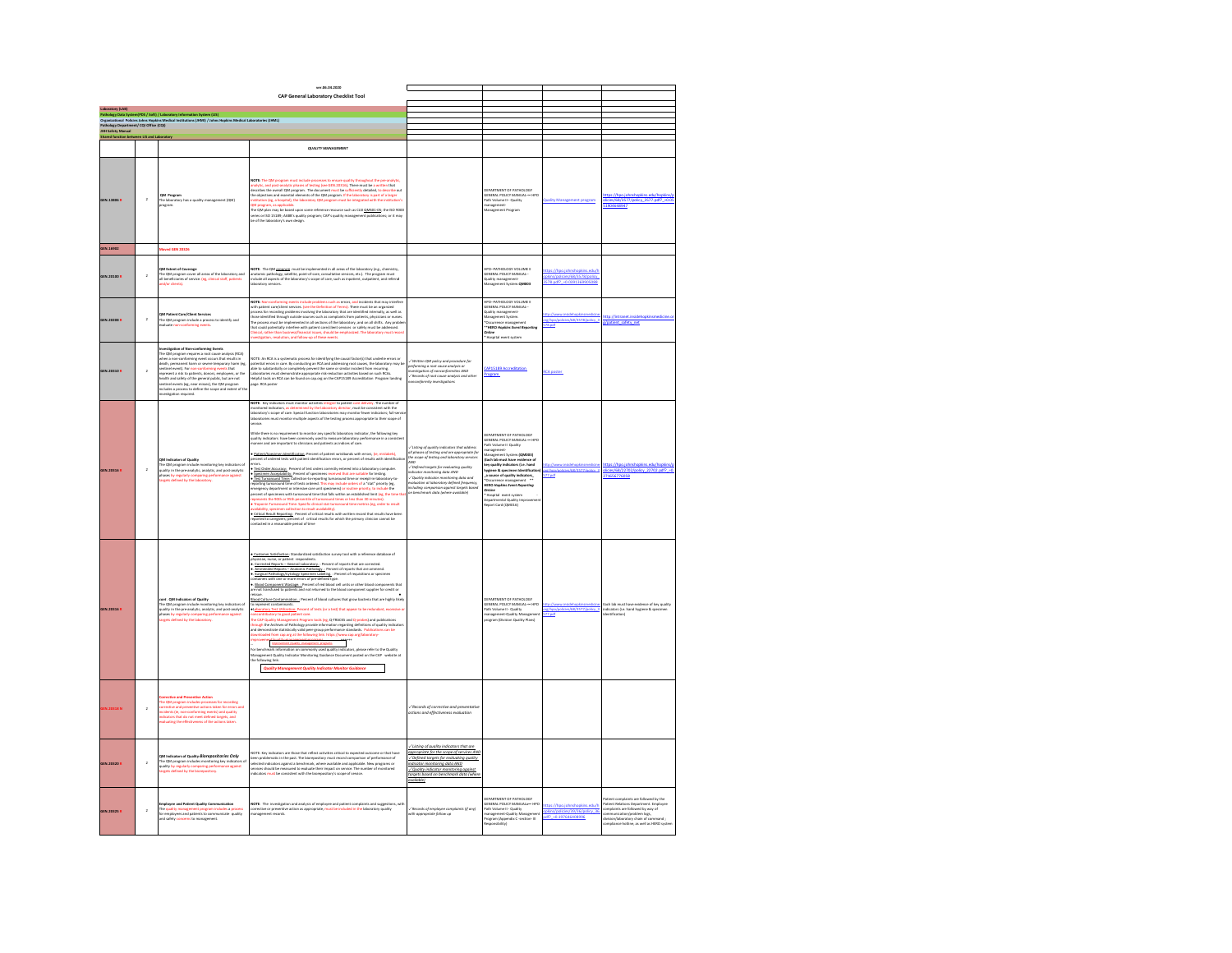|                                                  |                 |                                                                                                                                                                                                                                                                                                                                                                                                                                                                                                                                                                   | ver.06.04.2020<br>CAP General Laboratory Checklist Tool                                                                                                                                                                                                                                                                                                                                                                                                                                                                                                                                                                                                                                                                                                                                                                                                                                                                                                                                                                                                                                                                                                                                                                                                                                                                                                                                                                                                                                                                                                                                                                                                                                                                                                             |                                                                                                                                                                                                                                                                                                                                                                                                                                                                                        |                                                                                                                                                                                                                                                                                                                                                                                 |                                                                                    |                                                                                                                                                                                                                                                  |
|--------------------------------------------------|-----------------|-------------------------------------------------------------------------------------------------------------------------------------------------------------------------------------------------------------------------------------------------------------------------------------------------------------------------------------------------------------------------------------------------------------------------------------------------------------------------------------------------------------------------------------------------------------------|---------------------------------------------------------------------------------------------------------------------------------------------------------------------------------------------------------------------------------------------------------------------------------------------------------------------------------------------------------------------------------------------------------------------------------------------------------------------------------------------------------------------------------------------------------------------------------------------------------------------------------------------------------------------------------------------------------------------------------------------------------------------------------------------------------------------------------------------------------------------------------------------------------------------------------------------------------------------------------------------------------------------------------------------------------------------------------------------------------------------------------------------------------------------------------------------------------------------------------------------------------------------------------------------------------------------------------------------------------------------------------------------------------------------------------------------------------------------------------------------------------------------------------------------------------------------------------------------------------------------------------------------------------------------------------------------------------------------------------------------------------------------|----------------------------------------------------------------------------------------------------------------------------------------------------------------------------------------------------------------------------------------------------------------------------------------------------------------------------------------------------------------------------------------------------------------------------------------------------------------------------------------|---------------------------------------------------------------------------------------------------------------------------------------------------------------------------------------------------------------------------------------------------------------------------------------------------------------------------------------------------------------------------------|------------------------------------------------------------------------------------|--------------------------------------------------------------------------------------------------------------------------------------------------------------------------------------------------------------------------------------------------|
|                                                  |                 |                                                                                                                                                                                                                                                                                                                                                                                                                                                                                                                                                                   |                                                                                                                                                                                                                                                                                                                                                                                                                                                                                                                                                                                                                                                                                                                                                                                                                                                                                                                                                                                                                                                                                                                                                                                                                                                                                                                                                                                                                                                                                                                                                                                                                                                                                                                                                                     |                                                                                                                                                                                                                                                                                                                                                                                                                                                                                        |                                                                                                                                                                                                                                                                                                                                                                                 |                                                                                    |                                                                                                                                                                                                                                                  |
|                                                  |                 | Lacomony (1999)<br>Pathology Data System(PDS / Soft) / Laboratory Information System (L13)<br>Diganizational Policies Johns Hopkins Medical Institutions (JHMI) / Johns Hopkins Medical Laboratories (JHML)<br>Pathology Department/ CQ                                                                                                                                                                                                                                                                                                                           |                                                                                                                                                                                                                                                                                                                                                                                                                                                                                                                                                                                                                                                                                                                                                                                                                                                                                                                                                                                                                                                                                                                                                                                                                                                                                                                                                                                                                                                                                                                                                                                                                                                                                                                                                                     |                                                                                                                                                                                                                                                                                                                                                                                                                                                                                        |                                                                                                                                                                                                                                                                                                                                                                                 |                                                                                    |                                                                                                                                                                                                                                                  |
|                                                  |                 |                                                                                                                                                                                                                                                                                                                                                                                                                                                                                                                                                                   |                                                                                                                                                                                                                                                                                                                                                                                                                                                                                                                                                                                                                                                                                                                                                                                                                                                                                                                                                                                                                                                                                                                                                                                                                                                                                                                                                                                                                                                                                                                                                                                                                                                                                                                                                                     |                                                                                                                                                                                                                                                                                                                                                                                                                                                                                        |                                                                                                                                                                                                                                                                                                                                                                                 |                                                                                    |                                                                                                                                                                                                                                                  |
| <b>JHH Safety Manual</b><br>Shared function betw | een LtS and Lab |                                                                                                                                                                                                                                                                                                                                                                                                                                                                                                                                                                   |                                                                                                                                                                                                                                                                                                                                                                                                                                                                                                                                                                                                                                                                                                                                                                                                                                                                                                                                                                                                                                                                                                                                                                                                                                                                                                                                                                                                                                                                                                                                                                                                                                                                                                                                                                     |                                                                                                                                                                                                                                                                                                                                                                                                                                                                                        |                                                                                                                                                                                                                                                                                                                                                                                 |                                                                                    |                                                                                                                                                                                                                                                  |
|                                                  |                 |                                                                                                                                                                                                                                                                                                                                                                                                                                                                                                                                                                   | <b>QUALITY MANAGEMENT</b>                                                                                                                                                                                                                                                                                                                                                                                                                                                                                                                                                                                                                                                                                                                                                                                                                                                                                                                                                                                                                                                                                                                                                                                                                                                                                                                                                                                                                                                                                                                                                                                                                                                                                                                                           |                                                                                                                                                                                                                                                                                                                                                                                                                                                                                        |                                                                                                                                                                                                                                                                                                                                                                                 |                                                                                    |                                                                                                                                                                                                                                                  |
| GEN.13806 R                                      | $\,$ $\,$       | QM Program<br>he laboratory has a quality management (QM)<br>irogram.                                                                                                                                                                                                                                                                                                                                                                                                                                                                                             | <b>NOTE:</b> The QM program must include processes to ensure quality throughout the pre-analysis,<br>analysis, and gost-analysis phases of sextres and comparisons, These must be a unities the control of<br>describes the owerd QM prog<br>Line Program, as apparation.<br>The QM plan may be based upon some reference resource such as CLSI <u>OMS01-05;</u> the ISO 9000<br>series or ISO 15180; AABB's quality program; CAP's quality management publications; or it may<br>be of t                                                                                                                                                                                                                                                                                                                                                                                                                                                                                                                                                                                                                                                                                                                                                                                                                                                                                                                                                                                                                                                                                                                                                                                                                                                                           |                                                                                                                                                                                                                                                                                                                                                                                                                                                                                        | DEPARTMENT OF PATHOLOGY<br>GENERAL POLICY MANUAL --- I<br>Path Volume II -- Quality<br>Management<br>Management Program<br>HRO                                                                                                                                                                                                                                                  |                                                                                    | cies/68/3577/po<br>904648947                                                                                                                                                                                                                     |
| GEN.16902                                        |                 | toved GEN 20326                                                                                                                                                                                                                                                                                                                                                                                                                                                                                                                                                   |                                                                                                                                                                                                                                                                                                                                                                                                                                                                                                                                                                                                                                                                                                                                                                                                                                                                                                                                                                                                                                                                                                                                                                                                                                                                                                                                                                                                                                                                                                                                                                                                                                                                                                                                                                     |                                                                                                                                                                                                                                                                                                                                                                                                                                                                                        |                                                                                                                                                                                                                                                                                                                                                                                 |                                                                                    |                                                                                                                                                                                                                                                  |
| GEN.20100 P                                      | $\bar{2}$       | <b>QM Extent of Coverage</b><br>The QM program cover all areas of the laboratory and<br>ill beneficiaries of service. (eg, clinical staff, patients<br>ind/or clients).                                                                                                                                                                                                                                                                                                                                                                                           | <b>NOTE:</b> The QM <u>program</u> must be implemented in all areas of the laboratory (e.g., chemistry,<br>instonic pathology, satellite, point-of-care, consultative services, etc.). The program must<br>eclude all appects of the laborator                                                                                                                                                                                                                                                                                                                                                                                                                                                                                                                                                                                                                                                                                                                                                                                                                                                                                                                                                                                                                                                                                                                                                                                                                                                                                                                                                                                                                                                                                                                      |                                                                                                                                                                                                                                                                                                                                                                                                                                                                                        | -<br>PO-PATHOLOGY VOLUME II<br>JENERAL POLICY MANUAL-<br><b>Juality management-</b><br>Aanagement System. <b>QM003</b>                                                                                                                                                                                                                                                          | ps://hpo.johi<br>kins/policies/68/3578/policy<br>3578.pdf? = 0.0391369905088       |                                                                                                                                                                                                                                                  |
| GEN.20208 R                                      | $\overline{a}$  | QM Patient Care/Client Services<br>The QM program include a process to identify and<br>ivaluate non-conforming events.                                                                                                                                                                                                                                                                                                                                                                                                                                            | <b>XOTE:</b> Non-conforming events include problems such as errors, and incidents that may interfere<br>with patient care/client services. (see the Definition of Terms). There must be an organized<br>VOTE: Non-ci<br>wen put<br>into a complete the second particle and the control of the second state<br>process for recording problems involving the inboxeriery that are included the<br>proximation of the second matrix of the second particle in the<br>itigation, resolution, and follow-up of these events                                                                                                                                                                                                                                                                                                                                                                                                                                                                                                                                                                                                                                                                                                                                                                                                                                                                                                                                                                                                                                                                                                                                                                                                                                              |                                                                                                                                                                                                                                                                                                                                                                                                                                                                                        | PO-PATHOLOGY VOLUME II<br>GENERAL POLICY MANUAL-<br>baility management-<br>Aanagement System.<br><b>Occurrence management<br/>*HERO Hopkins Event Rep</b><br>lise<br>Hospital event system                                                                                                                                                                                      | re/hpo/policies/68/3578/policy 3<br>78.pdf                                         | tp://intranet.in<br>/patient_safety_net                                                                                                                                                                                                          |
| GEN 20310 B                                      | $\overline{2}$  | mestigation of Non-conforming Events<br>The CM program requires a root cause analysis (RCA)<br>when a non-conforming event occurs that results in<br>death, permanent harm or severe temporary harm (eg,<br>sertinel event). For non-confo<br>reresent a risk to patients, donors, employees, or the<br>species in a max to paramity, boxinics, will progress to:<br>realth and safety of the general public, but are not<br>entinel events (eg, near misses), the QM program<br>ncludes a process to define the scope and extent of the<br>vistization required. | NOTE: An RCA is a systematic process for identifying the causal factor(s) that underlie errors or<br>potential errors in case. By conducting an RCA and addressing root causes, the laboratory may be<br>able to substantially or co<br>are, RCA poster                                                                                                                                                                                                                                                                                                                                                                                                                                                                                                                                                                                                                                                                                                                                                                                                                                                                                                                                                                                                                                                                                                                                                                                                                                                                                                                                                                                                                                                                                                             | -/Written QM policy and procedure for<br>performing a root cause analysis or<br>investigation of nonconformibles AND<br>-/Records of root cause analysis and other<br>nonconformity investigations                                                                                                                                                                                                                                                                                     | AP15189 Accreditation<br>rogram                                                                                                                                                                                                                                                                                                                                                 | <b>CA</b> noster                                                                   |                                                                                                                                                                                                                                                  |
| GEN.20316 R                                      | $\overline{2}$  | hases by regularly comparing p<br>reets defined by the laboratory                                                                                                                                                                                                                                                                                                                                                                                                                                                                                                 | NOTE: Key indicators must monitor activities integral to patient care delivery. The number of<br>monitored indicators, as determined by the laboratory director, must be consistent with the<br>aboratory's scope of care. Special function laboratories may monitor fewer indicators; full-servic<br>aboratories must monitor multiple aspects of the testing process appropriate to their scope of<br>inice.<br>While there is no requirement to monitor any specific laboratory indicator, the following<br>quality indicators have been commonly used to measure laboratory performance in a cor<br>manner and are important to clinicians and pat<br>ing key<br>Patient/Specimen Identification: Percent of patient wristbands with errors, (ie, m<br>ercent of ordered tests with patient identification errors, or percent of results with identificatio<br>tors.<br><br>• <u>Test Order Accuracy:</u> Percent of test orders correctly entered into a laboratory computer.<br><b>* Specimen Acceptability:</b> Percent of specimens received that are suitable for testing.<br>• Test Turnaround Time: Collection-to-reporting turnaround time or receipt-in-laboratory-to-<br>reporting turnaround time of tests order<br>mergency department or intensive care unit specimens) or routine priority, to include the<br>excess of specimens with furnaround time that fails within an established limit (eg. the time the<br>epresents the 90th or 93th percent<br>men collect<br>Infidelieve tluere of no<br>Chitical Result Reporting: Percent of critical results with written record that results have been<br>reported to caregivers; percent of critical results for which the primary clinician cannot be<br>entacted in a reasonable period of time | $\checkmark$ Listing of quality indicators that address<br>all phases of testing and are appropriate for<br>the scope of testing and laboratory services<br>ann<br>$\overline{a}$<br>---<br>/ Defined targets for evaluating quality<br>relicator monitoring data AND<br>indicator monitoring data AND<br>-⁄ Quality indicator monitoring data and<br>evaluation at laboratory defined frequency,<br>including comparison against targets based<br>on benchmark data (where available) | .<br>JEPARTMENT OF PATHOLOGY<br>JENERAL POLICY MANUAL --- HPO<br>nanagement system.(Concors)<br>Each lab must have evidence o<br>ay quality indicators (i.e. hand<br>ygiene & specimen Identificati<br>source of quality indicators<br>ERO Hookins Event Rep<br><b>Incine</b><br>Hospital event system<br>nospital wwite syssen<br>ipartmental Quality Ir<br>iport Card (QM016) | dicies/68/3577/policy                                                              | tos://hoo.johnshookins.edu/hook<br>icies/68/22702/policy_22702.pdf? -<br>11656776058                                                                                                                                                             |
| GEN.20316 P                                      |                 | nt . QM Indicators of Quality<br>he QM program include monitoring key indicators o<br>uality in the pre-analytic, analytic, and post-analytic<br>hases by regularly comparing perform<br>argets defined by the laboratory.<br>nance against                                                                                                                                                                                                                                                                                                                       | ndardized satisfaction survey tool with a reference database of<br>Customer Satisfaction: Sta<br>hysician, nurse, or patient respondents.<br><u>- Corrected Reports -- General Laboratory.</u> : Percent of reports that are corrected.<br>» <u>Connetial Manottic - Gamest Laboratory</u> , <sup>Thercent of reports that are corrected.<br/>• <u>Ammended Basects - Academic Pathology,</u> "Persent of regents that are ammend.<br/>• Surgical Pathology: Constants Cascimina Laboratory Perc</sup><br>col Culture Contamination Percent of blood cultures that grow bacteria that are highly likely<br><b>EDOS Charles constantinum</b> . Performance various various temperature in the reductions, exercise or<br>the response of constantinum constant and the constant of the state of the reductions, exercise or<br>the CaP Quality Managem<br>Ľ.<br><b>Example: International South - meagement -southers</b><br>benchmark information on commenty used quality indicators, please refer to the Quality<br>nagement Quality indicator Monitoring Guidance Document posted on the CAP web<br>foll<br>Quality Management Quality Indicator Monitor Guidance                                                                                                                                                                                                                                                                                                                                                                                                                                                                                                                                                                                                |                                                                                                                                                                                                                                                                                                                                                                                                                                                                                        | EPARTMENT OF PATHOLOGY<br>AFFANL POLICY MANUAL--- HPO<br>JENERAL POLICY MANUAL--- HPO<br>Vath Volume II - Quality<br>program (Division Quality Plans)<br>program (Division Quality Plans)                                                                                                                                                                                       | t <u>o://www.insidehopkinsmedicine</u><br>@/hpo/policies/68/3577/policy_3<br>7.646 | of key quality<br>lach lab must have evidence of key<br>ndicators (i.e. hand hygiene & spe<br>dentification)                                                                                                                                     |
| EN.20318 N                                       | $\overline{2}$  | tive and Preventive Action<br>Corrective and Praventhee Action<br>The CM program includes processes for seconding<br>corrective and preventive actions taken for errors and<br>noidents (ie, non-conforming events) and quality<br>noidenters that do not meet defined t                                                                                                                                                                                                                                                                                          |                                                                                                                                                                                                                                                                                                                                                                                                                                                                                                                                                                                                                                                                                                                                                                                                                                                                                                                                                                                                                                                                                                                                                                                                                                                                                                                                                                                                                                                                                                                                                                                                                                                                                                                                                                     | /Records of corrective and preventative<br>actions and effectiveness evaluation                                                                                                                                                                                                                                                                                                                                                                                                        |                                                                                                                                                                                                                                                                                                                                                                                 |                                                                                    |                                                                                                                                                                                                                                                  |
| GEN.20320 R                                      | $\overline{2}$  | QM Indicators of Quality- <i>Blorepositories Only</i><br>The QM program indudes monitoring key indicators of<br>quality by regularly comparing performance against<br>targets defined by the biorepository.                                                                                                                                                                                                                                                                                                                                                       | NOTE: Key indicators are those that reflect activities critical to expected outcome or that have<br>been problematic in the past. The biompository must record comparison of performance of<br>serioces should be measured to evalua                                                                                                                                                                                                                                                                                                                                                                                                                                                                                                                                                                                                                                                                                                                                                                                                                                                                                                                                                                                                                                                                                                                                                                                                                                                                                                                                                                                                                                                                                                                                | Listing of quality indicators that are<br>oppropriate for the scope of services AND<br>/ Defined targets for evaluating quality<br>ndicator monitoring data AND<br>√ Quality indicator monitoring against<br>torgets based on benchmark data (where<br>ailable)                                                                                                                                                                                                                        |                                                                                                                                                                                                                                                                                                                                                                                 |                                                                                    |                                                                                                                                                                                                                                                  |
| GEN.20325 R                                      | $\overline{a}$  | The quality management program includes a process<br>for employees and patients to communicate quality<br>and safety concerns to management.                                                                                                                                                                                                                                                                                                                                                                                                                      | wurst: The Investigation and analysis of employee and patient complaints and suggestion<br>conective or preventive action as appropriate, must be included in the laboratory quality<br>nanagement records.                                                                                                                                                                                                                                                                                                                                                                                                                                                                                                                                                                                                                                                                                                                                                                                                                                                                                                                                                                                                                                                                                                                                                                                                                                                                                                                                                                                                                                                                                                                                                         | 'Records of employee complaints (if any)<br>ith appropriate follow up                                                                                                                                                                                                                                                                                                                                                                                                                  | FRASTMENT OF RATHOLOGY<br>SEPARTMENT OF PATHOLOGY<br>SENERAL POLICY MANUALaw-HPC<br>Vath Volume II - Quality<br>Management-Quality Managemen<br>Yogyam (Apperdix C -section- III<br>Tropyam (Apperdix C -section- III<br>sibility)                                                                                                                                              | tps://hpo.johnshopkins.edu/t<br>pkins/policies/39/36/pc<br>df? -0.197646408996     | Patient complaints are followed by the<br>Patient Relations Department. Employee<br>complaints are followed by way of<br>communication/groblem logs,<br>division/laboratory chain of command ;<br>division/laboratory chain of command ;<br>comp |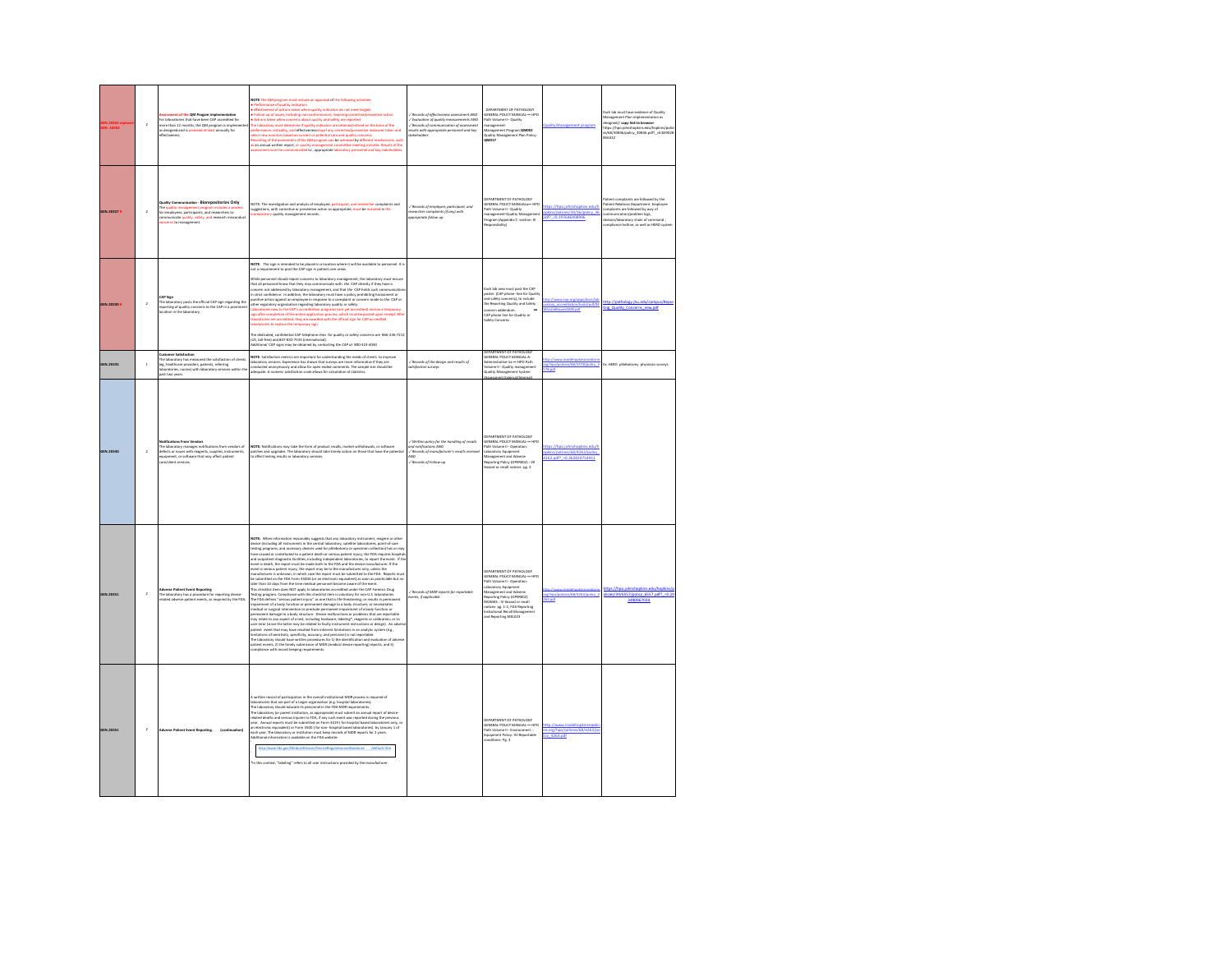|             | $\,$ 2 $\,$             | ent of the QM Progam Implementation<br>For laboratories that have been CAP accredited for<br>note than 12 months, the QM program is implem<br>is incomed and is assessed at least annually for<br>is designed and is <sup>ass</sup><br>distinguished | Efectiveness of actions taken when quality indicators do not meet targets<br>Follow-up of issues, including non-conformances, requiring corrective/preve<br>ntive action<br>Actions taken when concerns about quality and safety are reported<br>laboratory must determine if quality indicators are retained/retired on the basis of the<br>mance, criticality, and effectivenessmay of any corrective/prevention measures taken and<br>sew monitors based on current or potential care and quality concerns.<br>rew monitors based on current or potential care and quality con<br>asures taken and<br>nunicated to, appropriate laboratory personnel and key stake<br>int must be co                                                                                                                                                                                                                                                                                                                                                                                                                                                                                                                                                                                                                                                                                                                                                                                                                                                                                                                                                               | / Records of effectiveness assessment AND<br>Evaluation of quality measurements AND<br>/ Records of communication of assessment<br>riulti with appropriate perio<br>nel and key<br>tokaholder | DEPARTMENT OF PATHOLOGY<br>GENERAL POLICY MANUAL-HPO<br>ath Volume II- Quality<br>management-<br>Management Program.QM002<br>Quality Management Plan Policy<br>-<br>MO17                                                                                                                                | <b>Juality Management program</b>                                           | ach lab must have evidence of Quality<br>Management Plan implementation as<br>.<br>https://hpa.johnshopkins.edu/ho<br>https://hpa.johnshopkins.edu/ho<br>rebookins adulteratins/redi<br>v/68/30846/policy_30846.pdf?_=0.829028       |
|-------------|-------------------------|------------------------------------------------------------------------------------------------------------------------------------------------------------------------------------------------------------------------------------------------------|-------------------------------------------------------------------------------------------------------------------------------------------------------------------------------------------------------------------------------------------------------------------------------------------------------------------------------------------------------------------------------------------------------------------------------------------------------------------------------------------------------------------------------------------------------------------------------------------------------------------------------------------------------------------------------------------------------------------------------------------------------------------------------------------------------------------------------------------------------------------------------------------------------------------------------------------------------------------------------------------------------------------------------------------------------------------------------------------------------------------------------------------------------------------------------------------------------------------------------------------------------------------------------------------------------------------------------------------------------------------------------------------------------------------------------------------------------------------------------------------------------------------------------------------------------------------------------------------------------------------------------------------------------|-----------------------------------------------------------------------------------------------------------------------------------------------------------------------------------------------|---------------------------------------------------------------------------------------------------------------------------------------------------------------------------------------------------------------------------------------------------------------------------------------------------------|-----------------------------------------------------------------------------|--------------------------------------------------------------------------------------------------------------------------------------------------------------------------------------------------------------------------------------|
| GEN.20327 P | $\overline{2}$          | ation - Biorepositories Only<br>ity C<br>be quality management pro<br>for employees, participants, and researchers to<br>nmunicate quality, safety, and research mis<br><mark>cerns</mark> to management.                                            | OTE: The investigation and analysis of employee, participant, and n<br>cher complaints and<br>uggestions, with corrective or preventive action as appropriate, must be included in the<br><mark>iorepository q</mark> uality management records.                                                                                                                                                                                                                                                                                                                                                                                                                                                                                                                                                                                                                                                                                                                                                                                                                                                                                                                                                                                                                                                                                                                                                                                                                                                                                                                                                                                                      | .<br>/ Records of employee, participant, and<br>esearcher complaints (if any) with<br>propriate follow up                                                                                     | DERARTMENT OF RATHOLOGY<br>:<br>SENERAL POLICY MANUALa— НР<br>hth Volume II - Quality<br>anagement-Quality Manag<br>Program (Appendix C -section- III<br>cnsibility)                                                                                                                                    | licies/39/36/policy 3<br>df? -0.197646408996                                | atient complaints are followed by the<br>atient Relations Department. Employe<br>omplaints are followed by way of<br>ommunication/problem logs,<br>division/laboratory chain of command;<br>ompliance hotline, as well as HERO syste |
| SEN.20330 P | $\overline{\mathbf{2}}$ | AP Sign<br>he laboratory posts the official CAP sign regarding the<br>eporting of quality concerns to the CAP in a pro<br>cation in the laboratory.                                                                                                  | VOTE: The sign is intended to be placed in a location where it will be available to personnel. It is<br>ent to post the CAP sign in patient care areas.<br>ot a repui<br>While personnel should report concerns to laboratory management, the laboratory must ensure<br>While personnel should report concerns to take other and person of the bideostopy must ensure the simulation of the state of the state of the state of the state of the state of the state of the state of the state of the s<br>gn after completion of the online application process, which must be posted upon receipt. Afte<br>iboratories are accredited, they are awarded with the official sign for CAP-accredited<br>oratories to replace the temporary sign.<br>he dedicated, confidential CAP telephone lines for quality or safety concerns are 866-236-7212<br>ne aeasceles, commental CAP teleprone lines for quality or savey concerns a<br>US, toll-free) and 847-832-7533 (international).<br>Idditional CAP signs may be obtained by contacting the CAP at 800-323-4040                                                                                                                                                                                                                                                                                                                                                                                                                                                                                                                                                                                      |                                                                                                                                                                                               | Each lab area must post the CAP<br>soster, (CAP phone -line for Qualit<br>and safety concerns), to include<br>the Reporting Quality and Safety<br>concern addendum<br>40 nhone line for Orality or<br>afety Concerns                                                                                    | ww.cap.org/apps/docs/lab<br>atory_accreditation/build/pdf/l<br><b>N.pdf</b> | http://pathology.jhu.edu/car<br>ing Quality Concerns new.odf                                                                                                                                                                         |
| GEN.20335   | $\overline{1}$          | ustomer Satisfact<br>The laboratory has measured the satisfaction of clients<br>(eg, healthcare providers, patients, referring<br>aboratories, nurses) with laboratory services within th<br>ast two years                                           | NOTE: Satisfaction metrics are important for understanding the needs of clients to improve<br>aboratory services. Experience has shown that surveys are more informative if they are<br>onducted anonymously and allow for open ended comments. The sample size should be<br>dequate. A numeric satisfaction scale allows for calculation of statistics.                                                                                                                                                                                                                                                                                                                                                                                                                                                                                                                                                                                                                                                                                                                                                                                                                                                                                                                                                                                                                                                                                                                                                                                                                                                                                              | / Records of the design and results of<br>etisfaction surveys                                                                                                                                 | ARTMENT OF PATHOLO<br>GENERAL POLICY MANUAL-A-<br>dministrative-1a ~~ HPO Path<br><b>Jolume II - Quality manager</b><br><b>Staling Manager</b><br><b>Dent System</b>                                                                                                                                    | rg/hpo/policies/68/3578/policy_3<br>78.pdf                                  | Ex. HERO phlebotomy physician surveys                                                                                                                                                                                                |
| GEN.20340   | $\overline{2}$          | otifications From Vendors<br>he laboratory manages notifications from vendors of<br>efects or issues with reagents, supplies, instruments,<br>quipment, or software that may affect patient<br>are/client services.                                  | TE: Notifications may take the form of product recalls, market withdrawals, or softw<br>hes and upgrades. The laboratory should take timely action on those that have the pot<br>to affect testing results or laboratory services.                                                                                                                                                                                                                                                                                                                                                                                                                                                                                                                                                                                                                                                                                                                                                                                                                                                                                                                                                                                                                                                                                                                                                                                                                                                                                                                                                                                                                    | in policy for the handling of recolls<br>ind notifications AND<br>/ Records of manufacturer's recolls rece<br>/ Records of Follow-up                                                          | DERARTMENT OF RATHOLOGY<br>:<br>ENERAL POLICY MANUAL<br>Path Volume II - Operation<br>boratory Equipment<br>Management and Adverse<br><b>Neporting Policy (OPERDO2): VII</b><br>lazard or recall notices- pg. 3                                                                                         | es/68/4263/policy<br>263.pdf? - 0.363824754911                              |                                                                                                                                                                                                                                      |
| IEN.20351   | $\,$ 2 $\,$             | se Patient Event Repo<br>ratory has a procedure for reporting de<br>elated adverse patient events, as required by the FDA.                                                                                                                           | <b>NOTE:</b> When information reasonably suggests that any laboratory instrument, reagent or other<br>divide (including all instruments in the central laboratory, satellite laboratories, point-of-care<br>lesting programs, and accesso<br>and outpatient diagnostic facilities, including independent laboratories, to report the event. If th<br>event is death, the report must be made both to the FDA and the device manufacturer. If the<br>vent is serious patient injury, the report may be to the manufacturer only, unless the<br>enufacturer is unknown, in which case the report must be submitted to the FDA. Reports mu<br>constants are uncommunic materials are reported to an experimental or our substitute of the BDA Porm 3500A (pran electronic equivalent) as soon as practicable but no<br>atter than 10 days from the time medical personed become<br>The FDA defines "serious patient injury" as one that is life threatening; or results in permane<br>impairment of a body function or permanent damage to a body structure; or necessitates<br>vedical or surgical intervention to preclude permanent impairment of a body function or<br>vestale or supprais interestion to precisels permanent imparment of a Body heution or<br>servated of supportion of the property of the computation of the property of the supportable<br>pay relate to any apact of a less, includin<br>he laboratory should have written procedures for 1) the identification and evaluation of advers<br>atient events, 2) the timely submission of MDR (medical device reporting) reports, and 3)<br>moliance with record keeping requirem | ds of MDR reports for reportable<br>nts, if applicable                                                                                                                                        | DEPARTMENT OF PATHOLOGY<br><b>SENERAL DOLLOY MANUAL Je HDC</b><br>uth Volume II - Operation<br>aboratory Equipment<br>fanagement and Adr<br>leporting Policy (OPER002)<br><b>NASMAS : IV Hazard or recall</b><br>otices- pg. 1-2, FDA Reporting<br>nsttutional Recall Managemen<br>ind Reporting MEL023 | Ho. 631                                                                     | olicy 6557.<br>3490967034                                                                                                                                                                                                            |
| GEN.20351   | $\overline{a}$          | <b>Adverse Patient Event Reporting.</b><br>(contin                                                                                                                                                                                                   | vritten record of participation in the ownall institutional MDR process is required of<br>A written record of participation in the oweal institutional MOR process is required of<br>Haborabories that are part of a larger organization (e.g. hospital laboratories)<br>The laboratory should educate its personnel in the IF<br>an electronic equivalent) or Form 3500 ( for non- hospital based laboratories) by January 1 of<br>each year. The laboratory or institution must keep records of MDR reports for 2 years.<br>dditional information is available on the FDA website:<br>http:/www.fda.gov/MedicalDevices/DeviceR<br>ionandGuidance /default.htm<br>In this context, "labeling" refers to all user instructions provided by the manufacturer.                                                                                                                                                                                                                                                                                                                                                                                                                                                                                                                                                                                                                                                                                                                                                                                                                                                                                          |                                                                                                                                                                                               | <b>FRASTMENT OF RATHOLOGY</b><br>ENERAL POLICY MANUAL - HPC<br>ath Volume II - Environment ::<br>Equipment Policy: VII Reportable<br>nditions-Pg. 3                                                                                                                                                     | e.org/hpo/policies/68/4263/p<br>cy 4263.pdf                                 |                                                                                                                                                                                                                                      |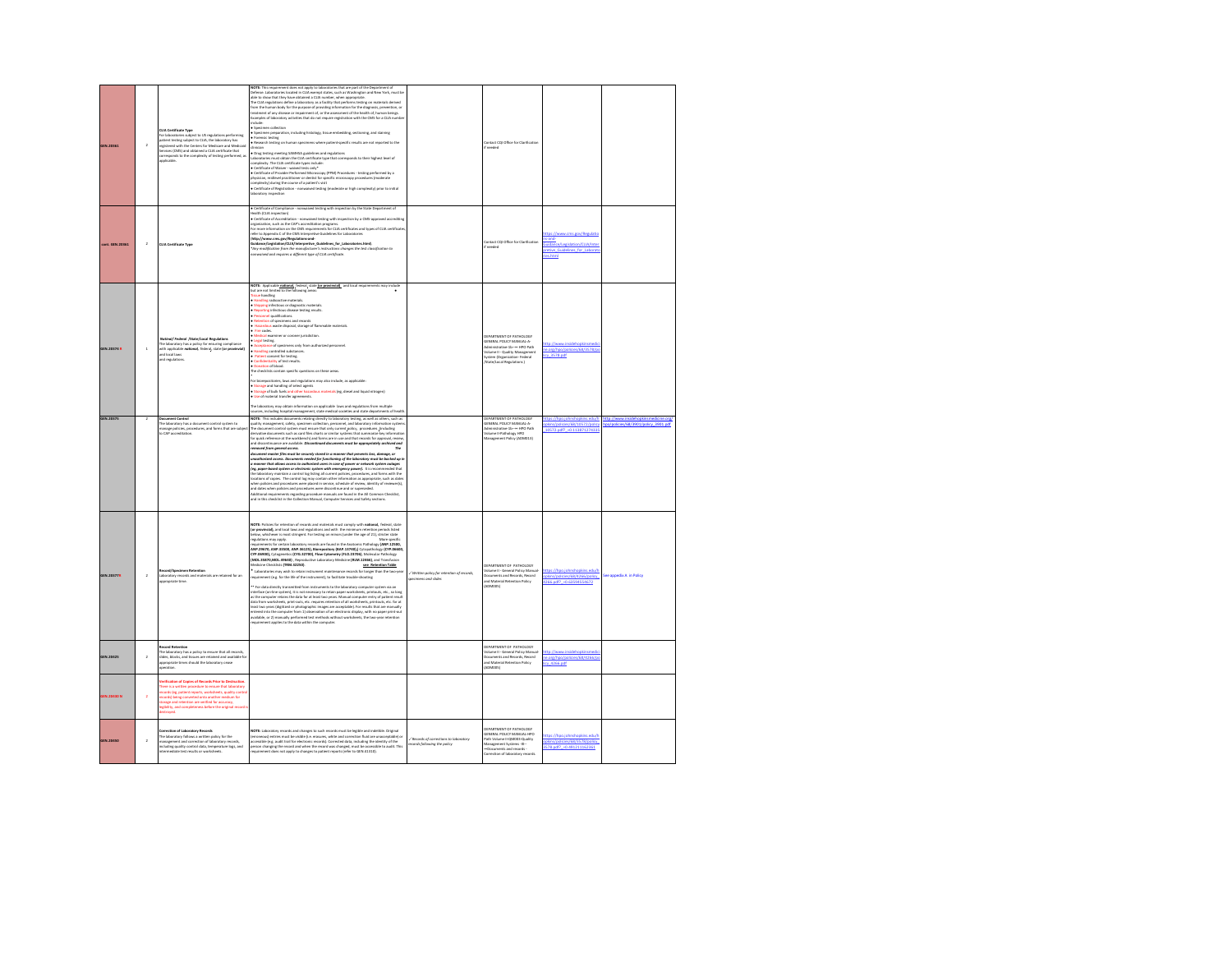| GEN.20361         | $\overline{2}$ | CLIA Certificate Type<br>For laboratories subject to US regulations performing<br>patient testing subject to CLIA, the laboratory has<br>registered with the Centers for Medicare and Medicald<br>Services (CMS) and obtained a CLIA certificate that<br>corresponds to the complexity of testing performed, a<br>applicable.                   | VOTE: This requirement does not apply to laboratories that are part of the Department of<br>Defense. Laboratories located in CLIA exempt states, such as Washington and New York, must be<br>able to show that they have obtained a CLIA number, when appropriate.<br>The CLIA regulations define a laboratory as a facility that performs testing on materials derived<br>.<br>Irom the human body for the purpose of providing information for the diagnosis, prevention, or<br>treatment of any disease or impairment of, or the assessment of the health of, human beines.<br>Examples of laboratory activities that do not require registration with the CMS for a CLIA numb<br>winnie<br>Specimen collection<br>Specimen preparation, including histology, tissue embedding, sectioning, and staining<br>· Forensic testing<br>Research testing on human specimens where patient-specific results are not reported to the<br>Drug testing meeting SAMHSA guidelines and regulations<br>Laboratories must obtain the CLIA certificate type that corresponds to their highest level of<br>omplexity. The CLIA certificate types include:<br>compressory, : me CuIA Chromane vysee wavaser.<br>• Certificate of Waiver - waived tosts only*<br>• Certificate of Provider Performed Microscopy (PPM) Procedures - testing performed by a<br>physician, midlevel practitioner or dentist for specific microscopy procedures (moderate<br>complexity) during the course of a patient's visit<br>Certificate of Registration - nonwaived testing (moderate or high complexity) prior to initial                                                                                                                              |                                                                   | tact COI Office for Clarification                                                                                                                                              |                                                                                                                            |                                                           |
|-------------------|----------------|-------------------------------------------------------------------------------------------------------------------------------------------------------------------------------------------------------------------------------------------------------------------------------------------------------------------------------------------------|-----------------------------------------------------------------------------------------------------------------------------------------------------------------------------------------------------------------------------------------------------------------------------------------------------------------------------------------------------------------------------------------------------------------------------------------------------------------------------------------------------------------------------------------------------------------------------------------------------------------------------------------------------------------------------------------------------------------------------------------------------------------------------------------------------------------------------------------------------------------------------------------------------------------------------------------------------------------------------------------------------------------------------------------------------------------------------------------------------------------------------------------------------------------------------------------------------------------------------------------------------------------------------------------------------------------------------------------------------------------------------------------------------------------------------------------------------------------------------------------------------------------------------------------------------------------------------------------------------------------------------------------------------------------------------------------------------------------------------|-------------------------------------------------------------------|--------------------------------------------------------------------------------------------------------------------------------------------------------------------------------|----------------------------------------------------------------------------------------------------------------------------|-----------------------------------------------------------|
| ort. GEN.20361    | $\overline{2}$ | <b>CUA Certificate Type</b>                                                                                                                                                                                                                                                                                                                     | . Certificate of Compliance - nonwaived testing with inspection by the State Department of<br><b>Ingitiation of the district</b><br>muum (cux-mipercion)<br>• Certificate of Accreditation - nonwaived testing with inspection by a CMS-approved accrediting<br>organization, such as the CAP's accreditation programs.<br>For more information on the CMS requirements for CLIA certificates and types of CLIA certificate<br>wher to Appendix C of the CMS Interpretive Guidelines for Laboratories<br>vw.cms.gov/Regulations-and-<br>http://w<br>map://www.cms.gov/magusatom-ame<br>Juidance/Legislation/CUA/interpretive_Guidelines_for_Luboratories.html).<br>"Any modification from the monufacturer's instructions changes the test classification to<br>anwaived and requires a different type of CLIA certificate.                                                                                                                                                                                                                                                                                                                                                                                                                                                                                                                                                                                                                                                                                                                                                                                                                                                                                                 |                                                                   | entact CQI Office for Clarification<br>if needed                                                                                                                               | the //www.cmc.enu/Rogulatio<br>Land-<br>suidance/Legislation/CLIA/Inter<br><b>Stive Guid</b><br>clines for Lab<br>ies.html |                                                           |
| GEN.20374 R       | $\mathbf{1}$   | nal/Federal /State/Local Regulations<br>.<br>The laboratory has a policy for ensuring compliance<br>vith applicable notional, federal, state (or provinvial)<br>and local laws<br>and regulations                                                                                                                                               | NOTE: Applicable national, federal, state (or provinvial), and local requirements may include<br>out are not limited to the following area<br>selbost sust<br>ssue nanoi <sub>ne</sub><br>Handling radioactive materials.<br>Shipping infectious or diagnostic materials.<br>Reporting infectious disease testing results.<br>Personnel qualifications<br>Retention of specimens and records<br>Hazardous waste disposal, storage of flammable materials.<br>Fire codes.<br>Fire codes.<br>Medical examiner or coroner jurisdiction<br>Legal testing.<br>Acceptance of specimens only from authorized personnel.<br>Handling controlled substances.<br>Patient consent for testing.<br>confidentiality of test results<br>Donation of blood.<br>The checklists contain specific questions on these areas<br>For biorepositories, laws and regulations may also include, as applicable<br>Storage and handling of select agents<br>Storage of bulk fuels and other hazardous materials (eg. diesel and liquid nitrogen)<br>Use of material transfer agreements.<br>oratory may obtain information on applicable laws and regulations from multiple<br>sources, including hospital management, state medical societies and state departments of health<br>NOTE: This includes documents relating directly to laboratory testing, as well as others, such as                                                                                                                                                                                                                                                                                                                                                                   |                                                                   | DERARTMENT OF RATHOLOGY<br>GENERAL POLICY MANUAL-A<br>rative-1b -- HPO Path<br>olume II - Quality Management<br>vstem (Organization- Federal<br>.<br>State/Local Regulations ) | ttp://www.insidehopkinr<br>e.org/hpo/policies/68/3578/p<br>v 3578.od                                                       |                                                           |
| GEN.20375         |                | <b>Ocument Control</b><br>The laboratory has a document control system to<br>manage policies, procedures, and forms that are subje<br>to CAP accreditation.                                                                                                                                                                                     | ality management, safety, specimen collection, personnel, and laboratory information system<br>spanny management, among, spannomic somes out of the control, and unconstruction and the counterpart of the co<br>The document control system must ensure that only current solicy, procedures (including<br>for quick reference at<br>and discontinuance are available. Discontinued documents must be oppropriately archived and<br>moved from peneral access.<br>.<br>Socument master files must be securely stored in a manner that prevents loss, damage, or<br>.<br>anauthorized access. Documents needed for functioning of the laboratory must be backed up in<br>a manner that allows access to authorized users in case of power or network system outages<br>(eg, paper-based system or electronic system with emergency power). It is recommended that<br>the laboratory maintain a control (eg listing all current policies, procedures, and forms with the<br>locations of copies. The control<br>ind dates when policies and procedures were discontinue and or superseded.<br>.<br>Additional requirements regarding procedure manuals are found in the All Common Checklist,<br>and in this checklist in the Collection Manual, Computer Services and Safety sections.                                                                                                                                                                                                                                                                                                                                                                                                                                      |                                                                   | DEPARTMENT OF PATHOLOGY<br>GENERAL POLICY MANUAL-A<br>nistrative-1b- HPO Path<br>olume II-Pathology HPO<br>fanagement Policy (ADM013)                                          | ns adul<br>s/policies/68/10572/p<br>10572.pdf? = 0.113871274335                                                            | <b>House of Associa</b><br>dicies/68/3901/policy_3901.pdf |
| GEN.20377R        | $\overline{2}$ | cord/Specimen Retention<br>Laboratory records and materials are retained for an<br>spropriate time                                                                                                                                                                                                                                              | NOTE: Policies for retention of records and materials must comply with national, federal, state<br>(or provincial), and local laws and regulations and with the minimum retention periods listed<br>selow, whichever is most stringent. For testing on minors (under the age of 21), stricter state<br>regulations may apply.<br>More specific<br>uirements for certain laboratory records are found in the Anatomic Pathology (ANP.12500,<br>mqurumums ror cursum iutoristory nucoran are sound in tree ways and transformating (www.zzaxov,<br>ANP.29670, ANP.33500, ANP.36125), Biarepository (BAP.13740).) Cytopathology (CTP.06600,<br>CYP.06900), Cytogenetics (CYG.32700),<br>MOL35870.MOL496401 . Reproductive Laboratory Medicine (RLM.12466), and Transfusion<br><b>Ardicine Checklists (TRM 32250).</b><br>see Retention Table<br>Laboratories may wish to retain instrument maintenance records for longer than the two-yea<br>equirement (e.g. for the life of the instrument), to facilitate trouble-shooting<br>* For data directly transmitted from instruments to the laboratory computer system via an<br>interface (on-line system), it is not necessary to retain paper worksheets, printouts, etc., so long<br>nues mas experiment passenges and the state of the state of the computer and the computer retails the distance<br>as the computer retains the data for at least two years. Manual computer entry of patient result<br>data from work<br>intered into the computer from 1) observation of an electronic display, with no paper print-out<br>vailable, or 2) manually performed test methods without worksheets, the two-year retent<br>quirement applies to the data within the computer | / Written policy for retention of records,<br>pecimens and slides | FRASTMENT OF PATHOLOGY<br>olume II - General Policy Manual<br>currents and Records, Record<br>nd Material Retention Policy<br>ADMODS!                                          | dishs/policies/68/4266/policy<br>266.pdf? = 0.63594554672                                                                  | ice appedix A in Policy                                   |
| GEN.20425         | $\lambda$      | orned Betenti<br>.<br>The laboratory has a policy to ensure that all records<br>slides, blocks, and tissues are retained and available !<br>opropriate times should the laboratory cease<br>peration.                                                                                                                                           |                                                                                                                                                                                                                                                                                                                                                                                                                                                                                                                                                                                                                                                                                                                                                                                                                                                                                                                                                                                                                                                                                                                                                                                                                                                                                                                                                                                                                                                                                                                                                                                                                                                                                                                             |                                                                   | <b>DERARTMENT OF PATHOLOGY</b><br>olume II - General Policy Manua<br>ocuments and Records, Record<br>nd Material Retention Policy<br>ADMODS)                                   | ttp://www.insidehopkin<br>e.org/hi<br>cy 4266.pdf                                                                          |                                                           |
| <b>EN.20430 N</b> | $\overline{2}$ | rification of Copies of Records Prior to Destructi<br>here is a written procedure to ensure that laboratory<br>roords (eg, patient reports, worksheets, quality contri<br>cords) being converted onto another medium for<br>orage and retention are verified for accuracy,<br>gibility, and completeness before the original record<br>stroyed. |                                                                                                                                                                                                                                                                                                                                                                                                                                                                                                                                                                                                                                                                                                                                                                                                                                                                                                                                                                                                                                                                                                                                                                                                                                                                                                                                                                                                                                                                                                                                                                                                                                                                                                                             |                                                                   |                                                                                                                                                                                |                                                                                                                            |                                                           |
| <b>IEN.20450</b>  | $\overline{2}$ | Correction of Laboratory Records<br>The laboratory follows a written policy for the<br>management and correction of laboratory records,<br>ncluding quality control data, temperature logs, and<br>termediate test results or worksheets.                                                                                                       | NOTE: Laboratory records and changes to such records must be legible and indelible. Original<br><b>norm.</b> Latentonia est province and content and content and correction fluid are unacceptable) or<br>(erromeous) embris must be vielable (i.e. erasures, white and correction fluid are unacceptable) or<br>personable (e.g. audit                                                                                                                                                                                                                                                                                                                                                                                                                                                                                                                                                                                                                                                                                                                                                                                                                                                                                                                                                                                                                                                                                                                                                                                                                                                                                                                                                                                     | / Records of corrections to lobe<br>ecords following the policy   | DEPARTMENT OF PATHOLOGY<br>GENERAL POLICY MANUAL-HPO<br>uth Volume II-QM003-Quality<br>Aanagement Systems - DC-<br>Documents and records -<br>orrection of laboratory records. | ttps://hpo.johnshopkins.edu/<br>pkins/policies/68/3578/policy<br>578.odf? +0.491211162361                                  |                                                           |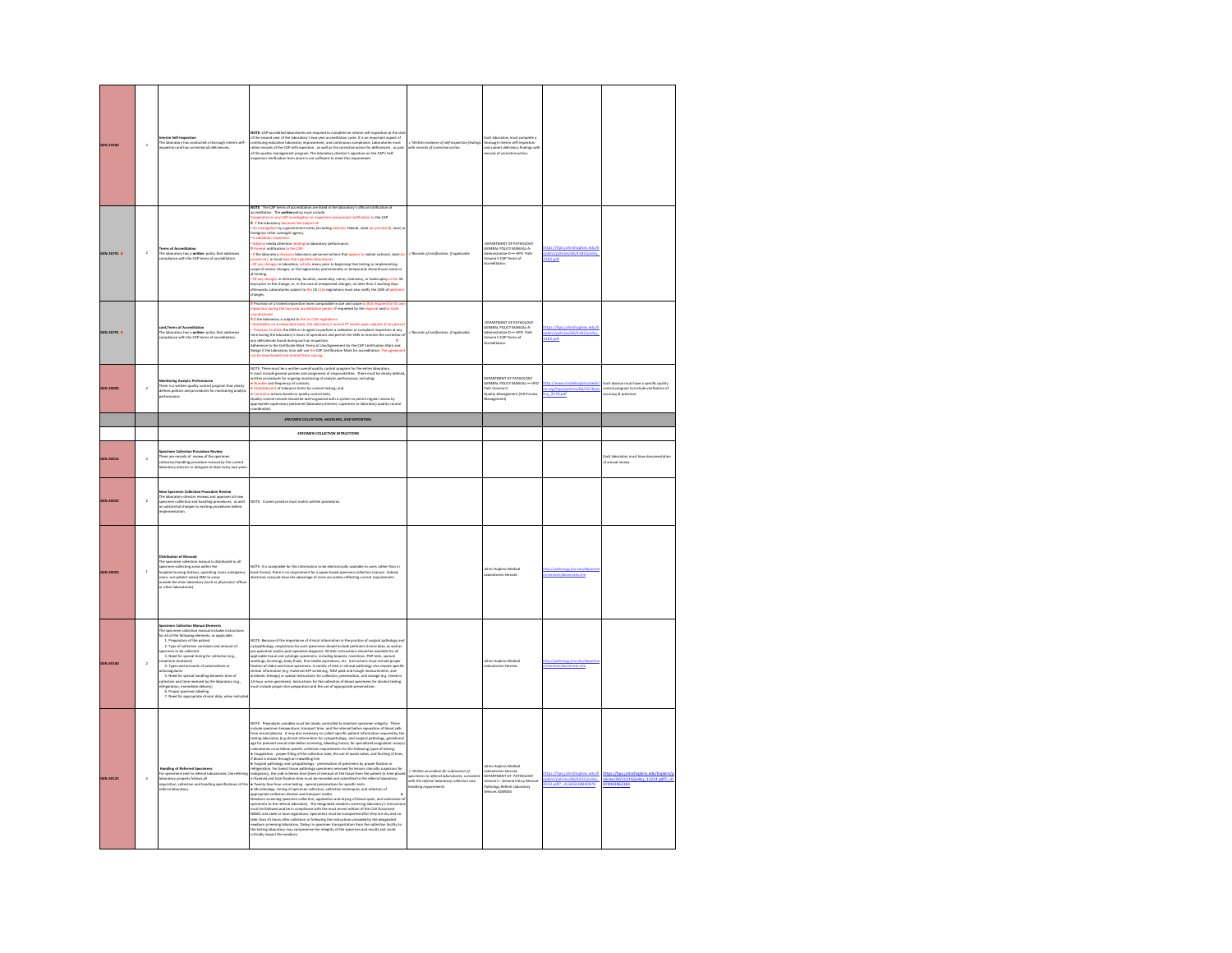| <b>GEN.23584</b> | $\overline{a}$          | erim Self-Inspection<br>The laboratory has conducted a thorough interim self-<br>inspection and has corrected all deficiencies.                                                                                                                                                                                                                                                                                                                                                                                                                                                                                                                                           | OTE: CAP-accredited laboratories are required to complete an interim self inspection at the sta<br><b>NOTE:</b> Owe accord to the detection are required to complete an interaction and the second year of the indensity's two-year accordination cycle. It is an important apet of ordinary encordination interaction in the second                                                                                                                                                                                                                                                                                                                                                                                                                                                                                                                                                                                                                                                                                                                                                                                                                                                               | / Written evidence of self-inspection findings<br>eth records of carrective action | ach laboratory must complete a<br>thorough interim self-inspection<br>and submit deficiency findings wit<br>cords of corrective action             |                                                                         |                                                                                                                  |
|------------------|-------------------------|---------------------------------------------------------------------------------------------------------------------------------------------------------------------------------------------------------------------------------------------------------------------------------------------------------------------------------------------------------------------------------------------------------------------------------------------------------------------------------------------------------------------------------------------------------------------------------------------------------------------------------------------------------------------------|----------------------------------------------------------------------------------------------------------------------------------------------------------------------------------------------------------------------------------------------------------------------------------------------------------------------------------------------------------------------------------------------------------------------------------------------------------------------------------------------------------------------------------------------------------------------------------------------------------------------------------------------------------------------------------------------------------------------------------------------------------------------------------------------------------------------------------------------------------------------------------------------------------------------------------------------------------------------------------------------------------------------------------------------------------------------------------------------------------------------------------------------------------------------------------------------------|------------------------------------------------------------------------------------|----------------------------------------------------------------------------------------------------------------------------------------------------|-------------------------------------------------------------------------|------------------------------------------------------------------------------------------------------------------|
| GEN.26791 R      | $\,$ 2                  | <b>Terms of Accreditation</b><br>The laboratory has a written oolicy that addresses<br>moliance with the CAP terms of accreditation                                                                                                                                                                                                                                                                                                                                                                                                                                                                                                                                       | NOTE: The CAP terms of accreditation are listed in the laboratory's official<br>ccreditation. The written policy must include<br>ation in any CAP investiga<br>on or inspection and prompt notification to the CAP<br>0 If the laboratory becomes the subject of<br>nt entity (including national, federal, state (or provincial), local, c<br>n <mark>invetigation</mark> by a government<br>eign or other oversight agency.<br>dverse media attention relating to laboratory performance<br>on ordification to the CAP<br>returns to transmission for the Core of the Section of Actions that appear to violate national, state (or represented a state of the Section of the Section of the Section of the Section of the Section of the Section of the<br>pe of service changes, or the lagboraotry permanenetly or temporarily dis<br>aalama oo<br>ll testing.<br>Of any changes in directorship, location, ownership, name, insolvency, or bankruptcy in the 30<br>days prior to the change; or, in the case of unexpected changes, no later than 2 working days<br>afterwards. Laboratories subject to t <mark>he US CLIA</mark> regulations must also notify the CMS of pertine<br>hanees. | -/ Records of notification, if applicable                                          | DEPARTMENT OF PATHOLOGY<br>GENERAL POLICY MANUAL-A<br>Administrative-D- HPO Path<br><b>Jolume II CAP Terms of</b><br>ccredita                      | tec://hon.inhodionkins.adu/<br>Nins/nelicips/68/4183/nolicy<br>1183.pdf |                                                                                                                  |
| GEN.26791 R      |                         | cont.Terms of Accreditation<br>.<br>The laboratory has a weitten policy that addresses<br>compliance with the CAP terms of accreditation                                                                                                                                                                                                                                                                                                                                                                                                                                                                                                                                  | Provision of a trained inpsection team comparable in size and scope to that required for its o<br>section during the two-year accreditation period, if requested by the regional and/or state<br>If the laboratory is subject to the Us CLIA regulation<br>ailability on a reason<br>ble basis, the laboratory's annual PT results upon re<br>Provision to allow the CMS or its agent to perform a validation or complaint inspection at any<br>me during the laboratory's hours of operations and permit the CMS to monitor the correction o<br>my deficie<br>eficiencies found during such an inspection.<br>rence to the Certificate Mark Terms of Use/Agreement for the CAP Certification Mark and<br>Design if the laboratory is/or will use the CAP Certification Mark for accreditation. The ag<br>an be downloaded and printed from cap.org.                                                                                                                                                                                                                                                                                                                                               | / Records of notification, if applicable                                           | DEPARTMENT OF PATHOLOGY<br>GENERAL POLICY MANUAL A<br>Administrative-D- HPO Path<br>/olume II CAP Terms of<br><b>Annualitation</b>                 | hos://hoo.johnshookins.edu/<br>plóns/policies/68/4183/policy<br>183.pdf |                                                                                                                  |
| GEN.30000        | $\bar{2}$               | .<br>Monitoring Analytic Performance<br>There is a written quality control program that clearly<br>defines policies and procedures for monitoring analytic<br>erformance.                                                                                                                                                                                                                                                                                                                                                                                                                                                                                                 | NOTE: There must be a written overall quality control program for the entire laboratory.<br>It must include general policies and assignment of responsibilities. There must be clearly defined<br>written procedures for ongoing mon<br>Number and frequency of controls:<br>Establishment of tolerance limits for control testing; and<br>Corrective actions based on quality control data.<br>Quality control records should be well-organized with a system to permit regular review by<br>ppropriate supervisory personnel (laboratory director, supervisor or laboratory quality control<br>rdinator)                                                                                                                                                                                                                                                                                                                                                                                                                                                                                                                                                                                         |                                                                                    | DEPARTMENT OF PATHOLOGY<br>GENERAL POLICY MANUAL- HPO<br>.<br>Quality Management (VIII Process)<br>Quality Management (VIII Process<br>Management) | e.org/hoo/oolicies/68/3578/s<br>v 3578.odf                              | Each division must have a specific quality<br>control program to include wrification of<br>וכנעזפכץ & precision. |
|                  |                         |                                                                                                                                                                                                                                                                                                                                                                                                                                                                                                                                                                                                                                                                           | SPECIMEN COLLECTION, HANDLING, AND REPORTING                                                                                                                                                                                                                                                                                                                                                                                                                                                                                                                                                                                                                                                                                                                                                                                                                                                                                                                                                                                                                                                                                                                                                       |                                                                                    |                                                                                                                                                    |                                                                         |                                                                                                                  |
|                  |                         |                                                                                                                                                                                                                                                                                                                                                                                                                                                                                                                                                                                                                                                                           | SPECIMEN COLLECTION INTRUCTIONS                                                                                                                                                                                                                                                                                                                                                                                                                                                                                                                                                                                                                                                                                                                                                                                                                                                                                                                                                                                                                                                                                                                                                                    |                                                                                    |                                                                                                                                                    |                                                                         |                                                                                                                  |
| IEN.40016        | $\bar{2}$               | nen Collection Proce<br>,<br>here are records of  review of the specimen<br>ollection/handling procedure manual by the current<br>aboratory director or designee at least every two year                                                                                                                                                                                                                                                                                                                                                                                                                                                                                  |                                                                                                                                                                                                                                                                                                                                                                                                                                                                                                                                                                                                                                                                                                                                                                                                                                                                                                                                                                                                                                                                                                                                                                                                    |                                                                                    |                                                                                                                                                    |                                                                         | ach laboratory must have docu<br>Fannual review.                                                                 |
| GEN.40032        | $\,$ 2 $\,$             | ew Specimen Collection Procedure Review<br>vew specimen consector reviews and approves all new<br>The laboratory director reviews and approves all new<br>specimen collection and handling procedures, as well<br>is substantial changes to existing procedures before                                                                                                                                                                                                                                                                                                                                                                                                    | NOTE: Current practice must match written procedures                                                                                                                                                                                                                                                                                                                                                                                                                                                                                                                                                                                                                                                                                                                                                                                                                                                                                                                                                                                                                                                                                                                                               |                                                                                    |                                                                                                                                                    |                                                                         |                                                                                                                  |
| GEN.40050        |                         |                                                                                                                                                                                                                                                                                                                                                                                                                                                                                                                                                                                                                                                                           |                                                                                                                                                                                                                                                                                                                                                                                                                                                                                                                                                                                                                                                                                                                                                                                                                                                                                                                                                                                                                                                                                                                                                                                                    |                                                                                    |                                                                                                                                                    |                                                                         |                                                                                                                  |
|                  | $\overline{1}$          | Distribution of Manuals<br>The specimen collection manual is distributed to all<br>specimen-collecting areas within the<br>hospital (nursing stations, operating room, emergency<br>oom, out-patient areas) AND to areas<br>sutside the main laboratory (such as physicians' office<br>or other laboratories).                                                                                                                                                                                                                                                                                                                                                            | NOTE: It is acceptable for this information to be electronically available to users rather than in<br>book format; there is no requirement for a paper-based specimen collection manual. Indeed,<br>electronic manuals have the advantage of more accurately reflecting current requirements.                                                                                                                                                                                                                                                                                                                                                                                                                                                                                                                                                                                                                                                                                                                                                                                                                                                                                                      |                                                                                    | ns Hopkins Medical<br>boratories Services                                                                                                          | services chn                                                            |                                                                                                                  |
|                  | $\overline{\mathbf{2}}$ | <b>Specimen Collection Manual Elements</b><br>The specimen collection manual includes instructions<br>for all of the following elements, as applicable.<br>1. Preparation of the patient<br>$2.$ Type of collection container and amount of<br>ecimen to be collected $% \left( \beta \right)$<br>3. Need for special timing for collection (e.g.,<br>sitinine clearance)<br>4. Types and amounts of preservatives or<br>Arizon<br>galants (and for special handling between time of S. Need for special handling between time of a<br>blectice med three neurons by the laboratory (e.g., we<br>hyperation, immediate delivery) (e.g., $\kappa$ )<br>$\kappa$ ). These f | NOTE: Because of the importance of clinical information in the practice of surgical pathology an<br>NOTE: Recapation of the importance of climatic intermediate the properties of the procedure of the state of the intermediate the state of the intermediate control of the state of the state of the state of the state of the                                                                                                                                                                                                                                                                                                                                                                                                                                                                                                                                                                                                                                                                                                                                                                                                                                                                  |                                                                                    | hns Hopkins Medical<br>boratories Services                                                                                                         | rices.cfm                                                               |                                                                                                                  |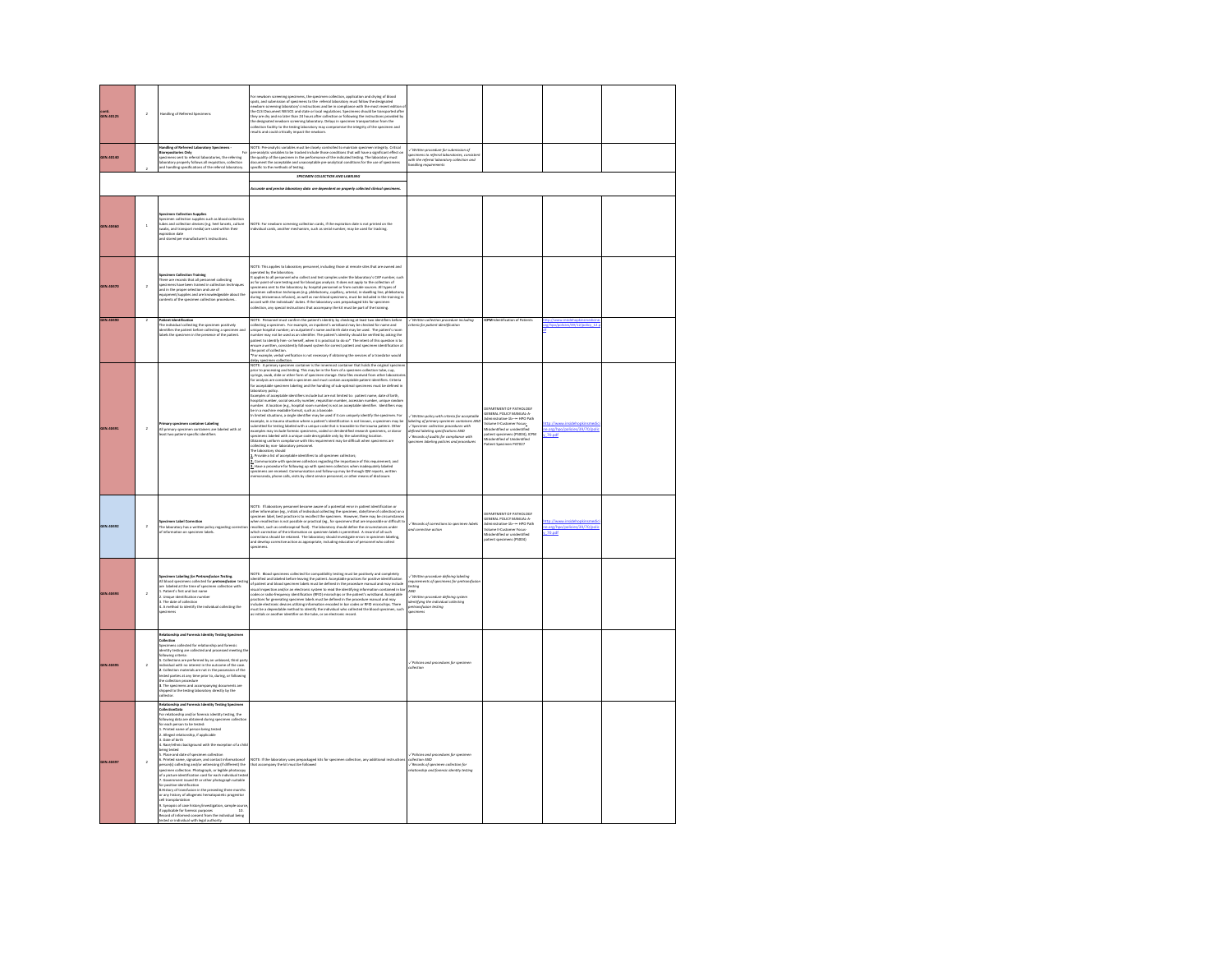| conti.<br>GEN.40125 | $\,$ $\,$      | Handling of Referred Specimens                                                                                                                                                                                                                                                                                                                                                                                                                                                                                                                                                                                                                                                                                                                                                                                                                                                                                                                                                                                                                                                                                         | or newborn screening specimens, the specimen collection, application and drying of blood<br>pots, and submission of spacimens to the referral laboratory must follow the designated<br>ewborn screening laboratory's instructions and be in compliance with the most recent edition o<br>.<br>The CLSI Document NB SO1 and state or local regulations. Specimens should be transported after<br>hey are dry and no later than 24 hours after collection or following the instructions provided by<br>only are us y and no seem common any comparation in specimen transportation from the<br>the designated newborn screening laboratory muy compromen transportation from the<br>results and could critically impact the newborn.                                                                                                                                                                                                                                                                                                                                                                                                                                                                                                                                                                                                                                                                                                                                                                                                                                                                                                                                                                                                                                                                                                                                                                                                                    |                                                                                                                                                                                                                                                                                                                                                                                                                                                                                                                                                                     |                                                                                                                                                                                                                                                                                                                        |                                         |  |
|---------------------|----------------|------------------------------------------------------------------------------------------------------------------------------------------------------------------------------------------------------------------------------------------------------------------------------------------------------------------------------------------------------------------------------------------------------------------------------------------------------------------------------------------------------------------------------------------------------------------------------------------------------------------------------------------------------------------------------------------------------------------------------------------------------------------------------------------------------------------------------------------------------------------------------------------------------------------------------------------------------------------------------------------------------------------------------------------------------------------------------------------------------------------------|-------------------------------------------------------------------------------------------------------------------------------------------------------------------------------------------------------------------------------------------------------------------------------------------------------------------------------------------------------------------------------------------------------------------------------------------------------------------------------------------------------------------------------------------------------------------------------------------------------------------------------------------------------------------------------------------------------------------------------------------------------------------------------------------------------------------------------------------------------------------------------------------------------------------------------------------------------------------------------------------------------------------------------------------------------------------------------------------------------------------------------------------------------------------------------------------------------------------------------------------------------------------------------------------------------------------------------------------------------------------------------------------------------------------------------------------------------------------------------------------------------------------------------------------------------------------------------------------------------------------------------------------------------------------------------------------------------------------------------------------------------------------------------------------------------------------------------------------------------------------------------------------------------------------------------------------------------|---------------------------------------------------------------------------------------------------------------------------------------------------------------------------------------------------------------------------------------------------------------------------------------------------------------------------------------------------------------------------------------------------------------------------------------------------------------------------------------------------------------------------------------------------------------------|------------------------------------------------------------------------------------------------------------------------------------------------------------------------------------------------------------------------------------------------------------------------------------------------------------------------|-----------------------------------------|--|
| GEN.40140           |                | andling of Referred Laboratory Specimens<br>ries Only<br>secimens sent to referral laboratories, the referring<br>boratory properly follows all requisition, collection<br>nd handling specifications of the referral laboratory.                                                                                                                                                                                                                                                                                                                                                                                                                                                                                                                                                                                                                                                                                                                                                                                                                                                                                      | NOTE: Pre-analytic variables must be closely controlled to maintain specimen integrity. Critical<br>see-analytic variables to be tracked include those conditions that will have a significant effect on<br>he quality of the specim<br>ecific to the methods of testing.                                                                                                                                                                                                                                                                                                                                                                                                                                                                                                                                                                                                                                                                                                                                                                                                                                                                                                                                                                                                                                                                                                                                                                                                                                                                                                                                                                                                                                                                                                                                                                                                                                                                             | .<br>Written procedure for submission of<br>vecimens to referral laboratories, cor<br>on of<br>with the referral laboratory collection and<br>ananing requirements                                                                                                                                                                                                                                                                                                                                                                                                  |                                                                                                                                                                                                                                                                                                                        |                                         |  |
|                     |                |                                                                                                                                                                                                                                                                                                                                                                                                                                                                                                                                                                                                                                                                                                                                                                                                                                                                                                                                                                                                                                                                                                                        | SPECIMEN COLLECTION AND LABELING                                                                                                                                                                                                                                                                                                                                                                                                                                                                                                                                                                                                                                                                                                                                                                                                                                                                                                                                                                                                                                                                                                                                                                                                                                                                                                                                                                                                                                                                                                                                                                                                                                                                                                                                                                                                                                                                                                                      |                                                                                                                                                                                                                                                                                                                                                                                                                                                                                                                                                                     |                                                                                                                                                                                                                                                                                                                        |                                         |  |
|                     |                |                                                                                                                                                                                                                                                                                                                                                                                                                                                                                                                                                                                                                                                                                                                                                                                                                                                                                                                                                                                                                                                                                                                        | ccurate and precise laboratory data are dependent on properly collected clinical specimens.                                                                                                                                                                                                                                                                                                                                                                                                                                                                                                                                                                                                                                                                                                                                                                                                                                                                                                                                                                                                                                                                                                                                                                                                                                                                                                                                                                                                                                                                                                                                                                                                                                                                                                                                                                                                                                                           |                                                                                                                                                                                                                                                                                                                                                                                                                                                                                                                                                                     |                                                                                                                                                                                                                                                                                                                        |                                         |  |
| <b>GEN.404</b>      | $\overline{1}$ | n Collection Supplies<br>pecimen collection supplies such as blood collection<br>ubes and collection devices (e.g. heel lancets, culture<br>wabs, and transport media) are used within their<br>wabs, and transport media) are used within their<br>opiration date<br>1d stored per manufacturer's instru                                                                                                                                                                                                                                                                                                                                                                                                                                                                                                                                                                                                                                                                                                                                                                                                              | .<br>NOTE: For newborn screening collection cards, if the expiration date is not printed on the<br>ndividual cards, another mechanism, such as serial number, may be used for tracking.                                                                                                                                                                                                                                                                                                                                                                                                                                                                                                                                                                                                                                                                                                                                                                                                                                                                                                                                                                                                                                                                                                                                                                                                                                                                                                                                                                                                                                                                                                                                                                                                                                                                                                                                                               |                                                                                                                                                                                                                                                                                                                                                                                                                                                                                                                                                                     |                                                                                                                                                                                                                                                                                                                        |                                         |  |
| GEN.40470           | $\,$ 2 $\,$    | pecimen Collection Training<br>.<br>here are records that all personnel collecting<br>pecimens have been trained in collection techniques<br>pectrums there been transfer in construction in the proper selection and use of<br>main the proper selection and use of<br>migration of the specimen collection procedures                                                                                                                                                                                                                                                                                                                                                                                                                                                                                                                                                                                                                                                                                                                                                                                                | NOTE: This applies to laboratory personnel, including those at remote sites that are owned and<br>perated by the laboratory.<br>applies to all personnel who collect and test samples under the laboratory's CAP nu<br>for point-of-care testing and for blood gas analysis. It does not apply to the collection of<br>ins sent to the laboratory by hospital personnel or from outside sources. All types of<br>.<br>cimen collection techniques (e.g. phlebotomy, capillary, arterial, in-dwelling line, phlebotomy<br>ing intravenous infusion), as well as non-blood specimens, must be included in the training in<br>souring movements museum as were as interventional speciments, must community interventional state of the individuals" duties. If the laboratory uses people also the specimen<br>collection, any special instructions that accom                                                                                                                                                                                                                                                                                                                                                                                                                                                                                                                                                                                                                                                                                                                                                                                                                                                                                                                                                                                                                                                                                          |                                                                                                                                                                                                                                                                                                                                                                                                                                                                                                                                                                     |                                                                                                                                                                                                                                                                                                                        |                                         |  |
| GEN.40490           | $\overline{2}$ | atient Identification<br>al collecting the specimen positively<br>he individual conecting, um apportunity aspectment and<br>fentifies the patient before collecting a specimen and<br>bels the specimen in the presence of the patient.                                                                                                                                                                                                                                                                                                                                                                                                                                                                                                                                                                                                                                                                                                                                                                                                                                                                                | NOTE: Personnel must confirm the pairent's identity by checking at least two identifies before and the state of the state of the state of the state of the state of the state of the state of the state of the state of the s<br>he point of collection.<br>For example, verbal verification is not necessary if obtaining the services of a translator would                                                                                                                                                                                                                                                                                                                                                                                                                                                                                                                                                                                                                                                                                                                                                                                                                                                                                                                                                                                                                                                                                                                                                                                                                                                                                                                                                                                                                                                                                                                                                                                         | .<br>Viritten collection procedure including<br>criteria for patient identification                                                                                                                                                                                                                                                                                                                                                                                                                                                                                 | CPM-Identification of Patients                                                                                                                                                                                                                                                                                         | ttp://www.insidehopkinsmedi             |  |
| <b>CEN AND</b>      | $\lambda$      | .<br>Primary specimen container Labelin<br>All primary specimen containers are<br>east two patient-specific identifiers<br>atart with an                                                                                                                                                                                                                                                                                                                                                                                                                                                                                                                                                                                                                                                                                                                                                                                                                                                                                                                                                                               | elay specimen collection.<br>.<br>NOTE: A primary specimen container is the innermost container that holds the original spec<br>springe, swab, slide or other form of specimen storage. Data files received from other labe, cup,<br>syringe, swab, slide or other f<br>,<br>for analysis are considered a specimen and must contain acceptable patient identifiers. Criteria<br>for acceptable specimen labeling and the handling of sub-optimal specimens must be defined in<br>aboratory policy.<br>Examples of acceptable identifiers include but are not limited to: patient name, date of birth.<br>ospital number, social security number, requisition number, accession number, unique rando<br>number. A location (e.g., hospital room number) is not an acceptable identifier. Identifiers may<br>be in a machine readable format, such as a barcode.<br>n limited situations, a single identifier may be used if it can uniquely identify the specimen. For<br>.<br>sample, in a trauma situation where a patient's identification is not known, a specimen may b<br>abmitted for testing labeled with a unique code that is traceable to the trauma patient. Other<br>.<br>Jimen may be<br>samples may include forensic specimens, coded or de-identified research specimens, or donor<br>.<br>pecimens labeled with a unique code decryptable only by the submitting location.<br>Obtaining uniform compliance with this requirement may be difficult when specimens are<br>ollected by non-laboratory personnel.<br>.<br>Dve lat<br>tels by final manuscription and an experimental speciment collectors<br>horatory should<br>wide a list of acceptable identifiers to all specimen collectors<br>rowous a into in scorpstanul communito to all sparement connectors;<br>down a procedure for following up with specimen collectors when inadequately labeled<br>sinew a procedure for following up with specimen collectors when inad | alicu with criteria for acce<br>s AN<br>$\label{lem:optimal} \begin{array}{l} \mathcal{N} \emph{Without policy with terms } \mu \text{--} \ldots, \ \text{isability of primary spacetime constant} \\ \mathcal{N} \emph{spacilinear condusive} \emph{ofification process with } \emph{defining particles and } \mathcal{N} \emph{of } \emph{of } \emph{invariant} \emph{of } \emph{of } \emph{of } \emph{of } \emph{of } \emph{of } \emph{of } \emph{of } \emph{of } \emph{of } \emph{of } \emph{of } \emph{of } \emph{of } \emph{of } \emph{of } \emph{of } \emph$ | DERARTMENT OF PATHOLOGY<br>DEPARTMENT OF PATHOLOGY<br>GENERAL POLICY MANUAL-A-<br>Administrative-1b----- HPO Path<br>Volume II-Customer Focus<br>Misidentified or unidentified<br>patient specimens (PS004), ICPM<br>patient specimens (PS004), ICPM<br>tient specimens<br>isidentified of Un<br>tient Specimen PAT027 | .org/hpo/policies/39/70/p<br>70.pdf     |  |
| GEN.40492           | $\,$ $\,$      | ecimen Label Correction<br>.<br>The laboratory has a written policy regarding cor<br>of information on specimen labels.                                                                                                                                                                                                                                                                                                                                                                                                                                                                                                                                                                                                                                                                                                                                                                                                                                                                                                                                                                                                | NOTE: If laboratory personnel become aware of a potential error in patient identification or<br>other information (eg., initials of individual collecting the specimen, date/time of collection) on a<br>specimen label, best practice is to recollect the specimen. However, there may be circumstances<br>then recollection is not possible or practical (eg., for specimens that are impossible or difficult to<br>ecollect, such as cerebrospinal fluid). The laboratory should define the circumstances under<br>which correction of the information on specimen labels is permitted. A record of all such<br>convections should be retained. The laboratory should investigate errors in specimen labeling.<br>Ind develop corrective action as appropriate, including education of personnel who collect<br>serimens                                                                                                                                                                                                                                                                                                                                                                                                                                                                                                                                                                                                                                                                                                                                                                                                                                                                                                                                                                                                                                                                                                                           | / Records of corrections to specimen labels<br>nd corrective action                                                                                                                                                                                                                                                                                                                                                                                                                                                                                                 | DEPARTMENT OF PATHOLOGY<br>SENERAL POLICY MANUAL-A-<br>dministrative-1b -- HPO Path<br>/olume II-Customer Focus-<br>Visidentified or unidentified<br>atient specimens (PS004)                                                                                                                                          | e.org/hpo/policies/39/70/poli<br>70.pdf |  |
| GEN.40493           | $\overline{2}$ | .<br>Specimen Labeling <i>for Pretransfusion Te</i> sting.<br>All blood specimens collected for <b>pretransfusion</b> test<br>re labeled at the time of speci-<br>collection with:<br>1. Patient's first and last name<br>2. Unique identification number<br>.<br>3 The date of collection<br>4. A method to identify the individual collecting the                                                                                                                                                                                                                                                                                                                                                                                                                                                                                                                                                                                                                                                                                                                                                                    | VOTE: Blood specimens collected for compatibility testing must be positively and completely<br>lentified and labeled before leaving the patient. Acceptable practices for positive identification<br>.<br>If patient and blood specimen labels must be defined in the procedure manual and may include.<br>Isual inspection and/or an electronic system to read the identifying information contained in ba<br>visual napeticine atalice and electronic system to real the slentifying intermation contained in based constant<br>practices for a state symmetric position in the substitute of the patient's writhland. Acceptable<br>practices f                                                                                                                                                                                                                                                                                                                                                                                                                                                                                                                                                                                                                                                                                                                                                                                                                                                                                                                                                                                                                                                                                                                                                                                                                                                                                                    | / Written or<br>edure defining labeling<br>quinements of specimens for anetronsfusic<br>esting<br>$\overline{u}$<br>Written procedure defining system<br>.<br>dentifying the individual collecting<br>vetransfusion testing                                                                                                                                                                                                                                                                                                                                         |                                                                                                                                                                                                                                                                                                                        |                                         |  |
| <b>GEN.40495</b>    | $\overline{2}$ | rship and Forensic Identity Testing Specimen<br><b>Collection</b><br>ens collected for relationship and forensic<br><br>lentity testing are collected and processed meeting the<br>following criteria:<br>tosowing criteria:<br>1. Collections are performed by an unbiased, third party<br>dividual with no interest in the outcome of the case<br>2. Collection materials are not in the possession of the<br>tested parties at any time prior to, during, or following<br>the collection procedure<br>3. The specimens and accompanying documents are<br>pped to the testing laboratory directly by the                                                                                                                                                                                                                                                                                                                                                                                                                                                                                                             |                                                                                                                                                                                                                                                                                                                                                                                                                                                                                                                                                                                                                                                                                                                                                                                                                                                                                                                                                                                                                                                                                                                                                                                                                                                                                                                                                                                                                                                                                                                                                                                                                                                                                                                                                                                                                                                                                                                                                       | Policies and procedures for specimen<br><i><b>Nection</b></i>                                                                                                                                                                                                                                                                                                                                                                                                                                                                                                       |                                                                                                                                                                                                                                                                                                                        |                                         |  |
| GEN.40497           | $\overline{2}$ | ilationship and Forensic Identity Testing Specimen<br>illectionData<br>For relationship and/or forensic identity testing, the<br>Following data are obtained during specimen collection<br>for each person to be tested:<br>1. Printed name of person being tested<br>: Alleged relationship, if applicable<br>: Date of birth<br>4. Race/ethnic backeround with the exception of a child<br><b>being tested</b><br>5. Place and date of specimen collection<br>5. Piece and disk of specimen collection<br>in disk characteristic information of person(s) collecting and/or witnessing (if different) the<br>specimen collecting and/or witnessing (if different) the<br>specimen collection. Photogr<br>outminent issues to at other photograph su<br>asitive identification<br>itory of transfusion in the preceding three m<br>by history of allogeneic herratopoletic proge<br>aw transpertration<br>- Synopisis of case history/investigation, sample source<br>- applicable for forensic purposes - 10.<br>tecord of informed consent from the individual being<br>wheel or includes also in this land on hots | NOTE: If the laboratory uses prepackaged kits for specimen collection, any addition<br>that accompany the kit must be followed                                                                                                                                                                                                                                                                                                                                                                                                                                                                                                                                                                                                                                                                                                                                                                                                                                                                                                                                                                                                                                                                                                                                                                                                                                                                                                                                                                                                                                                                                                                                                                                                                                                                                                                                                                                                                        | Policies and procedures for specimen<br><b>Nection AND</b><br>/ Records of specimen collection for<br>lationship and forensic identity testing                                                                                                                                                                                                                                                                                                                                                                                                                      |                                                                                                                                                                                                                                                                                                                        |                                         |  |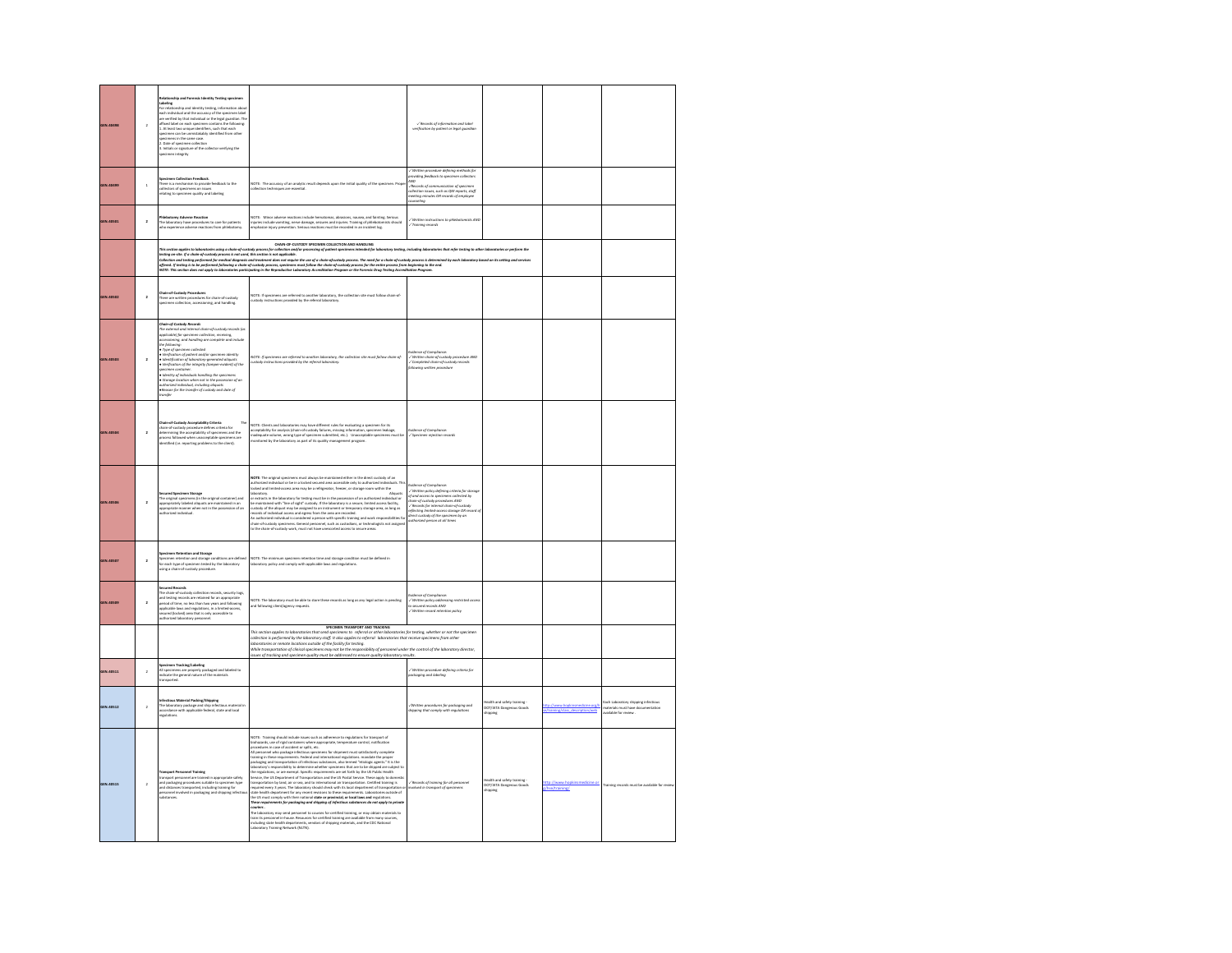|                  | $\overline{\mathbf{2}}$ | tity Testing spec<br>:abeling<br>for relationship and identity testing, information abo<br>For entainments and identify testing, information about the state and infinitely that exact properties and infinitely that infinitely the state of the location of the location of the location. The infinitely that is if th                                                                                                                                                         |                                                                                                                                                                                                                                                                                                                                                                                                                                                                                                                                                                                                                                                      | / Records of information and lobel<br>verification by patient or legal guardia                                                                                                                                                                                                                                                                                                                                |                                                                     |                                              |                                                                                                 |
|------------------|-------------------------|----------------------------------------------------------------------------------------------------------------------------------------------------------------------------------------------------------------------------------------------------------------------------------------------------------------------------------------------------------------------------------------------------------------------------------------------------------------------------------|------------------------------------------------------------------------------------------------------------------------------------------------------------------------------------------------------------------------------------------------------------------------------------------------------------------------------------------------------------------------------------------------------------------------------------------------------------------------------------------------------------------------------------------------------------------------------------------------------------------------------------------------------|---------------------------------------------------------------------------------------------------------------------------------------------------------------------------------------------------------------------------------------------------------------------------------------------------------------------------------------------------------------------------------------------------------------|---------------------------------------------------------------------|----------------------------------------------|-------------------------------------------------------------------------------------------------|
| GEN.40499        | $\overline{1}$          | igecimen Collection Feedback.<br>There is a mechanism to provide feedback to the<br>collectors of specimens on issues<br>elating to specimen quality and labeling                                                                                                                                                                                                                                                                                                                | NOTE: The accuracy of an analytic result depends upon the initial quality of the specimen. Prop<br>on techniques are essential                                                                                                                                                                                                                                                                                                                                                                                                                                                                                                                       | /Written procedure defining methods fo<br>providing feedback to specimen collectors<br>$\sum_{i=1}^{n}$<br>Necords of communication of specimen<br>ollection issues, such as OM rea<br>orts staff<br>eeting minutes OR records of employee<br>turneling                                                                                                                                                       |                                                                     |                                              |                                                                                                 |
| GEN.40501        | $\overline{a}$          | ny Adverse Reacti<br>-measocomy waverse resuccion<br>The laboratory have procedures to care for patie<br>who experience adverse reactions from phieboti                                                                                                                                                                                                                                                                                                                          | OTE: Minor adverse reactions include hematomas, abrasions, nausea, and fainting. Seri<br>volte: Minter adverse reactions incuide nerratornas, adissions, realised and hardway<br>njuries include vomiting, nerve damage, seizures and injuries. Training of phieboton<br>imphasize injury prevention. Serious reactions must<br>tion is shown                                                                                                                                                                                                                                                                                                        | Written instructions to phiebot<br>Training records                                                                                                                                                                                                                                                                                                                                                           |                                                                     |                                              |                                                                                                 |
|                  |                         |                                                                                                                                                                                                                                                                                                                                                                                                                                                                                  | CHAIN-OF-CUSTODY SPECIMEN COLLECTION AND HANDUNG<br>his webs agós is bloodsén uing a dois-d-cataly poen for chickers control process provides in the poenty between<br>subject and if dois-denoty poen in a cataly poen for collection of the process provide in the state of the bes                                                                                                                                                                                                                                                                                                                                                                |                                                                                                                                                                                                                                                                                                                                                                                                               |                                                                     |                                              |                                                                                                 |
| GEN.40502        | $\overline{2}$          | :<br>hain-of-Custody Procedures<br>inere are written procedures for chain-of-custody<br>ipecimen collection, accessioning, and handling.                                                                                                                                                                                                                                                                                                                                         | NOTE: If specimens are referred to another laboratory, the collection site must follow chain-of-<br>custody instructions provided by the referral laboratory.                                                                                                                                                                                                                                                                                                                                                                                                                                                                                        |                                                                                                                                                                                                                                                                                                                                                                                                               |                                                                     |                                              |                                                                                                 |
| GEN.40503        | $\overline{2}$          | Chain-of-Custody Records<br>The external and internal chain-of-custody records (as<br>applicable) for specimen collection, receiving,<br>accessioning, and handling are complete and include<br>the following:<br>the following<br>$\psi$ space of processes collected<br>$\psi$ with proposition of packet and/or spacetimes identity<br>$\psi$ spacetimes of placetary-generated alliquatis<br>$\psi$ with placetimes of the integraty (tamper-evident) of the<br>$\$<br>msfer | NOTE: If specimens are referred to another laboratory, the collection site must follow chain of-<br>custody instructions provided by the referral laboratory.                                                                                                                                                                                                                                                                                                                                                                                                                                                                                        | tce of Comp<br>://Written.chain-of-custody.procedure.AND<br>://Completed.chain-of-custody.records<br>ciliowing.written.procedure                                                                                                                                                                                                                                                                              |                                                                     |                                              |                                                                                                 |
| GEN.40504        | $\overline{2}$          | <b>Chain-of-Custody Acceptability Criteria</b><br>Chain-of-custody procedure defines criteria for<br>determining the acceptability of specimens and the<br>process followed when unicceptable specimens are<br>dentified (i.e. reporting proble                                                                                                                                                                                                                                  | <b>IOTE: Clients and .</b><br>ICCEPTAbility for an<br>)TE: Clients and laboratories may have different rules for evaluating a specimen for its<br>septability for analysis (chain of custody fallows, missing information, specimen leakage,<br>idequate volume, wrong type of specimen su                                                                                                                                                                                                                                                                                                                                                           | ce of Compi<br>'Speci<br>en rejection reco                                                                                                                                                                                                                                                                                                                                                                    |                                                                     |                                              |                                                                                                 |
| <b>GEN.40506</b> | $\overline{2}$          | Secured Specimen Storage<br>The original specimens (in the original container) and<br>appropriately labeled aliquots are maintained in an<br>on of an                                                                                                                                                                                                                                                                                                                            | NOTE: The original specimens must always be maintained either in the direct custody of an<br>authorized individual or be in a locked secured area accessible only to authorized individual<br>locked and limited-access area may be<br>duals. Th<br><b>Alicerchi</b><br>Womens with the<br>baseling of the state of the state of the state of the state of the<br>state of the state of the state of the state of the state of the<br>state of the state of the state of the state of the state of the<br>state o                                                                                                                                    | $=$ of $C_{DB}$<br>Evidence of Compliance:<br>$\sim$ Writters policy defining criteria for stores<br>of and access to specimens collected by<br>chain-of custody procedures AND<br>$\sim$ Records for internal chain-of-custody<br>- necessary matematic state of the experiment of<br>effecting limited-access statege OR record of<br>livect custody of the specimen by an<br>uthorized person at all times |                                                                     |                                              |                                                                                                 |
| GEN.40507        | $\overline{2}$          | Specimen Retention and Storage<br>Specimen retention and storage conditions are defined<br>for each type of specimen tested by the laboratory<br>using a chain-of-custody procedure.                                                                                                                                                                                                                                                                                             | NOTE: The minimum specimen retention time and storage condition must be defined in<br>laboratory policy and comply with applicable laws and regulations.                                                                                                                                                                                                                                                                                                                                                                                                                                                                                             |                                                                                                                                                                                                                                                                                                                                                                                                               |                                                                     |                                              |                                                                                                 |
| GEN.40509        | $\overline{2}$          | cured Records<br>Secured Records<br>The chain-of-custody collection records, security logs,<br>and testing records are related for an appropriate<br>pariod of time, no less than two years and following<br>applicable laws and regulations, in a limited-                                                                                                                                                                                                                      | NOTE: The laboratory must be able to store these records as long as any legal action is pending<br>ind following client/agency requests.                                                                                                                                                                                                                                                                                                                                                                                                                                                                                                             | tce of Comp<br>-<br>- Written policy addressing restricted access<br>to secured records AND<br>-/ Written record retention policy                                                                                                                                                                                                                                                                             |                                                                     |                                              |                                                                                                 |
|                  |                         |                                                                                                                                                                                                                                                                                                                                                                                                                                                                                  | SPECIMEN TRANSPORT AND TRACKING<br>This section applies to laboratories that send specimens to referral or other laboratories for testing, whether or not the specimen<br>ms section applies to insominates anal serial speciments to repertant or other nationalizers for restang, whether or not the<br>allection is performed by the laboratory staff. It also applies to referral -laboratories that re<br>While transportation of clinical specimens may not be the responsibility of personnel under the control of the laboratory director,<br>ssues of tracking and specimen quality must be addressed to ensure quality laboratory results. |                                                                                                                                                                                                                                                                                                                                                                                                               |                                                                     |                                              |                                                                                                 |
| GEN.40511        | $\overline{2}$          | <b>Specimen Tracking/Labeling</b><br>All specimens are properly packaged and labeled to<br>indicate the general nature of the materials<br>ransported                                                                                                                                                                                                                                                                                                                            |                                                                                                                                                                                                                                                                                                                                                                                                                                                                                                                                                                                                                                                      | / Written procedure defining criteria for<br>ackaging and labeling                                                                                                                                                                                                                                                                                                                                            |                                                                     |                                              |                                                                                                 |
| GEN.40512        | $\overline{2}$          | Infectious Material Packing/Shipping<br>The laboratory package and ship infectious material in<br>accordance with applicable federal, state and local<br>egulations                                                                                                                                                                                                                                                                                                              |                                                                                                                                                                                                                                                                                                                                                                                                                                                                                                                                                                                                                                                      | /Written procedures for packaging and<br>hipping that comply with regulations                                                                                                                                                                                                                                                                                                                                 | Health and safety training -<br>DOT/IATA Dangerous Goods<br>Seigein | dicine.org<br>training/class_description/web | Each Laboratory shipping infectious<br>materials must have documentation<br>vailable for review |
| GEN.40515        | $\,$ $\,$               | al Testa<br>fransport Personnel Training<br>transport personnel are trained in appropriate safety<br>und packaging procedures suitable to specimen type<br>und distances transported, including training for<br>personnel involved in packaging and sh                                                                                                                                                                                                                           | NOTE: Training should include insure such as adherence to regulations for transport of the<br>Sixtensity, we of train control metropy gravitations for regulations for transport of the<br>system of the properties of the properti<br><b>Amateman<br/>Construction of the construction of the control of the control of the construction of the constraints</b><br>The historatory may used personnel to course for certified training are available from many sources,<br>includin                                                                                                                                                                 | .<br>Necords of training for all person<br>nvolved in transport of specimens                                                                                                                                                                                                                                                                                                                                  | (th and safety train<br>DOT/IATA Dangerous Go<br>ipping             | hse/training/                                |                                                                                                 |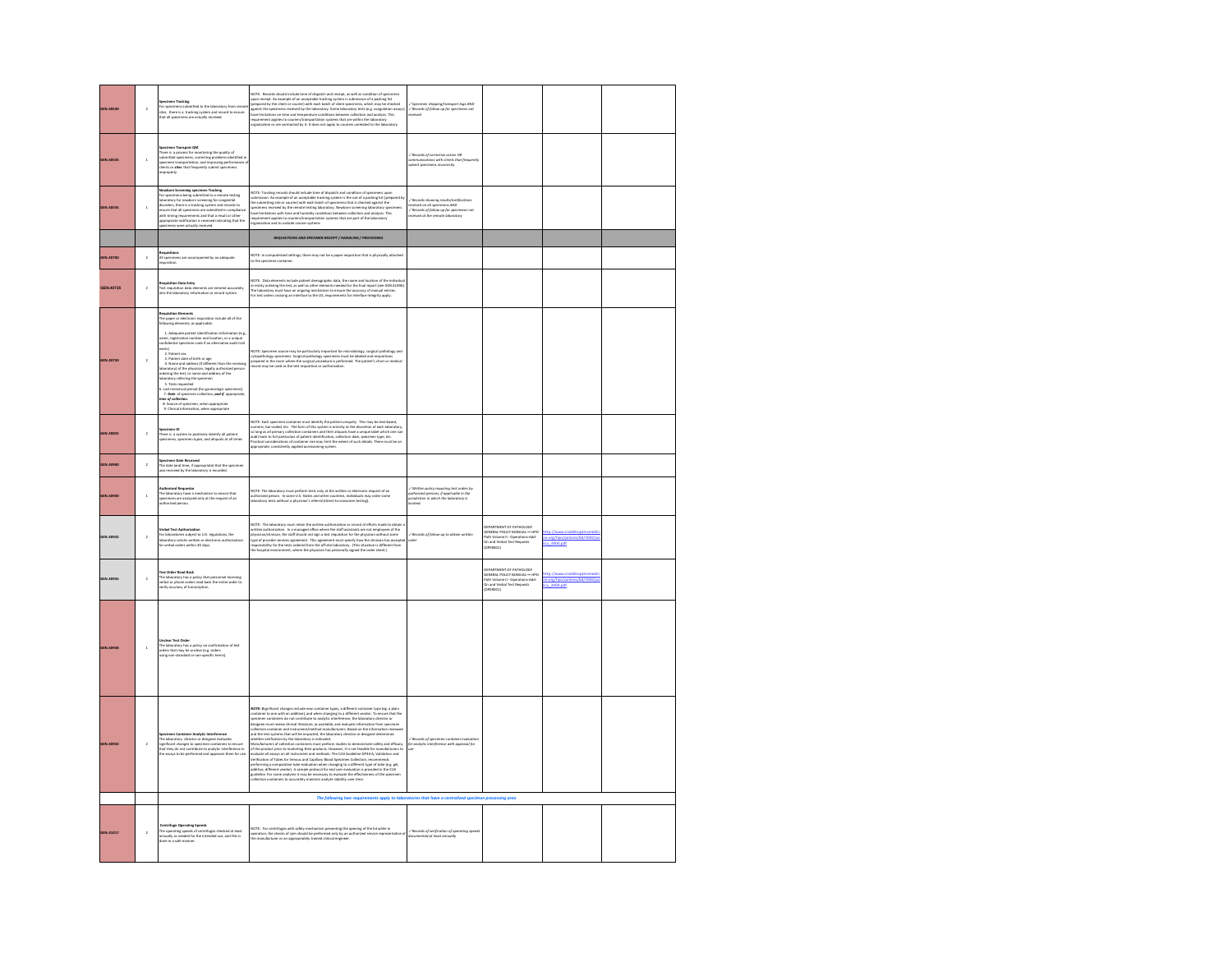| GEN.40530 | $\,$ 2 $\,$             | igecimen Tracks <sub>th</sub><br>For specimens submitted to ….<br>Vites, there is a tracking system and neutrinos are actually received.<br><sup>--ovi</sup> mens are actually received.<br>ted to the laboratory from n<br>ng system and record to ens                                                                                                                                                                                                                                                                                                                                                                                                                                                                                                                                                                                                          | NOTE: Records should include time of dispatch and receipt, as well as condition of specimens<br>grows and provide the control of the state basis, and control in the state of the state of the state of the state of the state o<br>.<br>Inganization or are contracted by it. It does not apply to couriers unrelated to the laboratory.                                                                                                                                                                                                                                                                                                                                                                                                                                                                                                             | / Specimen shipping/transport logs AND<br>/ Records of follow up for specimens not<br>سنت                                                              |                                                                                                                                         |                                                                               |  |
|-----------|-------------------------|------------------------------------------------------------------------------------------------------------------------------------------------------------------------------------------------------------------------------------------------------------------------------------------------------------------------------------------------------------------------------------------------------------------------------------------------------------------------------------------------------------------------------------------------------------------------------------------------------------------------------------------------------------------------------------------------------------------------------------------------------------------------------------------------------------------------------------------------------------------|-------------------------------------------------------------------------------------------------------------------------------------------------------------------------------------------------------------------------------------------------------------------------------------------------------------------------------------------------------------------------------------------------------------------------------------------------------------------------------------------------------------------------------------------------------------------------------------------------------------------------------------------------------------------------------------------------------------------------------------------------------------------------------------------------------------------------------------------------------|--------------------------------------------------------------------------------------------------------------------------------------------------------|-----------------------------------------------------------------------------------------------------------------------------------------|-------------------------------------------------------------------------------|--|
| GEN.40535 | $\overline{\mathbf{1}}$ | en Transport QM<br>spectrum transport committeeing the quality of<br>There is a process for monitoring the quality of<br>solmitted specimens, correcting problems identified in<br>speciment transportation, and improving performance of<br>clients or alter                                                                                                                                                                                                                                                                                                                                                                                                                                                                                                                                                                                                    |                                                                                                                                                                                                                                                                                                                                                                                                                                                                                                                                                                                                                                                                                                                                                                                                                                                       | -/ Records of corrective action OR<br>communications with clients that frequently<br>submit specimens incorrectly                                      |                                                                                                                                         |                                                                               |  |
| GEN.40545 | $\,$                    | <b>.</b><br>Newborn Screening specimen Tracking<br>for specimens being submitted to a remote testing<br>For specimens being submitted to a remote texang<br>laboratory for newborn screening for congenital<br>disorders, there is a tracking system and records to<br>nsure that all specimens are submitted in compli-<br>vith timing requirements and that a result or other<br>ppropriate notification is received indicating that the<br>ecimens were actually received.                                                                                                                                                                                                                                                                                                                                                                                    | NOTE: Tracking records should include time of dispatch and condition of specimens upon<br>ushmission. An example of an acceptable tracking spherm is the use of a packing life (greeps<br>the submitting site or country with each<br>meanization and to outside courier systems.                                                                                                                                                                                                                                                                                                                                                                                                                                                                                                                                                                     | .<br>Records showing results/noti<br>ceived on all specimens AND<br>.<br>/ Records of follow up for specimens not<br>received at the remote laboratory |                                                                                                                                         |                                                                               |  |
|           |                         |                                                                                                                                                                                                                                                                                                                                                                                                                                                                                                                                                                                                                                                                                                                                                                                                                                                                  | REQUISITIONS AND SPECIMEN RECEIPT / HANDLING / PROCESSING                                                                                                                                                                                                                                                                                                                                                                                                                                                                                                                                                                                                                                                                                                                                                                                             |                                                                                                                                                        |                                                                                                                                         |                                                                               |  |
| GEN.40700 | $\bar{2}$               | <b>Requisitions</b><br>All specimens are accompanied by an adequate<br>Veurielion.                                                                                                                                                                                                                                                                                                                                                                                                                                                                                                                                                                                                                                                                                                                                                                               | .<br>IOTE: In computerized settings, there may not be a paper requisition that is physically attached<br>o the specimen container.                                                                                                                                                                                                                                                                                                                                                                                                                                                                                                                                                                                                                                                                                                                    |                                                                                                                                                        |                                                                                                                                         |                                                                               |  |
| GEN.40725 | $\overline{a}$          | <b>Requisition Data Entry</b><br>Test requisition data elements are entered accurately<br>into the laboratory information or record system.                                                                                                                                                                                                                                                                                                                                                                                                                                                                                                                                                                                                                                                                                                                      | .<br>AOTE: Data elements include patient demographic data; the name and location of the individual<br>ir entity ordering the test, as well as other elements needed for the final report (see GEN.41096)<br>as music construct that a mean a sum material constructs that is a mean of the security of manual entries<br>The laboratory must have an ongoing mechanism to ensure the accuracy of manual entries<br>For test orders crossing an i                                                                                                                                                                                                                                                                                                                                                                                                      |                                                                                                                                                        |                                                                                                                                         |                                                                               |  |
| GEN.40750 | $\overline{a}$          | Requisition Elements<br>The paper or electronic requisition<br>following elements, as applicable.<br>tion include all of the<br>1. Adequate patient identification information (e.g.<br>1969), rame, registration number and location, or a unique<br>1961), confidential specimen code if an alternative audit trail:<br>x<br>2. Patient sex<br>3. Patient date of birth or age<br>4. Name and address (if different than the receiving<br>laboratory) of the physician, legally authorized person<br>ordering the test, or name and address of the<br>aboratory referring the specimen<br>5. Tests requested<br>5. Last menstrual period (for gynecologic specimens)<br>7. Date of specimen collection, and if appropriate,<br>me of collection.<br>ime of collection.<br>8. Source of specimen, when appropriate<br>9. Clinical information, when appropriate | NOTE: Specimen source may be particularly important for microblotingy, surgical pathology and<br>cytopathology specimens. Surgical pathology specimens must be labeled and requisitions<br>prepared in the room where the surgical p                                                                                                                                                                                                                                                                                                                                                                                                                                                                                                                                                                                                                  |                                                                                                                                                        |                                                                                                                                         |                                                                               |  |
| GEN.40825 | $\overline{2}$          | <b>lpecimen ID</b><br>There is a system to positively identify all patient<br>specimens, specimen types, and aliquots at all times                                                                                                                                                                                                                                                                                                                                                                                                                                                                                                                                                                                                                                                                                                                               | NOTE: Each positions containe must identify the action of the point of the may be test shared. Nevertheless than the matter of the state of the state of the state of the state of the state of the state of the state of poi                                                                                                                                                                                                                                                                                                                                                                                                                                                                                                                                                                                                                         |                                                                                                                                                        |                                                                                                                                         |                                                                               |  |
| GEN.40900 | $\overline{a}$          | <b>Specimen Date Received</b><br>The date (and time, if appropriate) that the specime<br>was received by the laboratory is recorded.                                                                                                                                                                                                                                                                                                                                                                                                                                                                                                                                                                                                                                                                                                                             |                                                                                                                                                                                                                                                                                                                                                                                                                                                                                                                                                                                                                                                                                                                                                                                                                                                       |                                                                                                                                                        |                                                                                                                                         |                                                                               |  |
| GEN.40930 | $\overline{1}$          | <b>Charl Bay</b><br>uthorized person.                                                                                                                                                                                                                                                                                                                                                                                                                                                                                                                                                                                                                                                                                                                                                                                                                            | VOTE: The laboratory must perform tests only at the written or electronic request of an<br>authorized person. In some U.S. States and other countries, individuals may order some<br>aboratory tests without a physician's referral                                                                                                                                                                                                                                                                                                                                                                                                                                                                                                                                                                                                                   | .<br>Avitten policy requiring test orders by<br>jurisdiction in which the laboratory is<br>beated                                                      |                                                                                                                                         |                                                                               |  |
| GEN.40932 | $\overline{a}$          | <b>Ferbal Test Authorizati</b><br>For laboratories subject to U.S. regulations, the<br>laboratory solicits written or electronic authorization<br>for verbal orders within 30 days.                                                                                                                                                                                                                                                                                                                                                                                                                                                                                                                                                                                                                                                                              | VOTE: The laboratory must retain the written authorization or record of efforts made to obtain<br>NOTE: The laboratory must retain the written authorization or record of effects made to obtain written authorization. In a managed office where the authorization written in the state of the system of the property of the sy                                                                                                                                                                                                                                                                                                                                                                                                                                                                                                                      | / Records of follow-up to obtain written<br>nin                                                                                                        | DEPARTMENT OF PATHOLOGY<br>GENERAL POLICY MANUAL - HPO<br>Path Volume II - Operations-Add-<br>On and Verbal Test Requests<br>(OPERCO1)  | http://www.insidehopkinsmed<br>ne.org/hpo/policies/68/3900/p<br>licy_3900.pdf |  |
| GEN.40935 | $\overline{2}$          | Test Order Read Back<br>The laboratory has a policy that personnel receiving<br>verbal or phone orders read back the entire order to<br>verify accuracy of transcription.                                                                                                                                                                                                                                                                                                                                                                                                                                                                                                                                                                                                                                                                                        |                                                                                                                                                                                                                                                                                                                                                                                                                                                                                                                                                                                                                                                                                                                                                                                                                                                       |                                                                                                                                                        | DEPARTMENT OF PATHOLOGY<br>GENERAL POLICY MANUAL ---- HP<br>Path Volume II - Operations Add<br>On and Verbal Test Requests<br>(OPERDO1) | http://www.insidehopkins<br>he.org/hpo/policies/68/39<br>icy: 3900.pdf        |  |
| GEN.40938 | $\mathbf{1}$            | Unclear Test Order<br>The laboratory has a policy on confirm<br>ation of test<br>orders that may be unclear (e.g. orders<br>using non-standard or non-specific terms).                                                                                                                                                                                                                                                                                                                                                                                                                                                                                                                                                                                                                                                                                           |                                                                                                                                                                                                                                                                                                                                                                                                                                                                                                                                                                                                                                                                                                                                                                                                                                                       |                                                                                                                                                        |                                                                                                                                         |                                                                               |  |
| GEN.40942 | $\bar{2}$               | <b>Specimen Container Analytic Interference</b><br>The laboratory director or designee evaluates<br>significant changes to specimen containers to ensure<br>that they do not contribute to analytic interference in<br>the assays to be perform                                                                                                                                                                                                                                                                                                                                                                                                                                                                                                                                                                                                                  | NOTE: Si gnificant changes include new container types, a different container type (eg. a plain<br>container to one with an additive), and when changing to a different vendor. To ensure the<br>gecimen containers do not contribute to analytic interference, the laboratory director or<br>designee must review clinical literature,<br>ure that the<br>ollection container and instrument/method manufacturers. Based on the information reviewed<br>and the test systems that will be impacted, the laboratory director or designee determines<br>whether verification by the laboratory is indicated.<br>which<br>method we find the probability in the distribution studies to demonstrate safely and efficacy<br>Marketschurer of collection containers must perform studies to demonstrate safely and the<br>specific at the probability tha | / Records of specimen container evaluatio<br>or analytic interference with approval for                                                                |                                                                                                                                         |                                                                               |  |
|           |                         |                                                                                                                                                                                                                                                                                                                                                                                                                                                                                                                                                                                                                                                                                                                                                                                                                                                                  | The following two requirements apply to laboratories that have a centralized specimen processing area                                                                                                                                                                                                                                                                                                                                                                                                                                                                                                                                                                                                                                                                                                                                                 |                                                                                                                                                        |                                                                                                                                         |                                                                               |  |
| GEN.41017 | $\overline{a}$          | Centrifuge Operating Speeds<br>The operating speeds of centrifuges checked at least<br>annually as needed for the intended use, and this is<br>done in a safe manner.                                                                                                                                                                                                                                                                                                                                                                                                                                                                                                                                                                                                                                                                                            | nting the opening of the lid while in<br>VOTE: for centrifuges with safety mechanism preventing the opening of the lid while in<br>operation, the checks of rpm should be performed only by an authorized service representative of<br>he manufacturer or an appropriately trained clinical en                                                                                                                                                                                                                                                                                                                                                                                                                                                                                                                                                        | -/ Records of verification of operating speeds<br>documented of least annually                                                                         |                                                                                                                                         |                                                                               |  |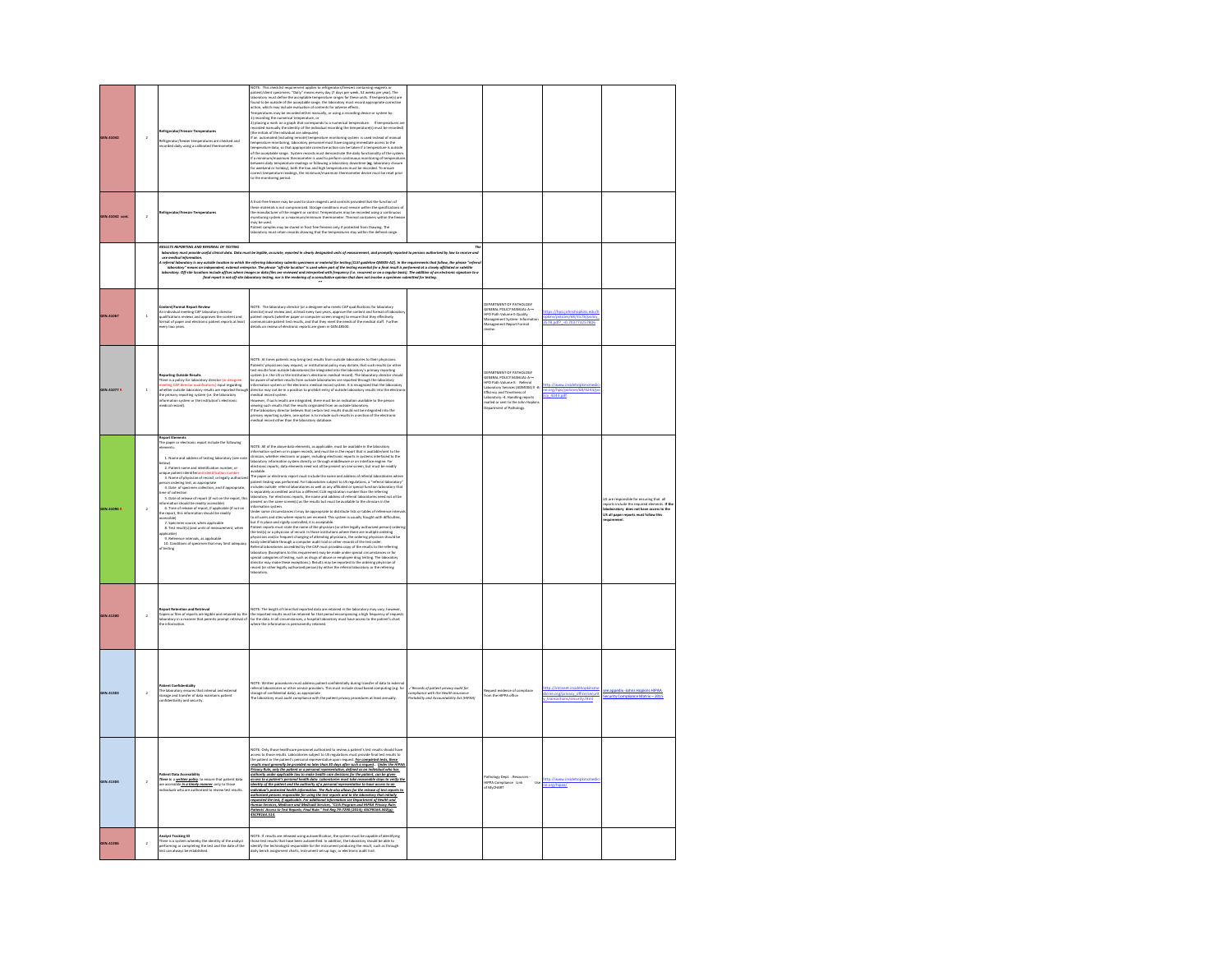| GEN.41042             | $\overline{2}$ | eratures are checked and<br>ded daily using a calibrated the                                                                                                                                                                                                                                                                                                                                                                                                                                                                                                                                                                                                                                                                                                                                                                                    | 2021). This changes can be a simple that the control property contains a particular control of the process of the control of the control of the control of the control of the control of the control of the control of the co<br>(train treuses or train restructure are acceptation).<br>If an automated (including remote) temperature monitoring system is used instead of manual<br>temperature monitoring, laboratory personnel must have ongoing innmediate acc<br>umperature axes, so not alignosynthe consertive action can be taken it at imperature in consideration of the acceptation angle 5 yielder model of the acceptation of the problem of the system of the system of the system of                                                                                                                                                                                                                                                                                                                                                                                                                                                                            |                                                                                                                            |                                                                                                                                                                                                                                                                          |                                                           |                                                                                                                                                                        |
|-----------------------|----------------|-------------------------------------------------------------------------------------------------------------------------------------------------------------------------------------------------------------------------------------------------------------------------------------------------------------------------------------------------------------------------------------------------------------------------------------------------------------------------------------------------------------------------------------------------------------------------------------------------------------------------------------------------------------------------------------------------------------------------------------------------------------------------------------------------------------------------------------------------|-----------------------------------------------------------------------------------------------------------------------------------------------------------------------------------------------------------------------------------------------------------------------------------------------------------------------------------------------------------------------------------------------------------------------------------------------------------------------------------------------------------------------------------------------------------------------------------------------------------------------------------------------------------------------------------------------------------------------------------------------------------------------------------------------------------------------------------------------------------------------------------------------------------------------------------------------------------------------------------------------------------------------------------------------------------------------------------------------------------------------------------------------------------------------------------|----------------------------------------------------------------------------------------------------------------------------|--------------------------------------------------------------------------------------------------------------------------------------------------------------------------------------------------------------------------------------------------------------------------|-----------------------------------------------------------|------------------------------------------------------------------------------------------------------------------------------------------------------------------------|
| <b>GEN.41042 cont</b> | $\overline{a}$ | lefrigerator/Freezer Temperatures                                                                                                                                                                                                                                                                                                                                                                                                                                                                                                                                                                                                                                                                                                                                                                                                               | Frost-free freezer may be used to store reagents and controls provided that the function of<br>these materials is not compromised. Storage conditions must remain within the specifications of<br>these materials is not compromised. Storage conditions must remain within the specifications of<br>monitoring system or a maximum<br>may be used.<br>Patient samples may be stored in frost free freezers only if protected from thawing. Th<br>laboratory must retain records showing that the temperatures stay within the defined                                                                                                                                                                                                                                                                                                                                                                                                                                                                                                                                                                                                                                            |                                                                                                                            |                                                                                                                                                                                                                                                                          |                                                           |                                                                                                                                                                        |
|                       |                | <b>RESULTS REPORTING AND REFERRAL OF TESTING</b>                                                                                                                                                                                                                                                                                                                                                                                                                                                                                                                                                                                                                                                                                                                                                                                                | st provide useful clinical data. Data must be legible, accurate, reparted in clearly designated units of measurement, and promptly reported to persons autho                                                                                                                                                                                                                                                                                                                                                                                                                                                                                                                                                                                                                                                                                                                                                                                                                                                                                                                                                                                                                      | $\overline{D}$<br>ized by law to receive                                                                                   |                                                                                                                                                                                                                                                                          |                                                           |                                                                                                                                                                        |
|                       |                | use medical inform<br>referral laboratory                                                                                                                                                                                                                                                                                                                                                                                                                                                                                                                                                                                                                                                                                                                                                                                                       | u manibalowa sinya katika sakini kodonja banan yakni yaituna wandali yania (20 yakda QibSeA), ta komponen ha fam<br>- banan manipa katika katika katika katika katika katika katika katika katika katika katika katika katika kat                                                                                                                                                                                                                                                                                                                                                                                                                                                                                                                                                                                                                                                                                                                                                                                                                                                                                                                                                 |                                                                                                                            |                                                                                                                                                                                                                                                                          |                                                           |                                                                                                                                                                        |
|                       |                |                                                                                                                                                                                                                                                                                                                                                                                                                                                                                                                                                                                                                                                                                                                                                                                                                                                 |                                                                                                                                                                                                                                                                                                                                                                                                                                                                                                                                                                                                                                                                                                                                                                                                                                                                                                                                                                                                                                                                                                                                                                                   |                                                                                                                            |                                                                                                                                                                                                                                                                          |                                                           |                                                                                                                                                                        |
| GEN.41067             | ı.             | <b>Content/Format Report Review</b><br>An individual meeting CAP laboratory director<br>ualifications reviews and approves the content and<br>rmat of paper and electronic patient reports at least<br>very two years                                                                                                                                                                                                                                                                                                                                                                                                                                                                                                                                                                                                                           | NOTE: The laboratory director (or a designee who meets CAP qualifications for laboratory<br>director) must review and, at least every two years, approve the content and format of lab<br>patient reports (whether paper or computer screen images) to ensure that they effectively<br>communicate patient test results, and that they meet the needs of the medical staff. Further<br>letails on review of electronic reports are given in GEN.48500                                                                                                                                                                                                                                                                                                                                                                                                                                                                                                                                                                                                                                                                                                                             |                                                                                                                            | DEPARTMENT OF PATHOLOGY<br>GENERAL POLICY MANUAL A -<br>HPO Path Volume II:Quality<br>Management System- Information<br>Management Report Format                                                                                                                         | dkins/policies/68/3578/policy<br>578.pdf? = 0.7037732578  |                                                                                                                                                                        |
| GEN.41077 R           | $\,$ 1         | $\begin{array}{l} \textbf{trapeating Ddisplay heats} \\ \textbf{Interris is a policy for laboratory director (or dissipate} \\ \textbf{metric QD direction, } \textbf{q} \text{adification} \\ \textbf{inbre's primary reporting input respectively} \\ \textbf{the primary reporting system (j.a. the laboratorythe generating system (j.a. the labelator) \\ \textbf{information system} \\ \textbf{in} \\ \textbf{in} \\ \textbf{in} \\ \textbf{in} \\ \textbf{in} \\ \textbf{in} \\ \textbf{in} \\ \textbf{in} \\ \textbf{in} \\ \textbf{in} \\ \textbf{in} \\ \textbf{in} \\ \textbf{in} \\ \textbf{in} \\ \textbf{in} \\ \textbf{$                                                                                                                                                                                                        | WOTE. At times patients may bring test results from outside laboratories to their physicians.<br>Waterative physicianis may request corriditational policy may discuss that such results (for other<br>set results from outside labo<br>nedical record system<br>.<br>However, if such results are integrated, there must be an indication available to the pers<br>viewing such results that the results originated from an outside laboratory.<br>www.g.nos.communistics.com/interactions/interactions.com/interactions/interactions/interactions.<br>If the laboratory director believes that certain test results should not be integrated into the<br>primary reporting system, one                                                                                                                                                                                                                                                                                                                                                                                                                                                                                          |                                                                                                                            | DERARTMENT OF PATHOLOGY<br>:<br>GENERAL POLICY MANUAL A.-<br>HPO Path Volume II: Referral<br>.<br>Laboratory Services (ADM004) II -8<br>Efficincy and Timeliness of<br>Laboratory: 4. Handling reports<br>nailed or sent to the John Hopkins<br>Jepartment of Pathology. | ttp://www.insidehooki<br>Inntripc/RR/4743/<br>cy 4243.pdf |                                                                                                                                                                        |
| GEN.41096 P           | $\overline{2}$ | <b>teport Elements</b><br>The paper or electronic report include the following<br>1. Name and address of testing laboratory (see<br>2. Patient name and identification number, or<br>sique patient identifierand identification number<br>3. Name of physician of record, or legally authorize<br>son ordering test, as appropriate<br>4. Date of specimen collection, and if appropriate,<br>4. Luxur to represent<br>ima of collection<br>5. Date of release of report (if not on the report, this<br>nformation should be readily accessible)<br>6. Time of release of report, if applicable (if not on<br>the report, this information<br>cessible)<br>7. Specimen source, when applicable<br>8. Test result s) (and units of measure<br>tole)<br>9. itefer<br>nce intervals, as applicable<br>10. Conditions of specimen that may limit ad | NOTE: All of the above data elements, as applicable, must be available in the laboratory<br>Information system or in paper records, and must be in the report that is available/inst to the<br>idiricular, whether electronic or pa<br>available.<br>The paper or electronic report must include the name and address of referral laboratories where<br>patient testing was performed. For laboratories sculpture to $\Omega$ regulations, a "referral laboratory that<br>include<br>resent on the same screen(s) as the results but must be available to the clinician in the<br>rformation system<br>to all users and sites where reports are received. This system is usually fraught with difficulties,<br>but if in place and rigidly controlled, it is acceptable.<br>hat if $\mu$ plus and rightly controlled to its acceptable. In cylinder particular particular points of the state of the state of the physical procedure of the state of the state of the state of the state of the state of t<br>ratory                                                                                                                                                              |                                                                                                                            |                                                                                                                                                                                                                                                                          |                                                           | onsible for ensuring that all<br>orts include the required ele-<br>sents. If the<br>laboboratory does not have access to the<br>LIS all paper reports must follow this |
| GEN.41300             | $\overline{2}$ | .<br>Iopies or files of reports are legible and retained by the<br>-<br>-----voory in a manner that permits prompt retrieval of                                                                                                                                                                                                                                                                                                                                                                                                                                                                                                                                                                                                                                                                                                                 | NOTE: The length of time that reported data are retained in the laboratory may vary; however,<br>the reported results must be retained for that period encompassing a high frequency of reques<br>for the data. In all circumstances                                                                                                                                                                                                                                                                                                                                                                                                                                                                                                                                                                                                                                                                                                                                                                                                                                                                                                                                              |                                                                                                                            |                                                                                                                                                                                                                                                                          |                                                           |                                                                                                                                                                        |
| GEN.41303             | $\overline{a}$ | <b>Patient Confidentiality</b><br>The laboratory ensures that internal and external<br>storage and transfer of data maintains patient<br>tiality and security                                                                                                                                                                                                                                                                                                                                                                                                                                                                                                                                                                                                                                                                                   | VOTE: Written procedures must address patient confidentially during transfer of data to ext<br>referral laboratories or other service providers. This must include cloud based computing (e.g. for<br>storage of confidential data), as appropriate<br>The laboratory must audit compliance with the patient privacy procedures at                                                                                                                                                                                                                                                                                                                                                                                                                                                                                                                                                                                                                                                                                                                                                                                                                                                | / Records of patient privacy audit for<br>ompliance with the Health Insurance<br>ortability and Accountability Act (HIPAA) | ce of compliace<br>lequest evidence of co<br>rom the HIPPA office                                                                                                                                                                                                        | dicine.org/privacy_office/securit<br>trans<br>rity.html   | AARIH znakodł znifo: xibaogs se<br>ecurity Compliance Matrix - 2015                                                                                                    |
| GEN.41304             | $\bar{2}$      | tient Data Accessibility<br><b>here is a written policy</b> to ensure that patient data<br>re accessible in a timely manner, only to those<br>red to review test results.<br>dividuals w                                                                                                                                                                                                                                                                                                                                                                                                                                                                                                                                                                                                                                                        | NOTE: Only those healthcare personnel authorized to review a patient's test results should have<br>access to those results. Laboratories subject to US regulations must provide final test results to<br>the patient or the patient'<br>resures must generally be provided no later than 10 days ofter such a request . Under the HIP.<br>Privacy Rule, anly the patient or a personal representative, defined as an individual who has<br>patients in under applicable law<br>access to a patient's personal health data. Laboratories must take reasonable steas to verify t<br>identity of the patient and the authority of a personal representative to have access to an<br>of a protected health inf<br>The Rule also all<br>own for the reli<br>tie of test red<br>rts to<br>authorized persons responsible for using the test reports and to the laboratory that initially<br>requested the test, if applicable. For additional information see Department of Health and<br>man Services. Medicare and Medicaid Services. "CUA Program and HIPAA Privacy Rule:<br>Patients' Access to Test Reports: Final Rule," Fed Rea 79:7250 (2014): 45CFR164.502(a):<br>SCFR164.514. |                                                                                                                            | <b>Pathology Dept. : Resource</b><br>HIPPA Compliance Link<br><b>Use</b><br>of MyCHART                                                                                                                                                                                   | http://www.insideh<br>e.org/hipaa/                        |                                                                                                                                                                        |
| GEN.41305             | $\overline{a}$ | Analyst Tracking ID<br>There is a system whereby the identity of the analyst<br>performing or completing the test and the date of the<br>test can always be established.                                                                                                                                                                                                                                                                                                                                                                                                                                                                                                                                                                                                                                                                        | NOTE: If results are released using autoverification, the system must be capable of identifying<br>those test results that have been autoverified. In addition, the laboratory should be able to<br>identify the technologist respon                                                                                                                                                                                                                                                                                                                                                                                                                                                                                                                                                                                                                                                                                                                                                                                                                                                                                                                                              |                                                                                                                            |                                                                                                                                                                                                                                                                          |                                                           |                                                                                                                                                                        |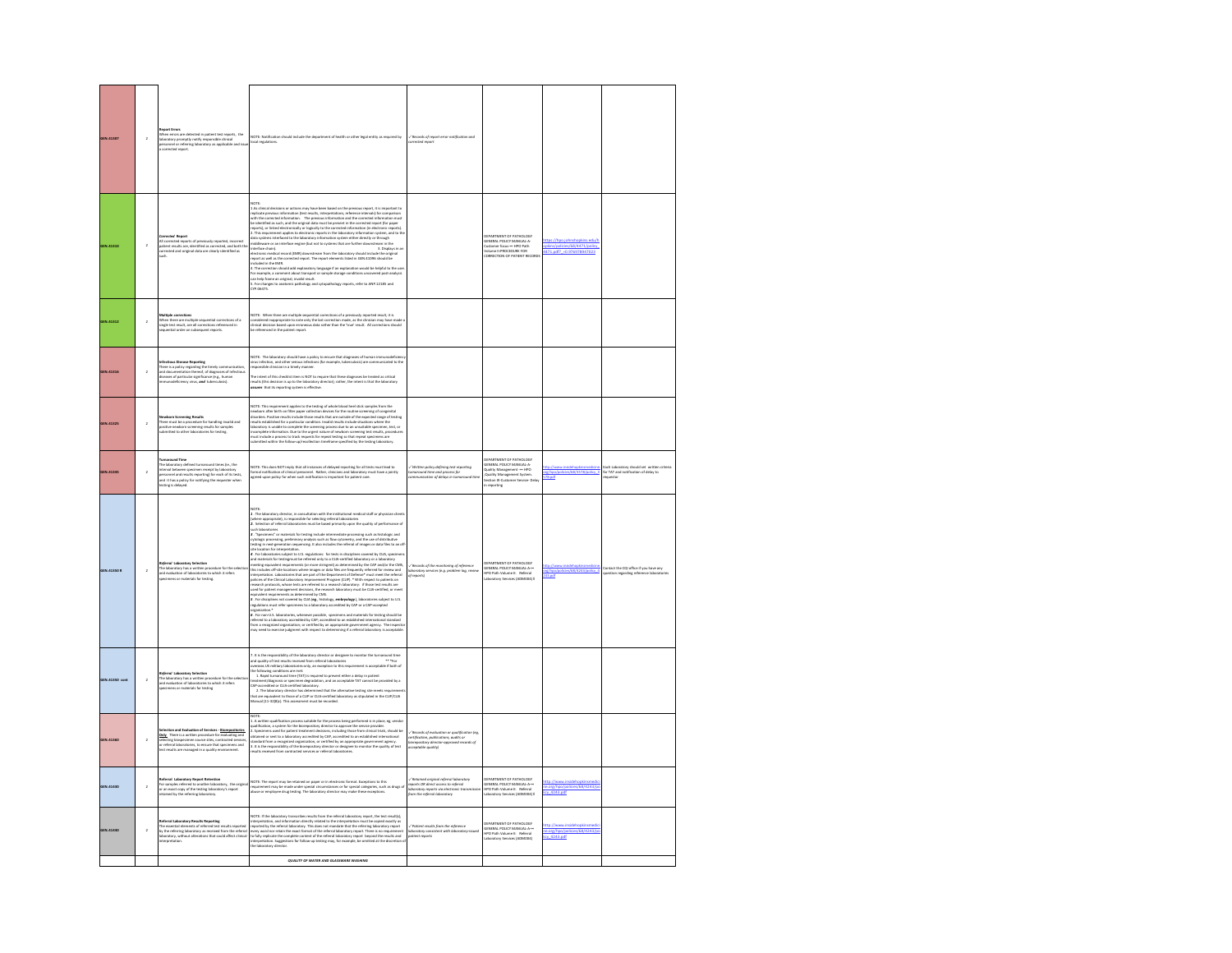| GEN.41307          | $\overline{2}$ | port Errors<br>When errors are detected in patient test reports, the<br>aboratory promptly notify responsible clinical<br>sessonnel or referring laboratory as applicable and issu<br>corrected report.                                                                                           | NOTE: Notification should include the department of health or other legal entity as required by<br>local regulations.                                                                                                                                                                                                                                                                                                                                                                                                                                                                                                                                                                                                                                                                                                                                                                                                                                                                                                                                                                                                                                                   | / Records of report error notification and<br>vrected report                                                                               |                                                                                                                                                                       |                                                                     |                                                                   |
|--------------------|----------------|---------------------------------------------------------------------------------------------------------------------------------------------------------------------------------------------------------------------------------------------------------------------------------------------------|-------------------------------------------------------------------------------------------------------------------------------------------------------------------------------------------------------------------------------------------------------------------------------------------------------------------------------------------------------------------------------------------------------------------------------------------------------------------------------------------------------------------------------------------------------------------------------------------------------------------------------------------------------------------------------------------------------------------------------------------------------------------------------------------------------------------------------------------------------------------------------------------------------------------------------------------------------------------------------------------------------------------------------------------------------------------------------------------------------------------------------------------------------------------------|--------------------------------------------------------------------------------------------------------------------------------------------|-----------------------------------------------------------------------------------------------------------------------------------------------------------------------|---------------------------------------------------------------------|-------------------------------------------------------------------|
| GEN.41310          | $\lambda$      | .<br>All corrected reports of previously reported, incorrect<br>atient results are, identified as corrected, and both<br>orrected and original data are clearly identified as                                                                                                                     | 1.As clinical decisions or actions may have been based on the previous report, it is important to<br>Let a the constant of extent may the state for the perturbation particle in the constant of the constant of the constant of the constant of the constant of the constant of the constant of the constant of the constant of t<br>insuure is in un comm.<br>4. The correction should add explanatory language if an explanation would be helpful to the use<br>can help fasme an original, insuld result.<br>2. For changes to anatomic pathology and cytopathology repor<br>CYP.06475.                                                                                                                                                                                                                                                                                                                                                                                                                                                                                                                                                                             |                                                                                                                                            | <b>ITMENT OF PATHOLOGY</b><br>SENERAL POLICY MANUAL-A-<br>Customer focus-~ HPO Path<br>/olume II:PROCEDURE FOR<br>CORRECTION OF PATIENT RECOR                         | lekins/policies/68/4471/policy<br>471.pdf? = 0.976978947023         |                                                                   |
| EN.41312           | $\bar{2}$      | Vhen there are multiple sequential corrections of a<br>ingle test result, are all corrections referenced in<br>equential order on subsequent reports.                                                                                                                                             | NOTE: When there are multiple sequential corrections of a previously reported result, it is<br>considered inappropriate to note orly the last correction made, as the clinician may have made<br>clinical decision based upon erromo                                                                                                                                                                                                                                                                                                                                                                                                                                                                                                                                                                                                                                                                                                                                                                                                                                                                                                                                    |                                                                                                                                            |                                                                                                                                                                       |                                                                     |                                                                   |
| GEN.41316          | 2              | us Disease Reporting<br>There is a policy regarding the timely communication,<br>ind documentation thereof, of diagnoses of infectious<br>diseases of particular significance (e.g., human<br>mmunodeficiency virus, <b>and</b> tuberculosis).                                                    | .<br>NOTE: The laboratory should have a policy to ensure that diagnoses of human immunodeficiens<br>inus infection, and other serious infections (for example, tuberculosis) are communicated to the<br>nsible clinician in a timely manne<br>e intent of this checklist item is NOT to require that these diagnoses be treated as critical<br>salts (this decision is up to the laboratory director); rather, the intent is that the laboratory<br>sares that its reporting syste                                                                                                                                                                                                                                                                                                                                                                                                                                                                                                                                                                                                                                                                                      |                                                                                                                                            |                                                                                                                                                                       |                                                                     |                                                                   |
| GEN.41325          | $\overline{2}$ | <b>Vewborn Screening Results</b><br>There must be a procedure for handling invalid and<br>sositive newborn screening results for samples<br>submitted to other laboratories for testing.                                                                                                          | WOTE: This requirement applies to the testing of whole blood heel stick samples from the<br>weaken after brifts on this paper collistics devices for the routies screening of comparison<br>excits resideband for a particular condi                                                                                                                                                                                                                                                                                                                                                                                                                                                                                                                                                                                                                                                                                                                                                                                                                                                                                                                                    |                                                                                                                                            |                                                                                                                                                                       |                                                                     |                                                                   |
| GEN.41345          | $\overline{2}$ | nd Time<br>Turnaround Time<br>The laboratory defined turnaround times (ie., the<br>interval between specimen receipt by laboratory<br>personnel and results reporting) for each of its tests,<br>and it has a policy for notifying the requester                                                  | NOTE: This does NOT imply that all instances of delayed reporting for all tests must lead to<br>ormal notification of clinical personnel. Rather, clinicians and laboratory must have a jointly<br>greed upon policy for when such notification is important for patient care.                                                                                                                                                                                                                                                                                                                                                                                                                                                                                                                                                                                                                                                                                                                                                                                                                                                                                          | Written policy defining test reporting<br>urnaround time and process for<br>ommunication of delays in turnors                              | DEPARTMENT OF PATHOLOGY<br>GENERAL POLICY MANUAL-A-<br>Quality Management --- HPO<br>;Quality Management System.<br>Section IX-Customer Service- Dela<br>in reporting | 78.odf                                                              | ach Laboratory should set<br>for TAT and notification of delay to |
| <b>GEN.41350 R</b> | $\overline{2}$ | te <mark>ferral Laboratory Selection</mark><br>The laboratory has a written procedure for the selecti<br>ind evaluation of laboratories to which it refers<br>pecimens or materials for testing.                                                                                                  | VOTE<br><br>I. The laboratory director, in consultation with the institutional medical staff or physician clients<br>(where appropriate), is responsible for selecting referral laboratories<br>2. Selection of referral laboratories must b<br>L'allegeure avents monumentaires particular intermediate processing such as histologic and<br>1. "Specified controller particular processing reconstructions in the state of the state of processing processing profits and the<br>this includes off-site locations where images or data files are frequently referred for review and<br>interpretation: Laboratories that are part of the Department of Defense* must meet the referral<br>imegreement, successively that are part of the Department of Delense must mean the referance policies of the celessively improvement Program (CLP). "With respect to partents on<br>particular the property of the celessions, t<br>regamation."<br>I. For non-U.S. laboratories, whenever possible, specimens and materials for testing should be<br>effered to a laboratory accredited by CAP; accredited to an established international starshed<br>rom a recognized or | / Records of the monitoring of reference<br>aboratory services (e.g. problem log, revie<br>if reports)                                     | ENERAL POLICY MANUAL-A<br>PO Path Volume II: Referral<br>boratory Services (ADM004) II                                                                                |                                                                     | tact the CQI office if you h<br>ve any                            |
| GEN.41350 cont     | $\bar{2}$      | <b>Referral Liberatory Sevection</b><br>The liaboratory has a written procedure for the i<br>ind evaluation of laboratories to which it refers<br>ipecimens or materials for testing<br>edure for the set                                                                                         | ind quality of test results received from referral laboratories<br>enseas US military laboratories only, an exception to this requirement is acceptable if both of<br>Information conditions are more<br>the following conditions are met:<br>$\Gamma$ . It applicant structure (I/AT) is required to prevent either a delay in patient<br>teatrnent/dappoisite specifical subgradient, and an acceptable TAT cannot be provided by the<br>2. De<br>Manual (11-32/81c). This asset<br>ust be recorded.                                                                                                                                                                                                                                                                                                                                                                                                                                                                                                                                                                                                                                                                  |                                                                                                                                            |                                                                                                                                                                       |                                                                     |                                                                   |
| GEN.41360          | $\overline{2}$ | Selection and Evaluation of Services - <u>Biorepositories</u><br>Only - There is a written procedure for evaluating and<br>selecting biospecimen source sites, contracted service<br>or referral laboratories, to ensure that specimens and<br>test results are managed in a quality environment. | 1. A written qualification process suitable for the process being performed is in place, eg, vendor<br>$L$ Almitted againstead probable to the procedure of the procedure of the property of the procedure of the procedure of the state of the state of the state of the state of the state of the state of the state of the state                                                                                                                                                                                                                                                                                                                                                                                                                                                                                                                                                                                                                                                                                                                                                                                                                                     | .<br>/ Records of evaluation or qualification (eg<br>hiorepository director-approved records of<br>cceptable quality)                      |                                                                                                                                                                       |                                                                     |                                                                   |
| GEN.41430          | $\overline{2}$ | Referral Laboratory Report Retention<br>For samples referred to another laboratory, the original<br>or an exact copy of the testing laboratory's report<br>stained by the referring laboratory.                                                                                                   | NOTE: The report may be retained on paper or in electronic format. Exceptions to this<br>requirement may be made under special circumstances or for special categories, such as drugs of<br>abuse or employee drug testing. The laboratory director may make these exceptions.                                                                                                                                                                                                                                                                                                                                                                                                                                                                                                                                                                                                                                                                                                                                                                                                                                                                                          | ed original referral laboratory<br>resumes organs reports superior<br>reports OR direct access to referral<br>from the referral laboratory | DEPARTMENT OF PATHOLOGY<br>GENERAL POLICY MANUAL-A-<br>IPO Path Volume II: Referral<br>aboratory Services (ADM004) II                                                 | tp://www.insidehopki<br>ne.org/hoo/policies/68/4243/<br>cy 4243.pdf |                                                                   |
| GEN.41440          | $\overline{a}$ | Referral Laboratory Results Reporting<br>The essential elements of referred test results reported<br>by the referring laboratory as received from the referral<br>boratory, without alterations that could affect clinical<br>lerpre                                                              | NOTE: If the laboratory transcribes results from the referral laboratory report, the test result(s).<br>not mean in measure y unnocentrate terms in the interpretation must be copied exactly as<br>interpretation, and information directly related to the interpretation must be copied exactly as<br>exported by the referral laboratory.<br>were your use to complete content of the referral laboratory report. Investigate and the field of the results and interpretation. Suggestions for follow-up testing may, for example, be omitted at the discretion the laborat                                                                                                                                                                                                                                                                                                                                                                                                                                                                                                                                                                                          | Patient results from the reference<br>boratory consistent with laboratory-<br>tient reports                                                | DEPARTMENT OF PATHOLOGY<br>GENERAL POLICY MANUAL-A-<br>HPO Path Volume II: Referral<br>Laboratory Services (ADMOD4)                                                   | (68/4243)<br>e.org/h<br>cv 4243.odf                                 |                                                                   |
|                    |                |                                                                                                                                                                                                                                                                                                   | <b>OUALITY OF WATER AND GLASSWARE WASHING</b>                                                                                                                                                                                                                                                                                                                                                                                                                                                                                                                                                                                                                                                                                                                                                                                                                                                                                                                                                                                                                                                                                                                           |                                                                                                                                            |                                                                                                                                                                       |                                                                     |                                                                   |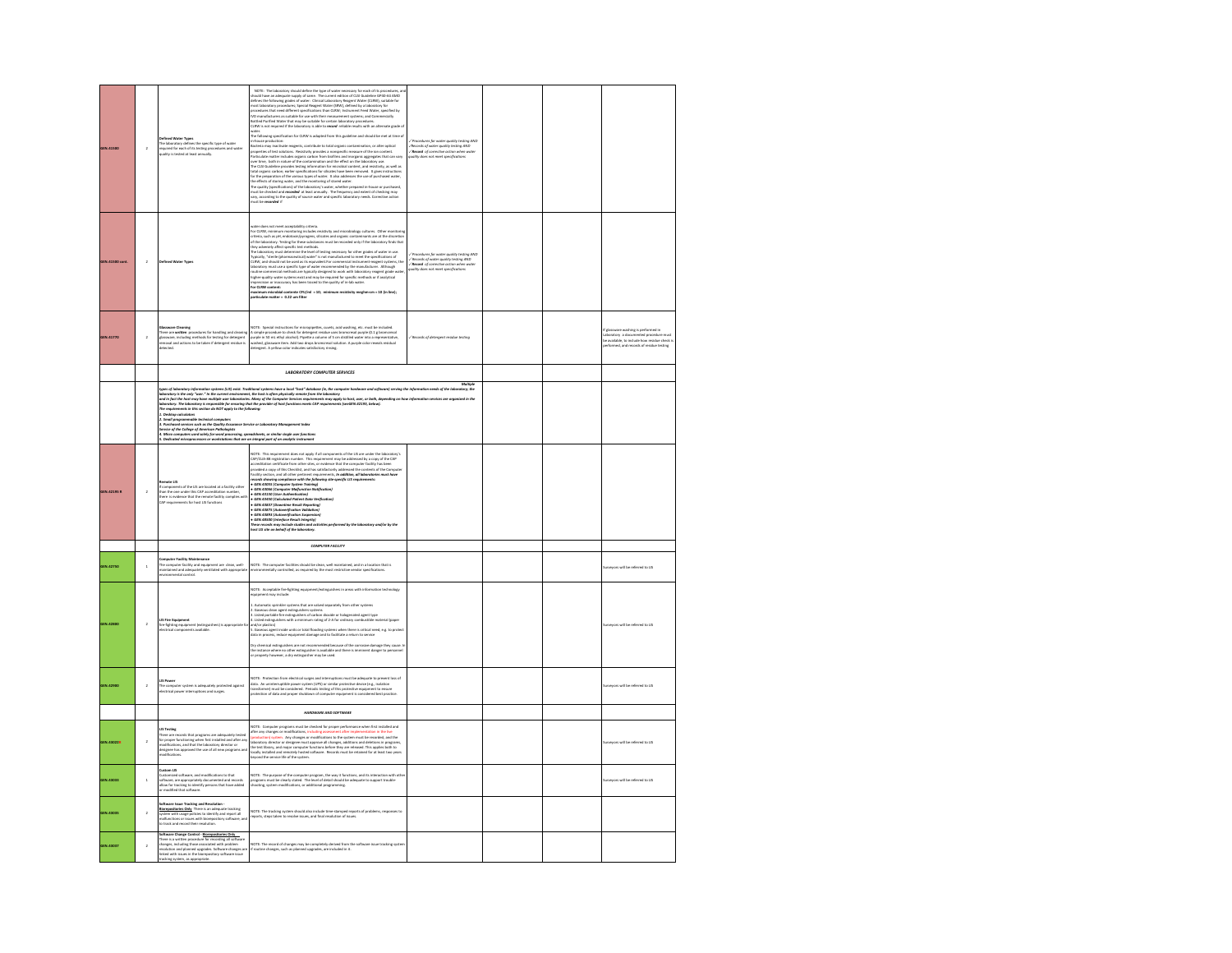| GEN.41500        | $\overline{2}$          | <b>Jefined Water Types</b><br>The laboratory defines the specific type of water<br>required for each of its testing procedures and water<br>quality is tested at least annually.                                                                                                                                                                                                                                                                       | NOTE: The inherency should define the type of water encessary for each of its procedures, and<br>holds how an energy entropy calors. The contract effects of CD optical<br>most independent of the property of the contract effects<br>The ideoxorg specification for CLRW is adapted from this guideline and should be met at time of<br>behouse production:<br>Bacteria may insclinive neagents, contribute to total regard constantation, or atter optical<br>properties of<br>"<br>The CLSI Quideline provides testing information for microbial content, and resistivity, as well as<br>total organic carbon; earlier specifications for silicates have been removed. It gives instructions<br>for the preparation o<br>ter one proparation on two warrous types of worker. It also assumes the use of purchases the effects of storing water, and the monotoring of stored water.<br>The effects of storing water, and the inhoritory water, whether pr | √ Pracedures for water quality testing AND<br>√Records of water quality testing AND<br>√Record of corrective action when water<br>plity does not meet specifications                                                                                                                                                                                          |  |                                                                                                                                                                      |
|------------------|-------------------------|--------------------------------------------------------------------------------------------------------------------------------------------------------------------------------------------------------------------------------------------------------------------------------------------------------------------------------------------------------------------------------------------------------------------------------------------------------|---------------------------------------------------------------------------------------------------------------------------------------------------------------------------------------------------------------------------------------------------------------------------------------------------------------------------------------------------------------------------------------------------------------------------------------------------------------------------------------------------------------------------------------------------------------------------------------------------------------------------------------------------------------------------------------------------------------------------------------------------------------------------------------------------------------------------------------------------------------------------------------------------------------------------------------------------------------|---------------------------------------------------------------------------------------------------------------------------------------------------------------------------------------------------------------------------------------------------------------------------------------------------------------------------------------------------------------|--|----------------------------------------------------------------------------------------------------------------------------------------------------------------------|
| GEN.41500 cont   | $\overline{a}$          | Defined Water Types                                                                                                                                                                                                                                                                                                                                                                                                                                    | does not meet acceptability criteria<br>www.source.com/mainter/second/second/second/second/second/second/second/second/second/second/second/second/second/second/second/second/second/second/second/second/second/second/second/second/second/second/second/second/sec<br>of the issues<br>interaction of the specific term includes must constraint the recording to<br>the specifical state and the specifical state of the specifical field<br>$\eta$ and the specifical state of the specifical state<br>in the s<br>or CLRW c<br>sotent:<br>nicrobial contente CFU/ml = 10; minimum resistivity meghm-cm = 10 (in line);<br>erticulate matter = 0.22 um filter                                                                                                                                                                                                                                                                                           | $\label{thm:main} \begin{array}{l} \hspace{-3mm} \sqrt{\rho_{\text{rec}}}\text{excessers for matter quality testing AND} \\ \hspace{-3mm} \sqrt{\text{Reconst}}\text{ of water quality testing AND} \\ \hspace{-3mm} \sqrt{\text{Recard of}}\text{ of concelive actions when water} \\ \hspace{-3mm} \text{quality does not meet specifications} \end{array}$ |  |                                                                                                                                                                      |
| <b>GEN.41770</b> | $\overline{a}$          | re Clean<br>There are written procedures for handling and cleaning<br>glassware, including methods for testing for detergent<br>removal and actions to be taken if detergent residue is<br>detected.                                                                                                                                                                                                                                                   | NOTE: Special instructions for micropipattes, cuvets, acid washing, etc. must be included.<br>A simple procedure to check for detergent residue uses bromcresol purple (0.1 g bromcresol<br>purple in 50 mL ethyl alcohol). Pipette a column of 5 cm distilled water into a representative,<br>washed, glassware item. Add two dr<br>detergent. A yellow color indicates satisfactory rinsing.                                                                                                                                                                                                                                                                                                                                                                                                                                                                                                                                                                | / Records of detergent residue testing                                                                                                                                                                                                                                                                                                                        |  | issware washing is performed in<br>oratory a documented procedure must<br>be available, to include how residue check is<br>performed, and records of residue testing |
|                  |                         |                                                                                                                                                                                                                                                                                                                                                                                                                                                        | <b>I AROBATORY COMPUTER SERVICES</b>                                                                                                                                                                                                                                                                                                                                                                                                                                                                                                                                                                                                                                                                                                                                                                                                                                                                                                                          |                                                                                                                                                                                                                                                                                                                                                               |  |                                                                                                                                                                      |
|                  |                         |                                                                                                                                                                                                                                                                                                                                                                                                                                                        |                                                                                                                                                                                                                                                                                                                                                                                                                                                                                                                                                                                                                                                                                                                                                                                                                                                                                                                                                               |                                                                                                                                                                                                                                                                                                                                                               |  |                                                                                                                                                                      |
|                  |                         | uussusus<br>The requi<br>L. Small p<br><i>ing colcula</i><br>L. Desktop calculators<br>1. Small programmable technical computers<br>1. Purchased services such as the Quality Assura<br>Service of the College of American Pathologists<br>.<br>I. Micro computers used solely for word processing, spreadsheets, or similar single user functions<br>I. Dedicated microprocessors or workstations that are an integral part of an analytic instrument | hpes of laboratory biformation system (LSI) anti. Traditional system have a lead "after discussion provided an<br>laboratory is the of "and the convent sensor be having the system and in laboratory. The comparison of the inte<br>e Senire or John<br>whose Adve                                                                                                                                                                                                                                                                                                                                                                                                                                                                                                                                                                                                                                                                                           |                                                                                                                                                                                                                                                                                                                                                               |  |                                                                                                                                                                      |
| GEN.42195 R      | $\overline{a}$          | <b>Remote LIS</b><br>If components of the LIS are located at a facility other<br>than the one under this CAP accreditation number,<br>there is evidence that the remote facility complies with<br>CAP requirements for host LIS functions                                                                                                                                                                                                              | NOTE: This requirement does not apply if all components of the US are under the laboratory<br>contained and product the state of the contained and the state of the state of the state of the contact of the<br>product a copy of t<br>-<br>GEN.43450 (Calculated Patient Data Verification)<br>- GEN.43837 (Downtime Result Reporting)<br>GEN.43875 (Autoverification Volidation)<br>.<br>GEN.43893 (Autoverification Suspensio<br>GEN.48500 (Interface Result Integrity)<br>.<br>These records may include studies and activities performed by the Iaboratory and/or by the<br>hast LIS site on behalf of the Iaboratory.                                                                                                                                                                                                                                                                                                                                   |                                                                                                                                                                                                                                                                                                                                                               |  |                                                                                                                                                                      |
|                  |                         |                                                                                                                                                                                                                                                                                                                                                                                                                                                        | COMPUTER FACILITY                                                                                                                                                                                                                                                                                                                                                                                                                                                                                                                                                                                                                                                                                                                                                                                                                                                                                                                                             |                                                                                                                                                                                                                                                                                                                                                               |  |                                                                                                                                                                      |
| <b>GEN.42750</b> | $\overline{1}$          | <b>Computer Facility Maintenance</b><br>computer receive real responses<br>The computer facility and equipment are clean, well-<br>maintained and adequately ventilated with appropriate<br>invironmental control.                                                                                                                                                                                                                                     | NOTE: The computer facilities should be clean, well maintained, and in a location that is<br>environmentally controlled, as required by the most restrictive vendor specifications.                                                                                                                                                                                                                                                                                                                                                                                                                                                                                                                                                                                                                                                                                                                                                                           |                                                                                                                                                                                                                                                                                                                                                               |  | rveyors will be referred to LIS                                                                                                                                      |
| <b>GEN 42800</b> | $\overline{a}$          | .<br>IS Fire Equ<br>I <b>S Fire Equipment</b><br>ire-fighting equipment (extinguishers) is appropr<br>fectrical components available.                                                                                                                                                                                                                                                                                                                  | NOTE: Acceptable fire-fighting equipment/extinguishers in areas with information technology<br>quipment may include<br>1. Automatic spriekler systems that are valved separately from other systems<br>2. Cassious close agent extraguishmic systems<br>1. Listed portable fire extinguishers of carbon disable or halogenated agent type<br>1. Listed extragu<br>and/or plastics)<br>5. Gaseous agent inside units or total flooding systems when there is critical need, e.g. to protect<br>data in process, reduce equipment damage and to facilitate a return to service<br>Dry chemical extineuishers are not recommended because of the corrosive damage they cause. In<br>way warmwaar woongesomen ame maa resusancemental waar waar waar waar waar van kantaan ama dan dan dan dan dan<br>the instance where no other extinguisher is available and there is imminent danger to personnel<br>or property how                                          |                                                                                                                                                                                                                                                                                                                                                               |  | rveyors will be referred to LIS                                                                                                                                      |
| GEN.42900        | $\,$                    | LIS Power<br>he computer system is adequately protected against<br>rectrical power interruptions and surges.                                                                                                                                                                                                                                                                                                                                           | .<br>NOTE: Protection from electrical surges and interruptions must be adequate to prevent loss of<br>data. An uninterruptible power system (UPS) or similar protective device (e.g., isolation<br>.<br>transformer) must be considered. Periodic testing of this protective equipment to ensure<br>protection of data and proper shutdown of computer equipment is considered best practice.                                                                                                                                                                                                                                                                                                                                                                                                                                                                                                                                                                 |                                                                                                                                                                                                                                                                                                                                                               |  | arveyors will be referred to LIS                                                                                                                                     |
|                  |                         |                                                                                                                                                                                                                                                                                                                                                                                                                                                        | <b>HARDWARE AND SOFTWARE</b>                                                                                                                                                                                                                                                                                                                                                                                                                                                                                                                                                                                                                                                                                                                                                                                                                                                                                                                                  |                                                                                                                                                                                                                                                                                                                                                               |  |                                                                                                                                                                      |
| GEN.43022R       | $\overline{a}$          | <b>IS Testing</b><br>There are records that programs are adequately tested<br>for proper functioning when first installed and after any<br>modifications, and that the laboratory director or<br>designee has approved the use of all new programs and<br>modif                                                                                                                                                                                        | NOTE: Computer programs must be checked for proper performance when first installed and<br>after any changes or modifications, including assessment after implementation in the line<br>(greduction) system. Any changes or modific                                                                                                                                                                                                                                                                                                                                                                                                                                                                                                                                                                                                                                                                                                                           |                                                                                                                                                                                                                                                                                                                                                               |  | rveyors will be referred to LIS                                                                                                                                      |
| GEN.43033        | $\mathbf{1}$            | custom US<br>ustomized software, and modifications to that<br>oftware, are appropriately documented and records<br>illow for tracking to identify persons that have added<br>r modified that software.                                                                                                                                                                                                                                                 | NOTE: The purpose of the computer program, the way it functions, and its interaction with oth<br>programs must be clearly stated. The level of detail should be adequate to support trouble-<br>shooting, system modifications, or a                                                                                                                                                                                                                                                                                                                                                                                                                                                                                                                                                                                                                                                                                                                          |                                                                                                                                                                                                                                                                                                                                                               |  | ryeyors will be referred to LIS                                                                                                                                      |
| <b>GEN.43035</b> | $\overline{a}$          | Software Issue Tracking and Resolution -<br>Biorepositories Only There is an adequate tracking<br>stem with usage policies to identify and report all<br>halfunctions or issues with biorepository software, an<br>o track and record their resolution                                                                                                                                                                                                 | NOTE: The tracking system should also include time-stamped reports of problems, responses to<br>reports, steps taken to resolve issues, and final resolution of issues.                                                                                                                                                                                                                                                                                                                                                                                                                                                                                                                                                                                                                                                                                                                                                                                       |                                                                                                                                                                                                                                                                                                                                                               |  |                                                                                                                                                                      |
| GEN.43037        | $\overline{\mathbf{2}}$ | Software Change Control - Biorepositories Only<br>There is a written procedure for recording all software<br>changes, including those associated with problem<br>resolution and planned upgrades. Software changes an<br>nked with issues in the biorepository software issue<br>racking system, as appropriate.                                                                                                                                       | .<br>NOTE: The record of changes may be completely derived from the software issue tracking syste<br>if routine changes, such as planned upgrades, are included in it.                                                                                                                                                                                                                                                                                                                                                                                                                                                                                                                                                                                                                                                                                                                                                                                        |                                                                                                                                                                                                                                                                                                                                                               |  |                                                                                                                                                                      |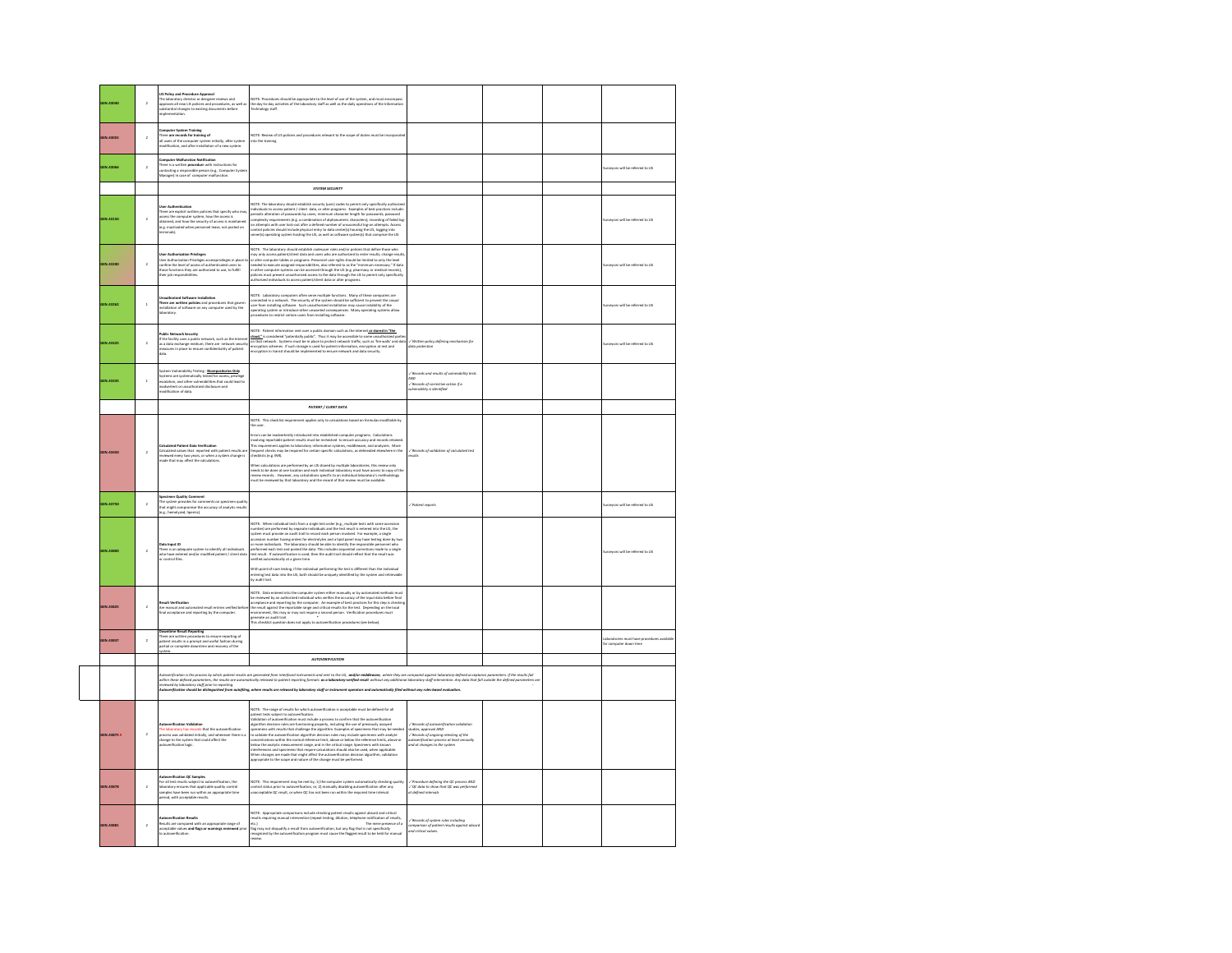| EN.43040        | $\overline{\mathbf{2}}$ | LIS Policy and Procedure Approval<br>The laboratory director or designee reviews and<br>opproves all new LIS policies and procedures, as well as<br>ubstantial changes to existing documents before<br>plementation.                                                             | NOTE: Procedures should be appropriate to the level of use of the system, and must encompass<br>the day-to-day activities of the laboratory staff as well as the daily operations of the Information<br>Technology staff.                                                                                                                                                                                                                                                                                                                                                                                                                                                                                                                                                                                                                                                                                   |                                                                                                                                                                                                  |  |                                                             |
|-----------------|-------------------------|----------------------------------------------------------------------------------------------------------------------------------------------------------------------------------------------------------------------------------------------------------------------------------|-------------------------------------------------------------------------------------------------------------------------------------------------------------------------------------------------------------------------------------------------------------------------------------------------------------------------------------------------------------------------------------------------------------------------------------------------------------------------------------------------------------------------------------------------------------------------------------------------------------------------------------------------------------------------------------------------------------------------------------------------------------------------------------------------------------------------------------------------------------------------------------------------------------|--------------------------------------------------------------------------------------------------------------------------------------------------------------------------------------------------|--|-------------------------------------------------------------|
| EN.43055        | $\overline{2}$          | Computer System Training<br>There are records for training of<br>Il users of the computer system initially, after system<br>nodification, and after installation of a new system.                                                                                                | (OTE: Review of LIS policies and procedures relevant to the scope of duties must be incorporated                                                                                                                                                                                                                                                                                                                                                                                                                                                                                                                                                                                                                                                                                                                                                                                                            |                                                                                                                                                                                                  |  |                                                             |
| EN.43066        | $\overline{a}$          | mputer Malfunction Notification<br>There is a written procedure with instructions for<br>contacting a responsible person (e.g., Computer Syste<br>Manager) in case of computer malfunction.                                                                                      |                                                                                                                                                                                                                                                                                                                                                                                                                                                                                                                                                                                                                                                                                                                                                                                                                                                                                                             |                                                                                                                                                                                                  |  | urveyors will be referred to LIS                            |
|                 |                         |                                                                                                                                                                                                                                                                                  | <b>SYSTEM SECURITY</b>                                                                                                                                                                                                                                                                                                                                                                                                                                                                                                                                                                                                                                                                                                                                                                                                                                                                                      |                                                                                                                                                                                                  |  |                                                             |
| <b>EN.43150</b> | $\overline{a}$          | User Authenticausen<br>Three are explicit written policies that specify who may<br>access the correputer system, how the access is<br>obtained, and how the security of access is maintained<br>(e.g. inactivated when personnel leave, no<br>nals).                             | NOTE: The laboratory should establish security (user) codes to permit only specifically authorize<br>individuals to access patient / climst data, or alter programs. Txamples of best practices included<br>pariodic alteration of p<br>r automass wour user courses anes a seemes manual or to use construct to promote the state of the second include physical entry to data center(s) housing the LtS, logging into<br>intro(s) operating system hosting the LtS, as                                                                                                                                                                                                                                                                                                                                                                                                                                    |                                                                                                                                                                                                  |  | ryeyors will be referred to LIS                             |
| IEN.43200       | $\,$ $\,$               | er Authorization Privileges<br>.<br>Iser Authorization Privileges accessprivileges in place<br>onfine the level of access of authenticated users to<br>eir job responsibilities.                                                                                                 | .<br>NOTE: The laboratory should establish codesuser roles and/or policies that define those who<br>may only access patient/client data and users who are authorized to enter results, change result<br>rroy uny assess paramazonano ausa uno unes amb a presentativa de mente a menos, una grande de la proprieta de<br>or alter computer tables or programs. Personnel user rights should be limited to only the level<br>in other compute<br>valicies must prevent unauthorized access to the data through the LIS to permit only specifically<br>uthorized individuals to access patient/client data or alter programs.                                                                                                                                                                                                                                                                                 |                                                                                                                                                                                                  |  | ors will be referred to LIS                                 |
| EN.43262        | $\overline{1}$          | suthorized Software Installation<br>There are written policies and procedures that govern<br>nstallation of software on any computer used by the<br>boratory.                                                                                                                    | OTE: Laboratory computers often serve multiple functions. Many of these computers are<br>mected in a network. The security of the system should be sufficient to prevent the casual<br>user from installing software. Such unauthorized installation may cause instability of the<br>operating system or introduce other unwanted consequences. Many operating systems allow<br>ocedures to restrict certain users from installing software.                                                                                                                                                                                                                                                                                                                                                                                                                                                                |                                                                                                                                                                                                  |  | rveyors will be referred to LIS                             |
| EN.43325        | $\bar{2}$               | Public Network Security<br>If the facility uses a public network, such as the Internet<br>as a data exchange medium, there are network security<br>measures in place to ensure confidentiality of patient<br>iata.                                                               | NOTE: Patient information sent over a public domain such as the Internet or stored in "the<br>elead." is comidered "potentially public". Thus it may be accessible to some unauthorized parties<br>on that network. Systems must be in place to protect network traffic, such as "fre walls' and data<br>ncryption schemes. If such storage is used for patient information, encryption at rest and<br>ncryption in transit should be implemented to ensure network and data security.                                                                                                                                                                                                                                                                                                                                                                                                                      | / Written policy defining mechanism for<br><b>Sota arotection</b>                                                                                                                                |  | urveyors will be referred to LIS                            |
| EN.43335        | $\overline{\mathbf{1}}$ | lystem Vulnerability Testing - Bioregositories Only<br>Systems are systematically tested for access, privilege<br>escalation, and other vulnerabilities that could lead to<br>advertent or unauthorized disclosure and<br>odification of data.                                   |                                                                                                                                                                                                                                                                                                                                                                                                                                                                                                                                                                                                                                                                                                                                                                                                                                                                                                             | Records and results of vulnerability tests<br>NVD<br>/ Records of corrective action if a<br>ruinerability is identified                                                                          |  |                                                             |
|                 |                         |                                                                                                                                                                                                                                                                                  | PATIENT / CLIENT DATA                                                                                                                                                                                                                                                                                                                                                                                                                                                                                                                                                                                                                                                                                                                                                                                                                                                                                       |                                                                                                                                                                                                  |  |                                                             |
| EN.43450        | $\overline{2}$          | <b>Calculated Patient Data Verification</b><br>Calculated values that reported with patient results are<br>reviewed every two years, or when a system change is<br>nade that may affect the calculations                                                                         | NOTE: This checklist requirement applies only to calculations based on formulas modifiable by<br>Errors can be inadvertently introduced into established computer programs. Calculations<br>Involving reportable patient results must be rechedued to ensure accuracy and records retained.<br>This requirement applies to laboratory<br>When calculations are performed by an LtS shared by multiple laboratories, this review only<br>needs to be done at one location and each individual laboratory must have access to copy of the<br>review records However, any calculations specific to an individual laboratory's methodology<br>must be reviewed by that laboratory and the record of that review must be available.                                                                                                                                                                              | / Records of validation of calculated test<br>dub                                                                                                                                                |  |                                                             |
| EN.43750        | $\,$ $\,$               | secimen Quality Comment<br>peament spanny community<br>The system provides for comments on specimen qualit<br>Inat might compromise the accuracy of analytic result<br> e.g., hemolyzed, lipemic).                                                                               |                                                                                                                                                                                                                                                                                                                                                                                                                                                                                                                                                                                                                                                                                                                                                                                                                                                                                                             | Patient reports                                                                                                                                                                                  |  | ryeyors will be referred to LIS                             |
| EN.43800        | $\bar{2}$               | ta Input ID<br>There is an adequate system to identify all individu<br>who have entered and/or modified patient / client data                                                                                                                                                    | NOTE: When individual tests from a single test order (e.g., multiple tests with same accessio<br>number) are performed by separate individuals and the test result is entered into the LIS, the<br>system must provide an audit trail to record each person involved. For example, a single<br>.<br>Incession number having orders for electrolytes and a ligid panel may have testing done by two<br>or more individuals. The laboratory should be able to identify the responsible personnel who<br>performed each test and posted t<br>ost result. If autoverification is used, then the audit trail should reflect that the result was<br>verified automatically at a given time.<br>With point-of-care testing, if the individual performing the test is different than the individ<br>entering test data into the LIS, both should be uniquely identified by the system and retrie<br>by audit trail. |                                                                                                                                                                                                  |  | rveyors will be referred to LIS                             |
| EN.43825        | $\bar{2}$               | tesult Verification<br>ire manual and automated result entries verified befi<br>inal acceptance and reporting by the computer.                                                                                                                                                   | VOTE: Data entered into the computer system either manually or by automated methods must<br>have concentrated in the main control of the state of the strength of the state of the state of the state of the state of the state of the state of the state of the state of the state of the state of the state of the stat                                                                                                                                                                                                                                                                                                                                                                                                                                                                                                                                                                                   |                                                                                                                                                                                                  |  |                                                             |
| EN.43837        | $\overline{a}$          | <b>Jowntime Result Reporting</b><br>There are written procedures to ensure reporting of<br>atient results in a prompt and useful fashion durin<br>rartial or complete downtime and recovery of the<br>ing                                                                        |                                                                                                                                                                                                                                                                                                                                                                                                                                                                                                                                                                                                                                                                                                                                                                                                                                                                                                             |                                                                                                                                                                                                  |  | vratories must have procedures ava<br>or computer down time |
|                 |                         |                                                                                                                                                                                                                                                                                  | <b>AUTOVERIFICATION</b>                                                                                                                                                                                                                                                                                                                                                                                                                                                                                                                                                                                                                                                                                                                                                                                                                                                                                     |                                                                                                                                                                                                  |  |                                                             |
|                 |                         |                                                                                                                                                                                                                                                                                  | utownfication is the process by which patient results are generated from interfaced instruments and sent to the LIS. and/or middlewave, where they are compared paginst laboratory-defined acceptance parameters. If the resul<br>witherity was a proceed of their planes reads of glimation for the interest of the state of the state of the state of the state of the state of the state of the state of the state of the state of the state of the state of<br>ally released to patient reporting formats <b>as a laboratory-verified result</b> without any additional laboratory staff intervention. Any data that fall autside the defined parameters as                                                                                                                                                                                                                                             |                                                                                                                                                                                                  |  |                                                             |
| EN.43875        | $\bar{2}$               | Autowerification Validation<br>The laboratory has records that the autowerification<br>process was validated initially, and whenever there is a<br>change to the system that could affect the<br>there is a<br>fication logic.                                                   | OTE: The range of results for which autoverification is acceptable must be defined for all<br>WETHE. The range of much that which actions the<br>strain fields and actions of a state of the state of the state of the<br>state of a state of the state of the state of the state of the state<br>of the state of the state of the s                                                                                                                                                                                                                                                                                                                                                                                                                                                                                                                                                                        | ds of au<br>r mecaras of autoverification validation<br>Itudies, approval AND<br>if Mecards of ongoing retesting of the<br>utoverification process at least annus<br>ud at changes to the system |  |                                                             |
| EN.43878        | $\overline{2}$          | erfication OC Samples<br>or all test results subject to autoverification, the<br>or all test results subject to autoveritication, the<br>iboratory ensures that applicable quality control<br>amples have been run within an appropriate time<br>eriod, with acceptable results. | NOTE: This requirement may be met by, 1) the computer system automatically checking quality<br>control status prior to autoverification, or, 2) manually disabling autoverification after any<br>unacceptable QC result, or when QC                                                                                                                                                                                                                                                                                                                                                                                                                                                                                                                                                                                                                                                                         | edure defining the QC process AND<br>canner any every use acc process AND<br>GC data to show that QC was performed /<br>It defined intervals                                                     |  |                                                             |
| EN.43881        | $\overline{a}$          | ouverture to compare with an appropriate range of<br>issuits are compared with an appropriate range of<br>couptable values <b>and flags or warnings reviewed</b> pri<br>o autoverification.                                                                                      | .<br>AOTE: Appropriate comparisons include checking patient results against absurd and critica<br>esults requiring manual intervention (repeat testing, dilution, telephone notification of res<br>results requiring manual intervention (repeat testing, dilution, telephone notification of results,<br>etc.)<br>This may not disqualify a result from autoverification, but any flag that is not specifically<br>recognized by the auto                                                                                                                                                                                                                                                                                                                                                                                                                                                                  | .<br>Alecards of system rules includin<br>und critical values.<br>Ind critical values.<br>.<br>Inst obsun                                                                                        |  |                                                             |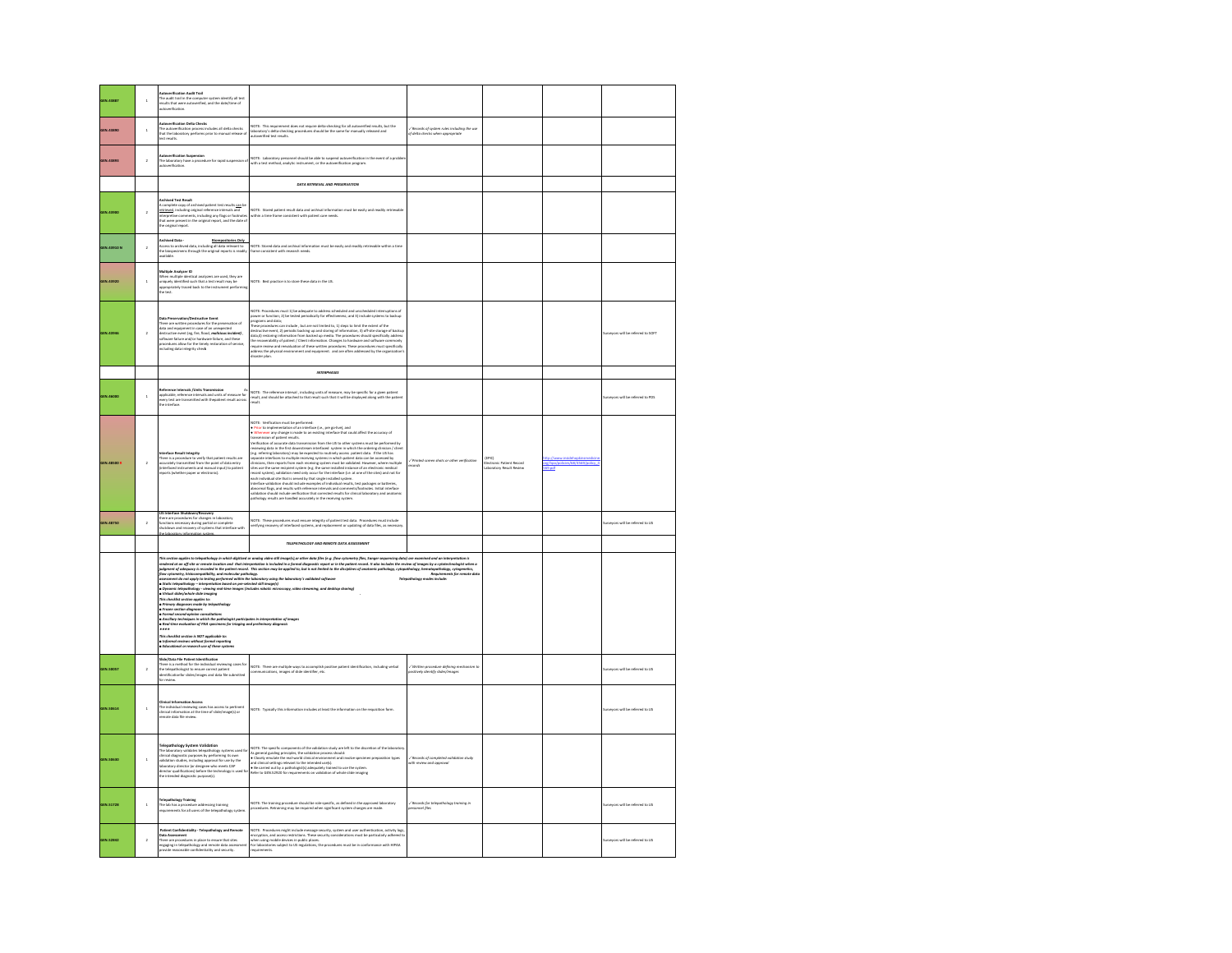| <b>GEN.43887</b>   | $\,$ 1                  | <b>Autoverification Audit Trail</b><br>The audit trail in the computer system identify all test<br>results that were autoverified, and the date/time of<br>utoverification.                                                                                                                                                                                                                                                             |                                                                                                                                                                                                                                                                                                                                                                                                                                                                                                                                                                                                                                                                                                                                                                                                          |                                                                                   |                                               |                          |                                    |
|--------------------|-------------------------|-----------------------------------------------------------------------------------------------------------------------------------------------------------------------------------------------------------------------------------------------------------------------------------------------------------------------------------------------------------------------------------------------------------------------------------------|----------------------------------------------------------------------------------------------------------------------------------------------------------------------------------------------------------------------------------------------------------------------------------------------------------------------------------------------------------------------------------------------------------------------------------------------------------------------------------------------------------------------------------------------------------------------------------------------------------------------------------------------------------------------------------------------------------------------------------------------------------------------------------------------------------|-----------------------------------------------------------------------------------|-----------------------------------------------|--------------------------|------------------------------------|
| GEN.43890          | $\overline{\mathbf{1}}$ | Autoverification Delta Checks<br>The autoverification process includes all delta checks<br>that the laboratory performs prior to manual release of<br>test results.                                                                                                                                                                                                                                                                     | NOTE: This requirement does not require delta-checking for all autoverified results, but the<br>laboratory's delta-checking procedures should be the same for manually released and<br>toverified test results.                                                                                                                                                                                                                                                                                                                                                                                                                                                                                                                                                                                          | Records of system rules including the use<br>of delta checks when appropriate     |                                               |                          |                                    |
| GEN.43893          | $\overline{a}$          | Autoverification Suspension<br>The laboratory have a procedure for rapid suspension of<br>autoverification.                                                                                                                                                                                                                                                                                                                             | NOTE: Laboratory personnel should be able to suspend autoverification in the event of a proble<br>with a test method, analytic instrument, or the autoverification program.                                                                                                                                                                                                                                                                                                                                                                                                                                                                                                                                                                                                                              |                                                                                   |                                               |                          |                                    |
|                    |                         |                                                                                                                                                                                                                                                                                                                                                                                                                                         | DATA RETRIEVAL AND PRESERVATION                                                                                                                                                                                                                                                                                                                                                                                                                                                                                                                                                                                                                                                                                                                                                                          |                                                                                   |                                               |                          |                                    |
| GEN.43900          | $\lambda$               | Archived Test Result<br>A complete copy of archived patient best results <u>can</u> be completed in<br>clusting original reference intervals and interpretive comments, including<br>any flags or footnotes:<br>that were present in the origi<br>he original report.                                                                                                                                                                   | NOTE: Stored patient result data and archival information must be easily and readily retri-<br>within a time frame consistent with patient care needs.                                                                                                                                                                                                                                                                                                                                                                                                                                                                                                                                                                                                                                                   |                                                                                   |                                               |                          |                                    |
| GEN.43910 N        | $\bar{2}$               | <b>Archived Data -</b><br><b>Archived Data - Riorepositories Only<br/>Access to archived data, including all data relevant to</b><br>the biospecimens through the original reports is readily<br>available.                                                                                                                                                                                                                             | NOTE: Stored data and archival information must be easily and readily retrievable within a time<br>frame consistent with research needs.                                                                                                                                                                                                                                                                                                                                                                                                                                                                                                                                                                                                                                                                 |                                                                                   |                                               |                          |                                    |
| GEN.43920          | $\,$ 1                  | Multiple Analyzer ID<br>.<br>Iniquely identified such that a test result may be<br>ippropriately traced back to the instrument performin<br>the test.                                                                                                                                                                                                                                                                                   | NOTE: Best practice is to store these data in the LIS.                                                                                                                                                                                                                                                                                                                                                                                                                                                                                                                                                                                                                                                                                                                                                   |                                                                                   |                                               |                          |                                    |
| GEN.43946          | $\overline{a}$          | <b>Data Preservation/Destructive Event</b><br>ower reservation procedures for the preservation of<br>there are written procedures for the preservation of<br>data and equipment in case of an unexpected<br>destructive event (eg, fire, flood, medicious incident) ,<br>oftware failure and/or hardware failure, and these<br>procedures allow for the timely restoration of service,<br>ncluding data integrity check                 | NOTE: Procedures must 1) be adequate to address scheduled and unscheduled intern<br>r or function; 2) be tested periodically for effectiveness; and 3) include systems to backup<br>.<br>programs and data;<br>These procedures can include , but are not limited to, 1) steps to limit the extent of the<br>tive event, 2) periodic backing up and storing of information, 3) off-site storage of backup<br>restoring information from backed up media. The procedures should specifically address<br>destructive www<br>data,4) restoring in<br>the recoverability of patient / Client information. Changes to hardware and software commonly<br>require review and reevaluation of these written procedures. These procedures must specifically<br>address the physical environment<br>disaster plan. |                                                                                   |                                               |                          | Surveyors will be referred to SOFT |
|                    |                         |                                                                                                                                                                                                                                                                                                                                                                                                                                         | <b>INTERPHASES</b>                                                                                                                                                                                                                                                                                                                                                                                                                                                                                                                                                                                                                                                                                                                                                                                       |                                                                                   |                                               |                          |                                    |
| GEN.46000          | $\overline{\mathbf{1}}$ | Reference Intervals /Units Transmission<br>applicable, reference intervals and units of measure for<br>every test are transmitted with thepatient result across<br>he interface.                                                                                                                                                                                                                                                        | NOTE: The reference interval , including units of measure, may be specific for a given patient<br>result, and should be attached to that result such that it will be displayed along with the patient<br>result.                                                                                                                                                                                                                                                                                                                                                                                                                                                                                                                                                                                         |                                                                                   |                                               |                          | Surveyors will be referred to PDS  |
| <b>GEN.48500 R</b> | $\overline{2}$          | rretries views meaning the state and the state of the consistent results are<br>incrustely transmitted from the point of data entry<br>interfaced instruments and manual input) to patient<br>ports (whether paper or electronic).                                                                                                                                                                                                      | NOTE: Verification must be performed:<br>• Prior to implementation of an interface (i.e., pre go-live), and<br>a Poissi in tegevention of an incident $\alpha$ , are given by the distribution of the accounts of the second complete state in the second of the second of the second control of the second of the second of the second of the se<br>eterface validation should include examples of individual results, test packages or batteries<br>abnormal flags, and results with reference intervals and comments/footnotes. Initial interface<br>validation should include verification that corrected results for clinical laboratory and anatomic<br>athology results are handled accurately in the receiving system                                                                            | -/<br>Printed screen shots or other verification<br>cords                         | nic Patient Record<br>aboratory Result Review | g/hpo/policies/68/4569/j |                                    |
| <b>GEN.48750</b>   | $\overline{2}$          | IS Interface Shutdown/Recovery<br>there are procedures for changes in laboratory<br>functions necessary during partial or complete<br>shutdown and recovery of systems that interface with                                                                                                                                                                                                                                              | .<br>10TE: These procedures must ensure integrity of patient test data. Procedures must include<br>erifying recovery of interfaced systems, and replacement or updating of data files, as necessary.                                                                                                                                                                                                                                                                                                                                                                                                                                                                                                                                                                                                     |                                                                                   |                                               |                          | urveyors will be referred to LIS   |
|                    |                         |                                                                                                                                                                                                                                                                                                                                                                                                                                         | TELEPATHOLOGY AND REMOTE DATA ASSESSMENT                                                                                                                                                                                                                                                                                                                                                                                                                                                                                                                                                                                                                                                                                                                                                                 |                                                                                   |                                               |                          |                                    |
|                    |                         | 1 nos checkitat section applies to:<br>■ Pineury diagnoses<br>■ Pineura section diagnoses<br>■ Pineura section diagnoses<br>■ Rustlingy techniques in which the pathologist participates in interpretetion of i<br>■ Rust-line evoluation of<br>This checklist section is NOT applicable to<br>rna cneckiat section a wor applicative to:<br>• Informal reviews without formal reportin<br>• Educational or research use of these syste | This water applies to legalizating in interdigund constructions and the compatible of the special of the company of the company of the company of the company of the company of the company of the company of the company of t<br>  filme cytomiety, histocompositelity and minor thanks that section may be applied to, but is not limited to the displayed<br>Basement do not apply to intellige pollmolecule and hologe and young the islandery's validated soft<br>tion of images                                                                                                                                                                                                                                                                                                                    | Telepothology modes include                                                       |                                               |                          |                                    |
| <b>GEN.50057</b>   | $\,$ 2 $\,$             | Slide/Data File Patient Identification<br>.<br>w is a method for the individual reviewing cases for<br>xlepathologist to ensure correct patient<br><br>he tel<br>dentificationfor slides/images and data file submitted<br>or review                                                                                                                                                                                                    | NOTE: There are multiple ways to accomplish positive patient identification, including verbal<br>communications, images of slide identifier, etc.                                                                                                                                                                                                                                                                                                                                                                                                                                                                                                                                                                                                                                                        | .<br>Written procedure defining mechanism to:<br>Isitively identify slides/images |                                               |                          | www.will be referred to LIS        |
| <b>GEN.50514</b>   | $\overline{1}$          | :linical Information Access<br>he individual reviewing cases has access to pertinent<br>dinical information at the time of slide/image(s) or<br>emote data file review.                                                                                                                                                                                                                                                                 | NOTE: Typically this information includes at least the information on the requisition for                                                                                                                                                                                                                                                                                                                                                                                                                                                                                                                                                                                                                                                                                                                |                                                                                   |                                               |                          | rveyors will be referred to LIS    |
| <b>GEN.50530</b>   | $\overline{1}$          | $\label{thm:main} {\bf Telspathology System Validation, systems used for the theoretical algorithms; telegraphing to form which all algorithms, including approximately the probability function, which is the following direction of the type of vertices of the type of vertices equivalent to the type of vertices equivalent to the set. The other objects is used for the intended diagnostic approach, proposed (s).$             | NOTE: The specific components of the validation study are left to the discretion of the laboratory<br>As persuri grading principles, the validation process should:<br>$\bullet$ Closely emulate the neal-world clinical environment and                                                                                                                                                                                                                                                                                                                                                                                                                                                                                                                                                                 | .<br>Necords of completed validation study<br>ith review and approval             |                                               |                          |                                    |
| GEN.51728          | $\overline{\mathbf{1}}$ | <b>Iogy Training</b><br>The lab has a procedure addressing training<br>veuirements for all users of the telepathology system.                                                                                                                                                                                                                                                                                                           | NOTE: The training procedure should be role-specific, as defined in the approved laboratory<br>procedures. Retraining may be required when significant system changes are made.                                                                                                                                                                                                                                                                                                                                                                                                                                                                                                                                                                                                                          | -/ Records for telepathology training in<br>rsonnel files                         |                                               |                          | rveyors will be referred to LIS    |
| <b>GEN.52842</b>   | $\,$ $\,$               | Patient Confidentiality - Telepathology and Remote<br><br>.<br>Data Assessment<br>There are procedures in place to ensure that sites<br>ngaging in telepathology and remote data assess:<br>rovide reasonable confidentiality and security.                                                                                                                                                                                             | NOTE: Procedures might include message security, system and user authentication, activity logs,<br>encryption, and access enstirctions. These security considerations must be particularly adhened to<br>the using mobile devices in<br>requirements.                                                                                                                                                                                                                                                                                                                                                                                                                                                                                                                                                    |                                                                                   |                                               |                          | Surveyors will be referred to LIS  |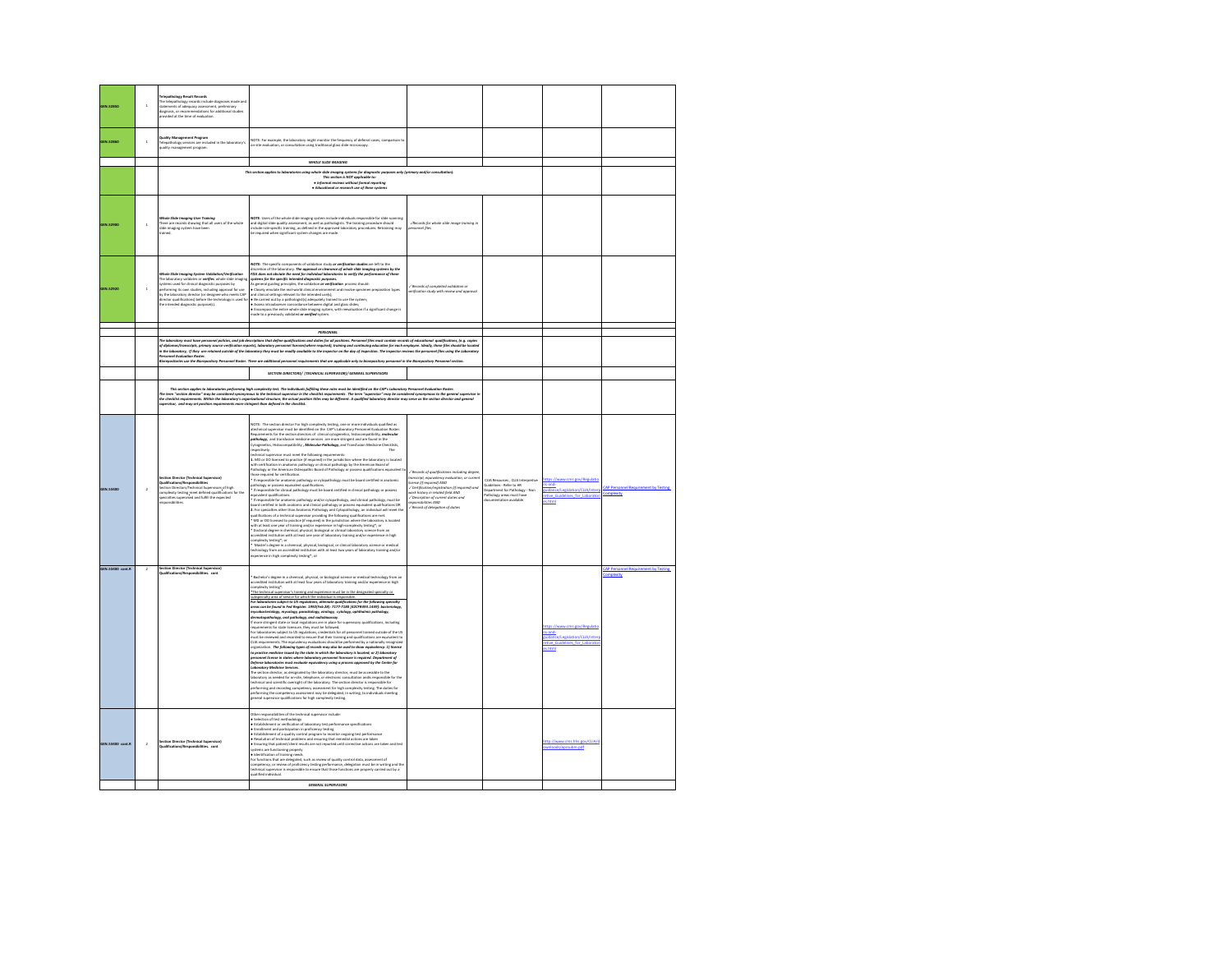| <b>OFN 52850</b> | $\mathbf{1}$            | <b>Telepathology Result Records</b><br>www.paramonton.com<br>The telepathology records include diagnoses made and<br>statements of adequacy assessment, preliminary<br>diagnosis, or recommendations for additional studies<br>provided at the time of evaluation.                                                                                                                                    |                                                                                                                                                                                                                                                                                                                                                                                                                                                                                                                                                                                                                                                                                                                                                                                                                                                                                                                                                                                                                                                                                                                                                                                                                                                                                                                                                                                                                                                                                                                                                                                                                                                                                                                                                                                                                                                                                                                                                                                                                     |                                                                                                                                                                                                                                                                        |                                                                                                                                         |                                                                                                            |                                                   |
|------------------|-------------------------|-------------------------------------------------------------------------------------------------------------------------------------------------------------------------------------------------------------------------------------------------------------------------------------------------------------------------------------------------------------------------------------------------------|---------------------------------------------------------------------------------------------------------------------------------------------------------------------------------------------------------------------------------------------------------------------------------------------------------------------------------------------------------------------------------------------------------------------------------------------------------------------------------------------------------------------------------------------------------------------------------------------------------------------------------------------------------------------------------------------------------------------------------------------------------------------------------------------------------------------------------------------------------------------------------------------------------------------------------------------------------------------------------------------------------------------------------------------------------------------------------------------------------------------------------------------------------------------------------------------------------------------------------------------------------------------------------------------------------------------------------------------------------------------------------------------------------------------------------------------------------------------------------------------------------------------------------------------------------------------------------------------------------------------------------------------------------------------------------------------------------------------------------------------------------------------------------------------------------------------------------------------------------------------------------------------------------------------------------------------------------------------------------------------------------------------|------------------------------------------------------------------------------------------------------------------------------------------------------------------------------------------------------------------------------------------------------------------------|-----------------------------------------------------------------------------------------------------------------------------------------|------------------------------------------------------------------------------------------------------------|---------------------------------------------------|
| <b>GEN.52860</b> | $\overline{1}$          | jual <b>ity Management Program</b><br>elepathology services are included in the labor<br>tory's<br>quality management program.                                                                                                                                                                                                                                                                        | NOTE: For example, the laboratory might monitor the frequency of deferral cases, comparison to<br>on-site evaluation, or consultation using traditional glass slide microscopy.                                                                                                                                                                                                                                                                                                                                                                                                                                                                                                                                                                                                                                                                                                                                                                                                                                                                                                                                                                                                                                                                                                                                                                                                                                                                                                                                                                                                                                                                                                                                                                                                                                                                                                                                                                                                                                     |                                                                                                                                                                                                                                                                        |                                                                                                                                         |                                                                                                            |                                                   |
|                  |                         |                                                                                                                                                                                                                                                                                                                                                                                                       | WHOLE SLIDE IMAGING                                                                                                                                                                                                                                                                                                                                                                                                                                                                                                                                                                                                                                                                                                                                                                                                                                                                                                                                                                                                                                                                                                                                                                                                                                                                                                                                                                                                                                                                                                                                                                                                                                                                                                                                                                                                                                                                                                                                                                                                 |                                                                                                                                                                                                                                                                        |                                                                                                                                         |                                                                                                            |                                                   |
|                  |                         |                                                                                                                                                                                                                                                                                                                                                                                                       |                                                                                                                                                                                                                                                                                                                                                                                                                                                                                                                                                                                                                                                                                                                                                                                                                                                                                                                                                                                                                                                                                                                                                                                                                                                                                                                                                                                                                                                                                                                                                                                                                                                                                                                                                                                                                                                                                                                                                                                                                     |                                                                                                                                                                                                                                                                        |                                                                                                                                         |                                                                                                            |                                                   |
|                  |                         |                                                                                                                                                                                                                                                                                                                                                                                                       | This section applies to laboratories using whate slide imaging systems for diagnostic purposes only (primary and/or consultation).<br>His section is MOT applicable to:<br>* informal reviews without formal repeting<br>. Educational or research use of these systems                                                                                                                                                                                                                                                                                                                                                                                                                                                                                                                                                                                                                                                                                                                                                                                                                                                                                                                                                                                                                                                                                                                                                                                                                                                                                                                                                                                                                                                                                                                                                                                                                                                                                                                                             |                                                                                                                                                                                                                                                                        |                                                                                                                                         |                                                                                                            |                                                   |
|                  |                         |                                                                                                                                                                                                                                                                                                                                                                                                       |                                                                                                                                                                                                                                                                                                                                                                                                                                                                                                                                                                                                                                                                                                                                                                                                                                                                                                                                                                                                                                                                                                                                                                                                                                                                                                                                                                                                                                                                                                                                                                                                                                                                                                                                                                                                                                                                                                                                                                                                                     |                                                                                                                                                                                                                                                                        |                                                                                                                                         |                                                                                                            |                                                   |
| <b>GEN.52900</b> |                         | de Slide Imaging User Trai<br>ing<br>There are records showing that all users of the whole<br>slide imaging system have been<br><b>Hanish</b>                                                                                                                                                                                                                                                         | NOTE: Users of the whole slide imaging system include individuals responsible for slide scanning<br>and digital slide quality assessment, as well as pathologists. The training procedure should<br>include role-specific training, as defined in the approved laboratory procedures. Retraining may<br>be required when significant system changes are made.                                                                                                                                                                                                                                                                                                                                                                                                                                                                                                                                                                                                                                                                                                                                                                                                                                                                                                                                                                                                                                                                                                                                                                                                                                                                                                                                                                                                                                                                                                                                                                                                                                                       | -/Records for whole slide image training in<br>ersonnel files                                                                                                                                                                                                          |                                                                                                                                         |                                                                                                            |                                                   |
| <b>SEN.52920</b> | $\overline{\mathbf{1}}$ | Whole Slide Imaging System Validation/Verification<br>The laboratory validates or werifies whole slide imagin<br>systems used for clinical diagnostic purposes by<br>performing its own studies, including approval for use<br>by the laboratory director (or designee who meets CAP<br>inector qualifications) before the technology is used fo<br>he intended diagnostic purpose(s).<br><b>Book</b> | NOTE: The specific components of validation study or verification studies are left to the<br>discretion of the laboratory. The approval or clearance of whole slide imaging system.<br>IDA does not obviote the need for individual laboratories to weify the parformance of the specific intended diagnosis<br>systems for the s<br>mance of these<br>.<br>As general guiding principles, the validation <b>or verification</b> process should:<br>• Closely emulate the real-world clinical environment and involve specimen preparation types<br>and clinical settings relevant to the intended usefs):<br>are comstan wemps reword to the internet crassing);<br>$\bullet$ Bia carried out by a pathologistic) adequately trained to use the system;<br>$\bullet$ Assess intrachancer concontance between digital and glass slides;<br>$\bullet$ Assess interac                                                                                                                                                                                                                                                                                                                                                                                                                                                                                                                                                                                                                                                                                                                                                                                                                                                                                                                                                                                                                                                                                                                                                 | / Records of completed validation or<br>mification study with review and approval                                                                                                                                                                                      |                                                                                                                                         |                                                                                                            |                                                   |
|                  |                         |                                                                                                                                                                                                                                                                                                                                                                                                       |                                                                                                                                                                                                                                                                                                                                                                                                                                                                                                                                                                                                                                                                                                                                                                                                                                                                                                                                                                                                                                                                                                                                                                                                                                                                                                                                                                                                                                                                                                                                                                                                                                                                                                                                                                                                                                                                                                                                                                                                                     |                                                                                                                                                                                                                                                                        |                                                                                                                                         |                                                                                                            |                                                   |
|                  |                         |                                                                                                                                                                                                                                                                                                                                                                                                       | PERSONNEL                                                                                                                                                                                                                                                                                                                                                                                                                                                                                                                                                                                                                                                                                                                                                                                                                                                                                                                                                                                                                                                                                                                                                                                                                                                                                                                                                                                                                                                                                                                                                                                                                                                                                                                                                                                                                                                                                                                                                                                                           |                                                                                                                                                                                                                                                                        |                                                                                                                                         |                                                                                                            |                                                   |
|                  |                         | newl Funks<br>rsonnel Evaluation Roster.<br>orepositories use the Biorepository Perso                                                                                                                                                                                                                                                                                                                 | .<br>The laburatory must bave personnel policies, and job descriptions that descriptions are allowed that the must contain records of electronical qualifications, [e.g. copies ]<br>of diplomationscripts, primary analyses and<br>and Roster. There are additional personnel requirements that are applicable only to biores<br><b>it any mersonnel in the Rings</b>                                                                                                                                                                                                                                                                                                                                                                                                                                                                                                                                                                                                                                                                                                                                                                                                                                                                                                                                                                                                                                                                                                                                                                                                                                                                                                                                                                                                                                                                                                                                                                                                                                              | naitory Dersonnel sertion                                                                                                                                                                                                                                              |                                                                                                                                         |                                                                                                            |                                                   |
|                  |                         |                                                                                                                                                                                                                                                                                                                                                                                                       | SECTION DIRECTORS/ (TECHNICAL SUPERVISOR)/ GENERAL SUPERVISORS                                                                                                                                                                                                                                                                                                                                                                                                                                                                                                                                                                                                                                                                                                                                                                                                                                                                                                                                                                                                                                                                                                                                                                                                                                                                                                                                                                                                                                                                                                                                                                                                                                                                                                                                                                                                                                                                                                                                                      |                                                                                                                                                                                                                                                                        |                                                                                                                                         |                                                                                                            |                                                   |
|                  |                         |                                                                                                                                                                                                                                                                                                                                                                                                       |                                                                                                                                                                                                                                                                                                                                                                                                                                                                                                                                                                                                                                                                                                                                                                                                                                                                                                                                                                                                                                                                                                                                                                                                                                                                                                                                                                                                                                                                                                                                                                                                                                                                                                                                                                                                                                                                                                                                                                                                                     |                                                                                                                                                                                                                                                                        |                                                                                                                                         |                                                                                                            |                                                   |
|                  |                         | The ty                                                                                                                                                                                                                                                                                                                                                                                                | This action applies the boostness preformer by the material particles (plitte plure rise) in the CM's interest production and the CM's interest of the CM's interest of the CM's interest of the CM's interest of the consider                                                                                                                                                                                                                                                                                                                                                                                                                                                                                                                                                                                                                                                                                                                                                                                                                                                                                                                                                                                                                                                                                                                                                                                                                                                                                                                                                                                                                                                                                                                                                                                                                                                                                                                                                                                      |                                                                                                                                                                                                                                                                        |                                                                                                                                         |                                                                                                            |                                                   |
| GEN.53400        | $\lambda$               | ction Director (Technical Supervisor)<br>Qualifications/Responsibilities<br>Section Directors/Technical Supervisors of high<br>complexity testing meet defined qualification<br>pecialists supervised and fulfill the expected<br>vesconsibilities.<br>.<br>ns for the                                                                                                                                | NOTE: The section director for high complexity testing, one or more individuals qualified as<br>atechnical supervisor must be identified on the CAP's Laboratory Personnel Evaluation Rosten<br>Requirements for the section directo<br>Cytogenetics, Histocompatibility, Molecular Pathology, and Transfusion Medicine Checklists,<br>espectively.<br>echnical supervisor must meet the following requirements:<br>ancoment asset was a mean one of the particular in the protection where the laboratory is located<br>1. MD or DO licensed to practice of required in the jurisdiction where the laboratory is located<br>Pathology or the American O<br>those required for certification.<br>* If responsible for anatomic pathology or cytopathology must be board certified in anatomic<br>athology or possess equivalent qualifications<br>.<br>Inithe for clinical pathology must be board certified in clinical pathology or possess<br>fresco<br>prelent qualifications.<br>equention.<br>• If responsible for anatomic pathology and/or cytopathology, and clinical pathology, must be<br>board certified in both anatomic and clinical pathology or possess equivalent qualifications Oft<br>2. For specialties o<br>qualifications of a technical supervisor providing the following qualifications are met:<br>* MD or DO licensed to practice (if required) in the jurisdiction where the laboratory is located<br>with at least one year of training and/or experience in high-complexity testing"; or<br>* Doctoral degree in chemical, physical, biological or clinical laboratory science from an<br>accredited institution with at least one year<br>re in high<br>complexity testing"; or<br>" Master's degree in a chemical, physical, biological, or clinical laboratory science or medical<br>echnology from an accredited institution with at least two years of laboratory training and/or<br>aperience in high complexity testing*; or                                                   | Records of qualifications including degree<br>mscript, equivalency evaluation, or curren<br>OWA (banised it) arms<br>icense (i) nequirea) AND<br>/ Certification/registration (if required) and<br>ork history in related field AND<br>.<br>Record of delegation of du | CLIA Resources ; CLIA Inte<br>Guidelines - Refer to HR<br>Department for Pathology - Non<br>athology areas must have<br>tion available. | sand-<br>ildance/Legislation/CLIA/Inte<br>etive Guidelines for Laborato<br>as.html                         | <b>AP Perso</b><br>mplexity                       |
| GEN.53400 cont.R |                         | <b>Section Director (Technical Supervisor)</b>                                                                                                                                                                                                                                                                                                                                                        | Bachelor's degree in a chemical, physical, or biological science or medical technology from an<br>accredited institution with at least four years of laboratory training and/or experience in high<br>complexity testing*.<br>The technical super<br>.<br>Initiats's training and everytigned must be in the de<br>us vasculatus augustus augustus paraugustus vasculatus vasculatus paraugus vasculatus paraugus vasculatus para<br>Internaciatus area of service for which the individual is responsible.<br>Iran can be found in Fed Register. 1992/<br>sev.<br>nycobacteriology, mycology, parasitology, virology, cytology, ophthalmic pathology,<br>śermatopathology, oral pathology, and radiobioassay<br>f more stringent state or local regulations are in place for supervisory qualifications, including<br>$\mu$ and a matter state increasing, they must be followed.<br>The result of the state licensum, they must be followed.<br>In laboratories subject to US regulations, credentials for all personnel trained outside of the US.<br>US be<br>CLIA requirements. The equivalency evaluations should be performed by a nationally recognized<br>organization. The following types of records may also be used to show equivalency: 1) Reenes<br>to proceive medicine issued by the<br><br>personnel license in states where laboratory personnel licensure is required. Department of<br>Defense laboratories must evaluate equivalency using a process approved by the Center fo<br><b>Celebrar laborshings must evaluate equivalency using a process approx-</b> ury six usines and<br><b>Laborstory Medicine Services.</b><br>The section director, as designed by the laborstory director, and the accessible to the<br>laborstory<br>performing and recording competency assessment for high complexity testing. The duties for<br>erforming the competency assessment may be delegated, in writing, to individuals meeting<br>meral supervisor qualifications for high complexity testing. |                                                                                                                                                                                                                                                                        |                                                                                                                                         | https://www.cms.gov/Regulati<br>s-and-<br>uidance/Legislation/CLIA/Inter<br>stive Guidelines for Laborator | CAP Personnel Requirement by Testing<br>omplexity |
| GEN.53400 cont.  |                         | <b>Section Director (Technical Supervisor)</b><br>sibilities, cont                                                                                                                                                                                                                                                                                                                                    | Other responsibilities of the technical supervisor include:<br>Lones responsances on un concrete maps vous mouses.<br>• Salestion of bost methodology<br>• Exablishment co-verification of laboratory test performance specifications<br>• Exabinemt and participation in proficiency testing<br>• Exabli<br>• Resolution of technical problems and ensuring that remedial actions are taken<br>• Ensuring that patient/client results are not reported until corrective actions are taken and test<br>* Mercification of training metal<br>Tor functions that are delegated, such as review of quality control data, assessment of<br>Tor functions that are delegated, such as review of quality control data, assessment of<br>technical su                                                                                                                                                                                                                                                                                                                                                                                                                                                                                                                                                                                                                                                                                                                                                                                                                                                                                                                                                                                                                                                                                                                                                                                                                                                                      |                                                                                                                                                                                                                                                                        |                                                                                                                                         | http://www.cms.hhs.gov/CLIA/c<br>ads/accsubm.odf                                                           |                                                   |
|                  |                         |                                                                                                                                                                                                                                                                                                                                                                                                       | GENERAL SUPERVISORS                                                                                                                                                                                                                                                                                                                                                                                                                                                                                                                                                                                                                                                                                                                                                                                                                                                                                                                                                                                                                                                                                                                                                                                                                                                                                                                                                                                                                                                                                                                                                                                                                                                                                                                                                                                                                                                                                                                                                                                                 |                                                                                                                                                                                                                                                                        |                                                                                                                                         |                                                                                                            |                                                   |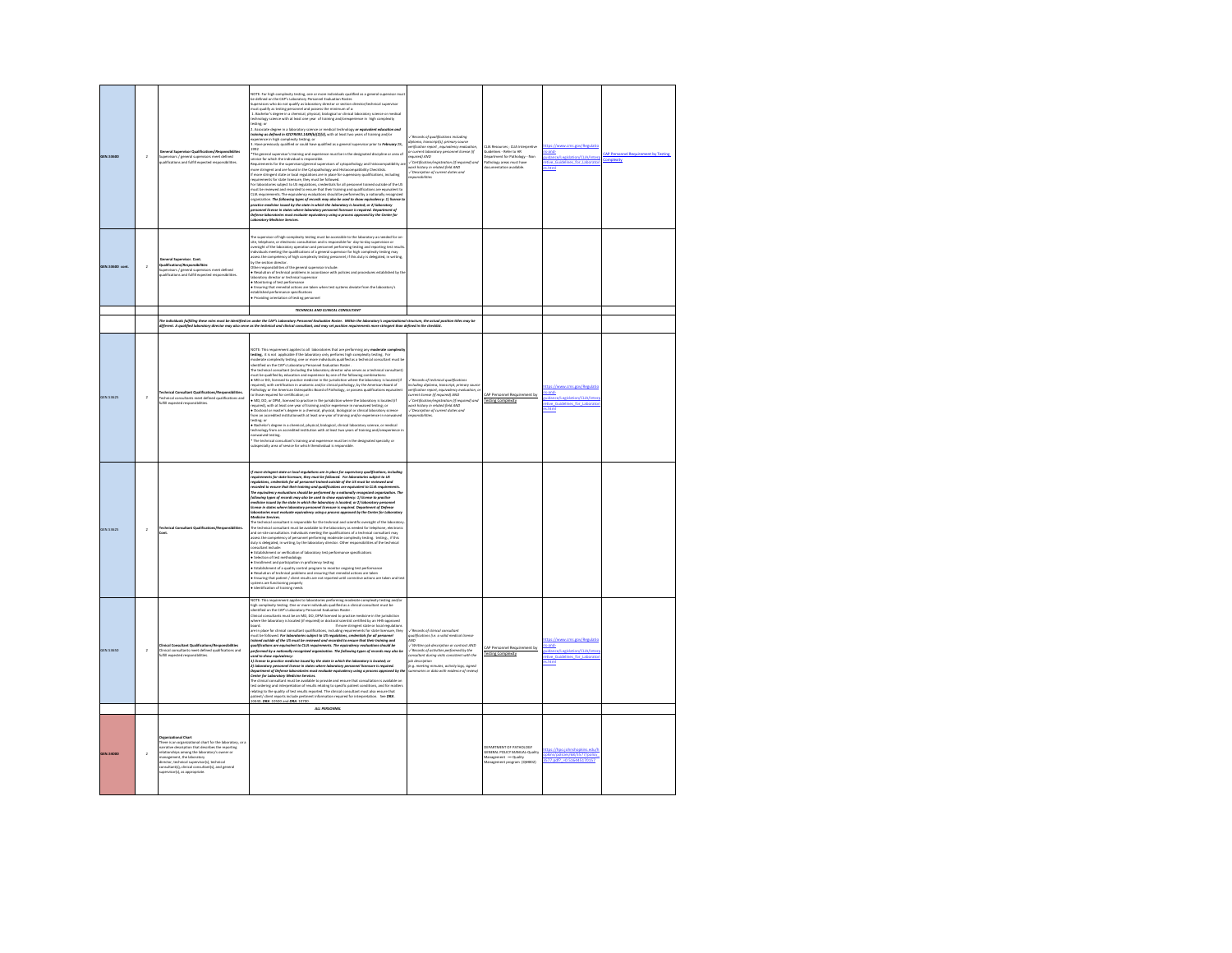| <b>JEN.53600</b> | $\overline{2}$ | pervisors / general supervisors meet defined<br>alifications and fulfill expected responsibilitie                                                                                                                                                                                                                                                                                      | NOTE: For high complexity testing, one or more individuals qualified as a general supervisor mus<br>be defined on the CAP's Laboratory Personnel Evaluation Roster.<br>uncertain on the measurement of the measurement contained in the measurement of the distribution of the distribution of the distribution of the distribution of the distribution of the distribution of the distribution of th<br>sting; or<br>2. Associate degree in a laboratory science or medical technology or equivalent education and<br>training as defined in 42CFR493.1489(b)(2)(ii), with at least two years of training and/or<br>sperience in high complexity testing; or<br>L. Have previously qualified or could have qualified as a general supervisor prior to <b>February</b> 28,<br>neral supervisor's training and experience must be in the designated discipline or area of<br>ring general superventors a construct material in the computers stated in the computer of the superventors of<br>Requirements for the supervisors/general supervisors of cytopathology and histocomp<br>more stringent and are found<br>compatibility a<br>f more stringent state or local regulations are in place for supervisory qualifications, including<br>quirements for state licensure, they must be followed<br>or laboratories subject to US regulations, credentials for all personnel trained outside of the US<br>For lakorskrives subject to US regulations, credentials for all personnel trained outside of the US<br>TLM be reviewed and recorded to ensure that their training and qualifications are equivalent to<br>CLM requirements. The poli<br>.<br>Defense laboratories must evaluate equivalency using a process approved by the Center for<br>eboratory Medicine Services.                                                                                                         | / Records of qualifications including<br>.<br>Iplama, transcript[s], primary sour<br>Inification report , equivalency eva<br>aratory personnel license (if<br>r current lat<br>equired) AND<br>/ Certification/registrat<br>on (if requ<br>eark history in related field AND<br>⁄ Description of current duties and<br>sponsibilities                  | res - Clifa Inn<br><b>STAR</b><br>Suidelines - Refer to HR<br>Department for Pathology - Non<br>Pathology areas must have<br>cumentation available. | sand<br>uidance/Legislation/CLIA/Inter<br>etive Guidelines for Laborato<br>s.html                        |  |
|------------------|----------------|----------------------------------------------------------------------------------------------------------------------------------------------------------------------------------------------------------------------------------------------------------------------------------------------------------------------------------------------------------------------------------------|--------------------------------------------------------------------------------------------------------------------------------------------------------------------------------------------------------------------------------------------------------------------------------------------------------------------------------------------------------------------------------------------------------------------------------------------------------------------------------------------------------------------------------------------------------------------------------------------------------------------------------------------------------------------------------------------------------------------------------------------------------------------------------------------------------------------------------------------------------------------------------------------------------------------------------------------------------------------------------------------------------------------------------------------------------------------------------------------------------------------------------------------------------------------------------------------------------------------------------------------------------------------------------------------------------------------------------------------------------------------------------------------------------------------------------------------------------------------------------------------------------------------------------------------------------------------------------------------------------------------------------------------------------------------------------------------------------------------------------------------------------------------------------------------------------------------------------------------------------------------------------------------|--------------------------------------------------------------------------------------------------------------------------------------------------------------------------------------------------------------------------------------------------------------------------------------------------------------------------------------------------------|-----------------------------------------------------------------------------------------------------------------------------------------------------|----------------------------------------------------------------------------------------------------------|--|
| GEN.53600 cont.  | $\,$           | General Supervisor. Cont.<br>Qualifications/Responsibilities<br>pervisors / exmeral supervisors meet defined<br>nd fulfill expected responsibilities                                                                                                                                                                                                                                   | The supervisor of high-complexity testing must be accessible to the laboratory as needed for on<br>investigations, or electronic consultation and is responsible for day-to-day supervision or the subset of the laboratory operation and is responsible for day-to-day supervision or determined proportion and is responsible<br>by the section director<br>Other responsibilities of the ceneral supervisor include<br>$\omega$ net imposes to the problems in accordance with policies and procedures established by the laboratory director of technical supervisor<br>• Macultation of technical supervisor<br>• Macultating of test parformance<br>• Ensuring<br>hed performance specifications<br>Providing orientation of testing personnel<br>TECHNICAL AND CLINICAL CONSULTANT                                                                                                                                                                                                                                                                                                                                                                                                                                                                                                                                                                                                                                                                                                                                                                                                                                                                                                                                                                                                                                                                                                  |                                                                                                                                                                                                                                                                                                                                                        |                                                                                                                                                     |                                                                                                          |  |
|                  |                |                                                                                                                                                                                                                                                                                                                                                                                        |                                                                                                                                                                                                                                                                                                                                                                                                                                                                                                                                                                                                                                                                                                                                                                                                                                                                                                                                                                                                                                                                                                                                                                                                                                                                                                                                                                                                                                                                                                                                                                                                                                                                                                                                                                                                                                                                                            |                                                                                                                                                                                                                                                                                                                                                        |                                                                                                                                                     |                                                                                                          |  |
|                  |                |                                                                                                                                                                                                                                                                                                                                                                                        | .<br>The individuals fulfilling these roles must be identified on under the CAP's Laboratory Personnel Evaluation Roster. Within the isboratory's organizational structure, the actual position titles may be<br>different. A qualif                                                                                                                                                                                                                                                                                                                                                                                                                                                                                                                                                                                                                                                                                                                                                                                                                                                                                                                                                                                                                                                                                                                                                                                                                                                                                                                                                                                                                                                                                                                                                                                                                                                       |                                                                                                                                                                                                                                                                                                                                                        |                                                                                                                                                     |                                                                                                          |  |
| GEN.53625        | $\overline{a}$ | echnical Consultant Qualifications/Reso<br>echnical consultants meet defined qualifications and<br>ufill expected responsibilities.                                                                                                                                                                                                                                                    | NOTE: This requirement applies to all laboratories that are performing any moderate complexit<br>teating, it is not applicable if the laboratory only performs high complexity testing. For<br>moderate complexity testing, one or more individuals qualified as a technical consultant must be<br>dentified on the CAP's Laboratory Personnel Evaluation Roster.<br>une union to une to explaint (including the laboratory movements).<br>The technical consultant (including the laboratory director who serves as a technical consultant)<br># MID or DO, licensed to practice medicine in the jurisdi<br>.<br>viquired), with certification in anatomic and/or clinical pathology, by the American Board of<br>Pathology or the American Osteopathic Board of Pathology, or possess qualifications equivalent<br>to those required for certification: or<br>ur unue requireur aux securities practice in the jurisdiction where the laboratory is located (if<br>required), with a least one year of training and/or experience in nonxalived testing or<br>required), with a least one year of<br>ing; or<br>.<br>• Bachelor's degree in a chemical, physical, biological, clinical laboratory science, or medical<br>technology from an accredited institution with at least two years of training and/orexperienc<br>crwaived testing.<br>The technical consultant's training and experience must be in the designated specialty or<br>ubspecialty area of service for which thendividual is responsible.                                                                                                                                                                                                                                                                                                                                                                           | Records of technical qualifications<br>icluding diploma, transcript, primary source<br>erification report, equivalency evaluation, o<br>wrent license (if required) AND<br>.<br>Certification/registration (if requ<br>vork history in related field AND<br>ired) and<br>/ Description of current duties and                                           | CAP Personnel Requires<br>ent by<br><b>Testing Complexity</b>                                                                                       | s-and-<br>uidance/Legislation/CLIA/Into<br>tive Guidelines for Laborator<br>s.html                       |  |
| <b>GEN.53625</b> | $\bar{2}$      | ont                                                                                                                                                                                                                                                                                                                                                                                    | :<br>more stringent state or local regulations are in place for supervisory qualifications, in<br>rquirements for state licensure, they must be followed. For laboratories subject to US<br>rgulations, credentials for all personnel t<br>arded to ensure that their training and qualifications are equivalent to CLIA requirements<br>requivalency evaluations should be performed by a nationally recognized organization. T<br>he equ<br>ation, The<br>wing types of records may also be used to show equivalency: 1) license to practice<br>innouring sypes by theorem may use on the construction of the constant of the constant of the matter of the state in which the laboratory is located; or 2) is borderly personnel<br>license in states where laboratory personnel<br><b>tedicine Services.</b><br>he technical consultant is responsible for the technical and scientific or<br>sight of the laborator<br>.<br>The technical consultant must be available to the laboratory as needed for telephone, electro<br>and on-site consultation. Individuals meeting the qualifications of a technical consultant may<br>issess the competency of personnel performing moderate complexity testing, testing, if this<br>duty is delegated, in writing, by the laboratory director. Other responsibilities of the technical<br>consultant include:<br>Establishment or verification of laboratory test performance specification<br>Selection of test methodology<br>Enrolment and participation in proficiency testing<br>Establishment of a quality control program to monitor orgoing test performance<br>.<br>• Resolution of technical problems and ensuring that remedial actions are taken<br>• Ensuring that patient / client results are not reported until corrective actions are taken and test<br>stems are functioning properly<br>Identification of training needs |                                                                                                                                                                                                                                                                                                                                                        |                                                                                                                                                     |                                                                                                          |  |
| GEN.53650        | $\overline{a}$ | :<br>linical consultants meet defined qualif<br>ulfill expected responsibilities.                                                                                                                                                                                                                                                                                                      | IOTE: This requirement applies to laboratories performing moderate complexity testing and/o<br>igh complexity testing. One or more individuals qualified as a clinical consultant must be<br>lentified on the CAP's Laboratory Perso<br>igh comple<br>where the laboratory is located (if required) or doctoral scientist certified by an HHS-approved<br>.<br>If more stringent state or local regulations<br>are in place for clinical consultant qualifications, including requirements for state licensure, they<br>in to pune are summarized and produced in the system of the followed and the following and the state of the US must be reviewed and recorded to ensure that<br>sined outside of the US must be reviewed and recorded to ensure th<br>.<br>ons, credentials for all personne<br><b>nsure that their to</b><br>r personnur<br>training ans<br>ns should b<br>ing types of records may also be<br>used to show equivalency:<br>1) license to practice medicine issued by the state in which the laboratory is located; or<br>$J$ ) distinct as powers related on independent and the state of the constant of the constant of the constant of the constant of the constant of the constant of the constant of the constant of the constant of the constant<br>atient/ client reports include pertinent information required for interpretation. See DRA<br>0440, DRA .10500 and DRA .10700.<br>ALL INVESTINGES                                                                                                                                                                                                                                                                                                                                                                                                                                                        | Records of clinical consultant<br>alifications (i.e. a valid medical licens<br>$\overline{M}$<br>Written job description or contract AND<br>Records of activities performed by the<br>assultant during visits consistent with the<br>ob description<br>.<br>le.g. meeting minutes, activity logs, signed<br>ismmaries or data with evidence of review) | <b>CAP Perso</b><br>nnel Reguir<br><b>Testing Complexity</b>                                                                                        | tne //www.rmc.enu/Rozulatin<br>uidance/Legislation/CLIA/Inter<br>etive Guidelines for Laborato<br>s.html |  |
|                  |                |                                                                                                                                                                                                                                                                                                                                                                                        |                                                                                                                                                                                                                                                                                                                                                                                                                                                                                                                                                                                                                                                                                                                                                                                                                                                                                                                                                                                                                                                                                                                                                                                                                                                                                                                                                                                                                                                                                                                                                                                                                                                                                                                                                                                                                                                                                            |                                                                                                                                                                                                                                                                                                                                                        |                                                                                                                                                     |                                                                                                          |  |
| <b>VIN SADDO</b> | $\overline{ }$ | Organizational Chart<br>.<br>here is an organizational chart for the laboratory, or a<br>arrative description that describes the reporting<br>tive beachpron that beachbes the report<br>onships among the laboratory's owner or<br>gement, the laboratory<br>rector, technical supervisor(s), t<br>consultant(s), clinical consultant(s), and general<br>pervisor(s), as appropriate. |                                                                                                                                                                                                                                                                                                                                                                                                                                                                                                                                                                                                                                                                                                                                                                                                                                                                                                                                                                                                                                                                                                                                                                                                                                                                                                                                                                                                                                                                                                                                                                                                                                                                                                                                                                                                                                                                                            |                                                                                                                                                                                                                                                                                                                                                        | DERARTMENT OF PATHOLOGY<br><b>DEPREMENT OF PAIROLOGY</b><br>Management -- Quality<br>Management program (QM002)                                     | //hnn inhnd<br>kins/policies/68/3577/policy<br>577.pdf? - 0.516445170157                                 |  |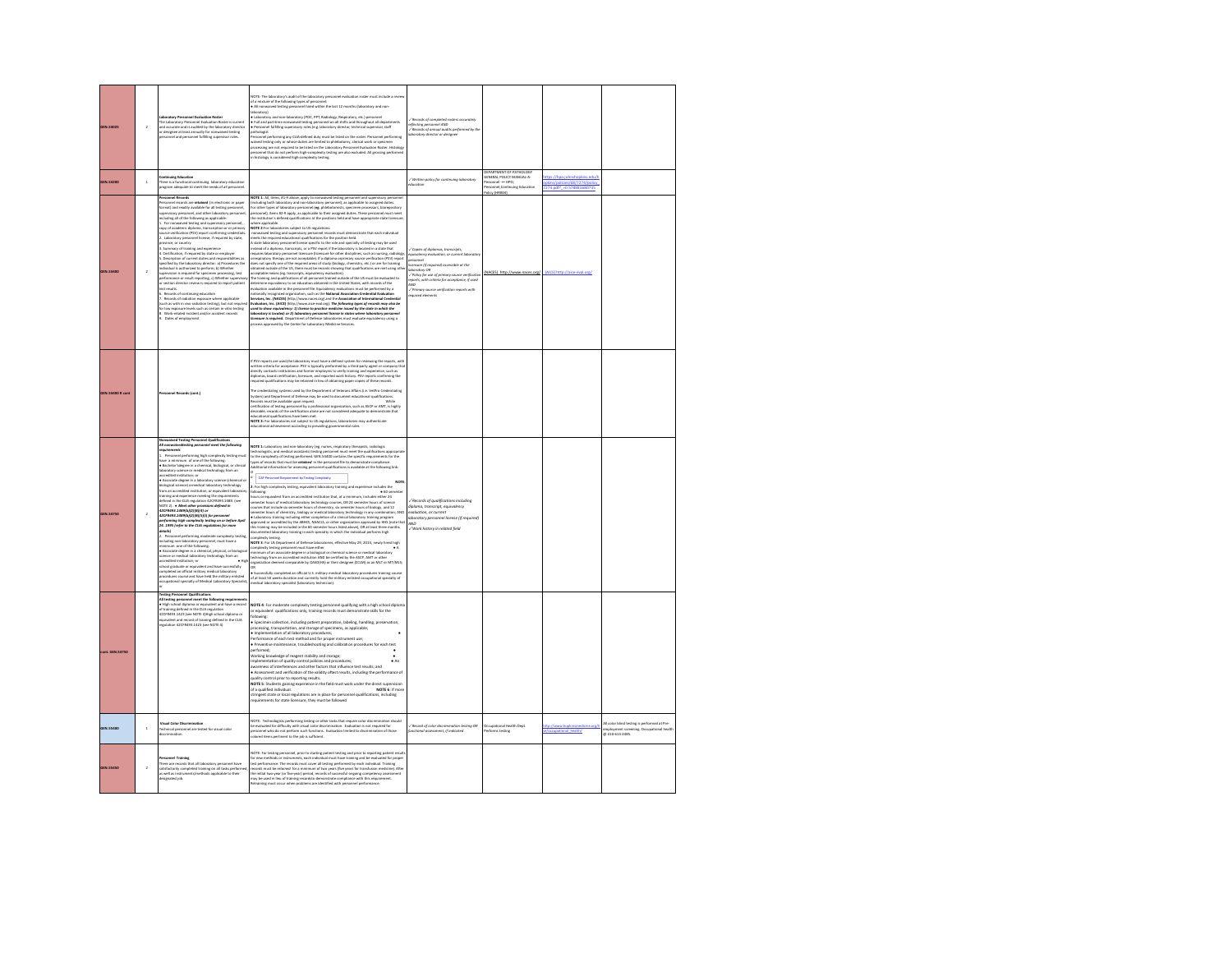| <b>GEN.54025</b>        | $\lambda$      | el Evalu<br>Laureauxy Personnel Evaluation Roster is current<br>and accurate and is audited by the laboratory direct<br>or designee at least annually for nonwaived testing<br>personnel and personnel fulfilling supervisor roles.                                                                                                                                                                                                                                                                                                                                                                                                                                                                                                                                                                                                                                                                                                                                                                                                                                                                                                                                                                                                                                                                                                                                                                                      | VOTE: The laboratory's audit of the laboratory personnel evaluation roster must include a revi<br>f a mixture of the following types of personn<br>All nonwaived testing personnel hired within the last 12 months (laboratory and non-<br>iboratory)<br>anonwory<br>• Laboratory and non-laboratory (POC, PPT, Radiology, Respiratory, etc.) personnel<br>• Full and part-time nonwaived testing personnel on all shifts and throughout all departm<br>• Personnel fulfilling supervisory roles<br>athologist<br>ersonnel performing any CLIA-defined duty must be listed on the roster. Personnel performing<br>vaived testing only or whose duties are limited to phiebotomy, clerical work or specimen<br>rocessing are not required to be listed on the Laboratory Personnel Evaluation Roster, Histology<br>bensomed that do not perform high-complexity testing are also excluded. All grossing perform<br>in histology is considered high-complexity testing.                                                                                                                                                                                                                                                                                                                                                                                                                                                                                                                                                                                                                                                        | ,<br>flecting personnel AND<br>flecting personnel AND<br>flecards of annual audits performed<br>ed by the<br>oratory director or designee                                                                                                                           |                                                                                                                          |                                                                                          |                                                                                                   |
|-------------------------|----------------|--------------------------------------------------------------------------------------------------------------------------------------------------------------------------------------------------------------------------------------------------------------------------------------------------------------------------------------------------------------------------------------------------------------------------------------------------------------------------------------------------------------------------------------------------------------------------------------------------------------------------------------------------------------------------------------------------------------------------------------------------------------------------------------------------------------------------------------------------------------------------------------------------------------------------------------------------------------------------------------------------------------------------------------------------------------------------------------------------------------------------------------------------------------------------------------------------------------------------------------------------------------------------------------------------------------------------------------------------------------------------------------------------------------------------|------------------------------------------------------------------------------------------------------------------------------------------------------------------------------------------------------------------------------------------------------------------------------------------------------------------------------------------------------------------------------------------------------------------------------------------------------------------------------------------------------------------------------------------------------------------------------------------------------------------------------------------------------------------------------------------------------------------------------------------------------------------------------------------------------------------------------------------------------------------------------------------------------------------------------------------------------------------------------------------------------------------------------------------------------------------------------------------------------------------------------------------------------------------------------------------------------------------------------------------------------------------------------------------------------------------------------------------------------------------------------------------------------------------------------------------------------------------------------------------------------------------------------------------------------------------------------------------------------------------------------|---------------------------------------------------------------------------------------------------------------------------------------------------------------------------------------------------------------------------------------------------------------------|--------------------------------------------------------------------------------------------------------------------------|------------------------------------------------------------------------------------------|---------------------------------------------------------------------------------------------------|
| <b>GEN.54200</b>        |                | ing Education<br>here is a functional continuing laboratory education<br>rozram adequate to meet the needs of all personnel.                                                                                                                                                                                                                                                                                                                                                                                                                                                                                                                                                                                                                                                                                                                                                                                                                                                                                                                                                                                                                                                                                                                                                                                                                                                                                             |                                                                                                                                                                                                                                                                                                                                                                                                                                                                                                                                                                                                                                                                                                                                                                                                                                                                                                                                                                                                                                                                                                                                                                                                                                                                                                                                                                                                                                                                                                                                                                                                                              | Written policy for continuing loboratory                                                                                                                                                                                                                            | DEPARTMENT OF PATHOLOGY<br>GENERAL POLICY MANUAL-A-<br>ersonnel - HPO;<br>ersonnel:Continuine Education<br>olicy (HROO4) | tps://hpo.johnshopkins.edu/<br>kins/policies/68/7274/policy<br>274.pdf? = 0.578881680735 |                                                                                                   |
| <b>GEN.5440</b>         |                | r <mark>sonnel Records</mark><br>rsonnel records are <b>retained</b> (in electronic or paper<br>mat) and readily available for all testing personnel,<br>upervisory personnel, and other laboratory personnel<br>ncluding all of the following as applicable:<br>1. For normalived testing and supervisory personnel.<br>var i normane venerag ann normane proton protonentalis<br>opy of academic diploma, transcription or or primary<br>curce verification (PSV) report confirming credentials<br>1. Laboratory personnel license, if required by state,<br>source with taking personnel license, if required by state,<br>$2$ . Laboratory personnel license, if required by state,<br>province, or country<br>3. Summary of training and experience<br>$3$ . Summary of training and experience<br><br>pecified by the laboratory director: al Procedures the<br>dividual is authorized to perform. b) Whether<br>pervision is required for specimen processing, test<br>rformance or result reporting, c) Whether so<br>r section director review is required to report patient<br>st results.<br>una resura.<br>6. Records of continuing education<br>7. Records of radiation exposure where applicable<br>(such as with in vivo radiation testing), but not required<br>.<br>for low exposure levels such as certain in-vitro testing<br>8. Work-related incident and/or accident records<br>Dates of employment | <b>AOTE 1:</b> All, items, #1-9 above, apply to nonwalved testing personnel and supervisory person<br>including both laboratory and non-laboratory personnell, as applicable to assigned duties.<br>Ior other types of laboratory personn<br>personnel), items #2-9 apply, as applicable to their assigned duties. These personnel must meet<br>he institution's defined qualifications at the positions held and have appropriate state licensure<br>there applicable.<br>where applicable.<br>WOTE 2-For inborderies subject to US regulations:<br>romanaived testing and supervisory personnel records must demonstrate that each individual<br>meets the required educational qualifications for the position<br>equires laboratory personnel licensure (licensure for other disciplines, such as nursing, radiology<br>rrespiratory therapy are not acceptable). If a diploma orprimary source verification (PSV) report<br>loes not specify one of the required areas of study (biology, chemistry, etc.) or are for training<br>doise not specify ease of the required areas of the<br>original promints of the straining of the results of the results of<br>material properties are not using the control of the results of the<br>property evolution in the results<br>.<br>Ivaluators, Inc. (AICE) (http://www.aice-eval.org). The following types of records may olso be<br>and to show equivalency: 1) license to practice medicine issued by the state in which the<br>interactory is located; or 2) indeventry personnel iteration is instead by the state in which the<br>incense is property. Department of | ies of diale<br>y evaluati<br>are (if required) accessible at the<br>ratory Of<br>.<br>/ Policy for use of primary source verificatio<br>eports, with criteria for acceptance, if used<br>wo<br>.<br>/ Primary source verification reports with<br>equired elements | (NACES) http://www.naces.org/ (AICE) http://aice-eval.org/                                                               |                                                                                          |                                                                                                   |
| <b>IEN.54400 R cont</b> |                | nnel Records (cont.)                                                                                                                                                                                                                                                                                                                                                                                                                                                                                                                                                                                                                                                                                                                                                                                                                                                                                                                                                                                                                                                                                                                                                                                                                                                                                                                                                                                                     | FPSV reports are used the laboratory must have a defined system for reviewing the reports, with<br>$1$ rev response to a<br>section of the complete of the system of the system of the system of the system of the system of the system of<br>directions (not acceptance, PSV is typically particle and the party agent or company<br>dip<br>The credentialing systems used by the Department of Veterans Affairs (i.e. VetPro Credentialing<br>lystem) and Department of Defense may be used to document educational qualifications<br>econds must be available upon request.<br><b>White</b><br>ertification of testing personnel by a professional organization, such as ASCP or AMT, is highly<br>esirable, records of the certification alone are not considered adequate to demonstrate that<br>nal qualifications have been met.<br><b>NOTE 3:</b> For laboratories not subject to US regulations, laboratories may authenticate<br>educational achievement according to prevailing governmental rules.                                                                                                                                                                                                                                                                                                                                                                                                                                                                                                                                                                                                               |                                                                                                                                                                                                                                                                     |                                                                                                                          |                                                                                          |                                                                                                   |
| <b>GEN.54750</b>        |                | waived Testing Personnel Qualit<br><i><b>Ill nomme</b></i><br>ting personnel meet the fall<br><b>Vise</b><br>1. Personnel performing high complexity testing must<br>we a minimum of one of the following<br>neer a monotam or one or the ranowing:<br>• Bachelor'sdegree in a chemical, biological, or clinical<br>laboratory science or medical technology from an<br>accordited institution- or<br>credited institution; or<br>Associate degree in a laboratory science (chemical or<br>Associate degree in a laboratory technology<br>slogical science) ormedical laboratory technology<br>sm an accredited institution, or equivalent laboratory<br>raining and experience meeting the requirements<br>lefined in the CLIA regulation 42CFR493.1489. (see<br>≀CITE 2). ● Meet other provisions defined in<br><b>APCERGES TARONAUSURIES</b><br>*42/19493.1*449 6  4  6  4  6 <br> 42CFR493.1489 b  2  8  5  i) for personnel<br> 24. 1995 (refer to the CLIA regulations for more<br>details)<br>. Personnel performing moderate complexity testing<br>ncluding non-laboratory personnel, must have a<br>ninimum one of the following:<br>chool graduate or equivalent and have successfully<br>completed an official military medical laboratory<br>procedures course and have held the military enlisted<br>cupational specialty of Medical Laboratory Specialist                                                  | <b>NOTE 1:</b> Laboratory and non-laboratory (eg. nurses, respiratory therapists, radiologic<br>technologistic, and medical assistantly testing personnel must meet the qualifications appropriate<br>to the complainty of testing perfor<br>ent by Testing Comp<br>For high complexity testing, equivalent laboratory training and experience includes the<br>'ng<br>emester hours of chemistry, biology or medical laboratory technology in any combination; AND<br>• Laboratory training including either completion of a clinical laboratory training program<br>r accounting to accredited by the ABHES, NAACLS, or other organization approved by HHS (note that<br>his training may be included in the 60 semester hours listed above), Oft at least three months<br>documented laboratory trainin<br>omplexity testing.<br><b>AOTE 3</b> : For US Department of Defense laboratories, effective May 29, 2014, newly hired high<br>omplexity testing personnel must have either<br>tinimum of an associate degree in a biological or chemical science or medical laboratory<br>tchnology from an accredited institution AND be certified by the ASCP, AMT or other<br>on deemed comparable by OASD(HA) or their designee (CCLM) as an MLT or MT/MLS;<br>reanisat<br>Luc.<br>• Successfully completed an official U.S. military medical laboratory procedures training course<br>of at least 50 weeks duration and currently hold the military enlisted occupational specialty of<br>medical laboratory spec                                                                                                           | /Records of qualifications including<br>slama, transcript, equivalency<br>evoluation, or current<br>boratory personnel license (if required)<br><b>AND</b><br>/ Work history in related field                                                                       |                                                                                                                          |                                                                                          |                                                                                                   |
| ont. GEN.54750          |                | ng Personnel Qualificati<br>All testing personnel meet the fol<br>ing req<br>. High school diploma or equivalent and have a record<br>ning defined in the CLIA regulation<br>of tra<br>42CFR493.1423 (see NOTE 4)High school diploma or<br>SCPINIAL and tecord of training defined in the CLIA<br>quivalent and record of training defined in the CLIA<br>egulation 42CFR493.1423 (see NOTE 4)                                                                                                                                                                                                                                                                                                                                                                                                                                                                                                                                                                                                                                                                                                                                                                                                                                                                                                                                                                                                                           | NOTE 4: For moderate complexity testing personnel qualifying with a high school dipli<br>r equivalent qualifications only, training records must demonstrate skills for the<br>allowing:<br>rocessing, transportation, and storage of specimens, as applicable;<br>Implementation of all laboratory procedures:<br>r mynementation to an moderatory procedures,<br>Performance of each test method and for proper instrument use;<br>• Preventive maintenance, troubleshooting and calibration procedures for each test<br>serformed:<br>Norking kno<br>wledge of reagent stability and storage;<br>mplementation of quality control policies and procedures;<br>$\bullet$ An<br>wareness of interferences and other factors that influence test results: and<br>Assessment and verification of the validity oftest results, including the performance of<br>quality control prior to reporting results.<br>.<br>NOTE 5: Students gaining experience in the field must work under the direct supervision<br>of a qualified individual.<br>NOTE 6: If more<br>stringent state or local regulations are in place for personnel qualifications, including<br>rements for state licensure, they must be followed                                                                                                                                                                                                                                                                                                                                                                                                                 |                                                                                                                                                                                                                                                                     |                                                                                                                          |                                                                                          |                                                                                                   |
| GEN.55400               | $\mathbf{1}$   | ual Color Discrin<br>echnical personnel are tested for visual color                                                                                                                                                                                                                                                                                                                                                                                                                                                                                                                                                                                                                                                                                                                                                                                                                                                                                                                                                                                                                                                                                                                                                                                                                                                                                                                                                      | VOTE: Technologists performing testing or other tasks that require color discrimination should<br>ae evaluated for difficulty with visual color discrimination. Evaluation is not required for<br>ersonnel who do not perform such functions. Evaluation limited to discrimination of the state of the state of the state of the state of the state of the state of the state of the state of the state of the state of the stat<br>ation of those                                                                                                                                                                                                                                                                                                                                                                                                                                                                                                                                                                                                                                                                                                                                                                                                                                                                                                                                                                                                                                                                                                                                                                           | / Record of color discrin<br>90 grittet rollon<br>sessment, if indicated                                                                                                                                                                                            | Occupational Health Dept.<br>erforms testing                                                                             | to://www.hookins                                                                         | Il color blind testing is performed at Pre-<br>employment screening. Occupatis<br>@ 410-614-2485. |
| GEN.55450               | $\overline{a}$ | nel Trait<br>There are records that all laboratory personnel have<br>satisfactorily completed training on all tasks performe<br>as well as instruments/methods applicable to their<br>esignated job.                                                                                                                                                                                                                                                                                                                                                                                                                                                                                                                                                                                                                                                                                                                                                                                                                                                                                                                                                                                                                                                                                                                                                                                                                     | .<br>NOTE: For testing personnel, prior to starting patient testing and prior to reporting patient resul<br>for new methods or instruments, each individual must have training and be evaluated for prope<br>test performance. The reco<br>ecords must be retolned for a minimum of two years (five years for transfusion medicine). After<br>the initial two-year (or five-year) period, records of successful ongoing competency assessment<br>hay be used in lieu of trainin                                                                                                                                                                                                                                                                                                                                                                                                                                                                                                                                                                                                                                                                                                                                                                                                                                                                                                                                                                                                                                                                                                                                              |                                                                                                                                                                                                                                                                     |                                                                                                                          |                                                                                          |                                                                                                   |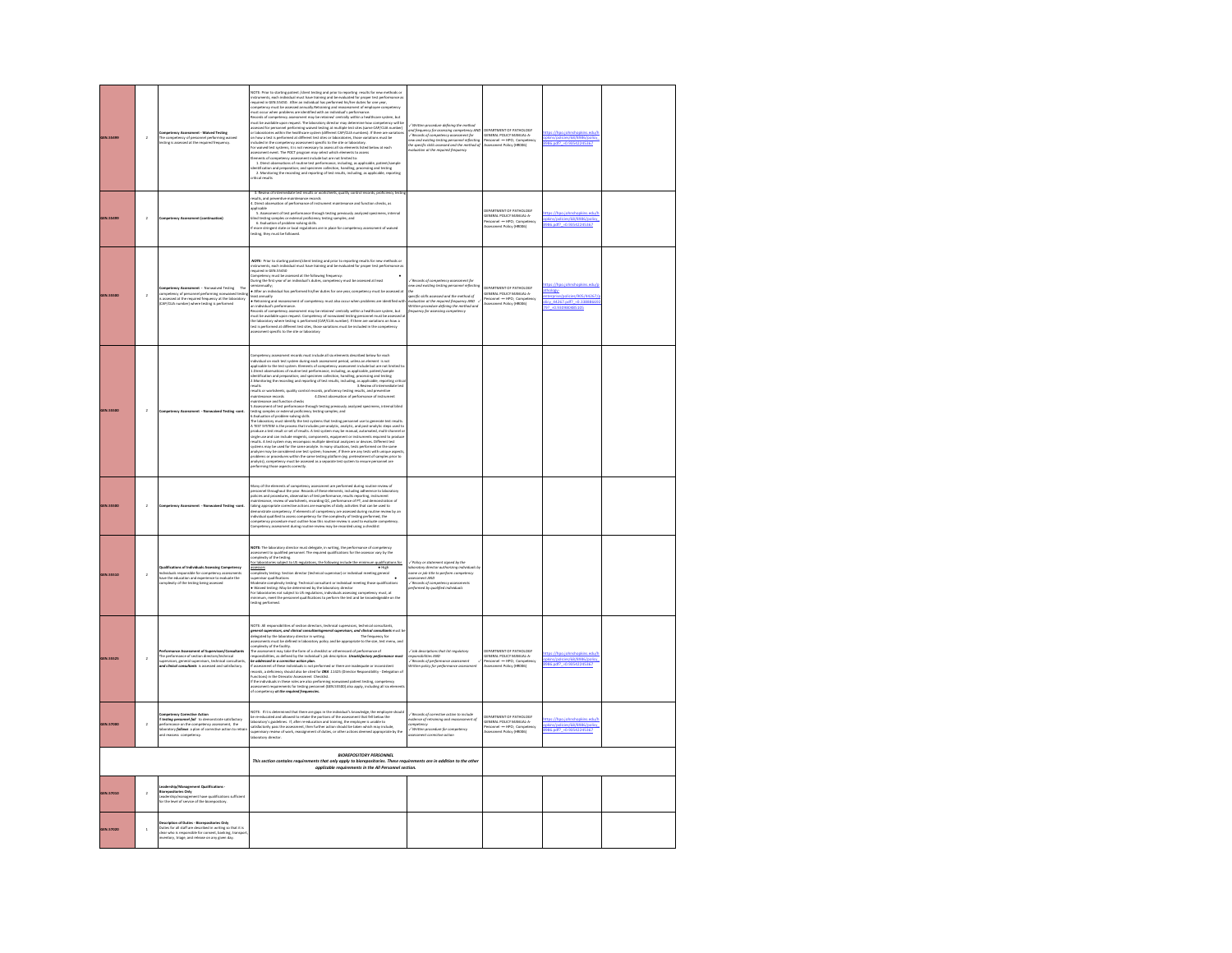| <b>IEN.55499</b> | $\overline{a}$ | Competency Assessment - Waived Testing<br>The competency of personnel performing v<br>Inting is assessed at the required frequenc                                                                                        | VOTE: Prior to starting patient / client testing and prior to reporting results for new methods or<br>NOTE: have the simulate parameterized process and process of the supersystem and the state and the state parameterized process are the stated of the state of the state of the state of the state of the state of the state o                                                                                                                                                                                                                                                                                                                                                                                                                                                                                                                                                                                                                                                                                                                                                                                                                                                                                     | ten procedure defining the mi<br>versum processes and property and the particle of the assisting competency AND<br>$\sqrt{k}$ Records of competency assessment for<br>new and ensisting testing personnel reflecting<br>new and ensisting testing personnel reflecting<br>t | SEPARTMENT OF PATHOLOGY<br> ENERAL POLICY MANUAL-A-<br> ersonnel ---- HPO; Competens<br> ssessment Policy (HRDD6)                                  | ies/68/8986/pc<br>986.pdf? = 0.93542245367                             |  |
|------------------|----------------|--------------------------------------------------------------------------------------------------------------------------------------------------------------------------------------------------------------------------|-------------------------------------------------------------------------------------------------------------------------------------------------------------------------------------------------------------------------------------------------------------------------------------------------------------------------------------------------------------------------------------------------------------------------------------------------------------------------------------------------------------------------------------------------------------------------------------------------------------------------------------------------------------------------------------------------------------------------------------------------------------------------------------------------------------------------------------------------------------------------------------------------------------------------------------------------------------------------------------------------------------------------------------------------------------------------------------------------------------------------------------------------------------------------------------------------------------------------|-----------------------------------------------------------------------------------------------------------------------------------------------------------------------------------------------------------------------------------------------------------------------------|----------------------------------------------------------------------------------------------------------------------------------------------------|------------------------------------------------------------------------|--|
| <b>GEN.55499</b> | $\overline{a}$ | ent (co                                                                                                                                                                                                                  | of intermediate test results or worksheets, quality control represented in<br>Its, and o<br>ervation of performance of instrument maintenance and function checks, as<br>Direct obs<br>Litted:<br>Louis Callentine of the typerformance through testing previously analyzed specimens, int<br>Litt besting samples or external proficiency testing samples; and<br>int besting samples or external proficiency testing samples<br>more stringent state or local regulations are in place for competency assessment of waived<br>sting, they must be followed.                                                                                                                                                                                                                                                                                                                                                                                                                                                                                                                                                                                                                                                           |                                                                                                                                                                                                                                                                             | DEPARTMENT OF PATHOLOGY<br>SENERAL POLICY MANUAL-A<br>Nirionnel -- HPO; Compete<br>Nisesiment Policy (HRDO6)                                       | s://hpo.iohnshopkins.edu/<br>phins/policies/68/8986/policy             |  |
| <b>EN.55500</b>  | $\overline{a}$ | <b>Competency Assessment -</b> Nonwalved Testing – The<br>ompetency of personnel performing nonwalved bestin<br>v assessed at the required frequency at the laboratory<br>249/CLIA number) where testing is performed    | <b>NOTE:</b> Prior to starting patient/client testing and prior to reporting results for new methods or<br>nstruments, each individual must have training and be evaluated for proper test performance a<br>veguined in GEN.55450<br>Competency must be assessed at the following frequency:<br>During the first year of an individual's duties, competency must be assessed at least<br>semiannually;<br>• After an individual has performed his/her duties for one year, competency must be a<br>$\bullet$ Million and the mass and computers of million and this cocor when problems are identified with the individual part reasons met of computers, may be an individual part reasons of computers and computers are individual                                                                                                                                                                                                                                                                                                                                                                                                                                                                                   | / Records of competency assessm<br>.<br>vecific skills assessed and the method of<br>ivaluation at the required frequency AND<br>Written pracedure defining the method and<br>Irequency for assessing competency                                                            | EPARTMENT OF PATHOLOGY<br>ENERAL POLICY MANUAL A-<br>Virsonnel --- HPO; Compete<br>Issessment Policy (HRDD6)                                       | opy.<br>/policies/905/44267<br>licy 44267.pdf? -0.33888669<br>97 -0.93 |  |
| <b>GEN.5550</b>  | $\overline{a}$ | waived Testing-cont.<br>ment - No                                                                                                                                                                                        | mpetency assessment records must include all six elements described below for each<br>individual on each test system during each assessment period, unless an element is not<br>applicable to the test system. Elements of competency assessment include but are not limited to<br>1.Direct observations of routine test p<br>dentification and preparation; and specimen collection, handling, processing and testing<br>2. Monitoring the recording and reporting of test results, including, as applicable, reporting critical state of intermediate test<br>esults or worksheets, quality control records, proficiency testing results, and preventive<br>4. Direct observation of performance of instrument<br>aintenance records<br>aintenance and function checks<br>S. Assessment of test performance through testing previously analyzed specimens, internal blind<br>testing samples or external proficiency testing samples; and<br>6. Evaluation of problem-solving skills<br>La fundación of problem colonia difínica en la regiona che la següente de una proporción de la regional de la regional de la regional de la regional de la regional de la regional de la regional de la regional de la region |                                                                                                                                                                                                                                                                             |                                                                                                                                                    |                                                                        |  |
| <b>IEN.55500</b> | $\bar{2}$      | <b>Impetency Assessment - Nonwaived Testing-cont.</b>                                                                                                                                                                    | Many of the elements of competency assessment are performed during routine review of<br>nel throughout the year. Records of these elements, including adherence to laboratory<br>,<br>policies and procedures, observation of test performance, results reporting, instrument<br>maintenance, review of worksheets, recording QC, performance of PT, and demonstration of<br>taking appropriate corrective actions are examples of daily activities that can be used to<br>ompetency assessment during routine review may be recorded using a checklist                                                                                                                                                                                                                                                                                                                                                                                                                                                                                                                                                                                                                                                                 |                                                                                                                                                                                                                                                                             |                                                                                                                                                    |                                                                        |  |
| GEN.55510        | $\overline{a}$ | .<br>Qualifications of Individuals Assessing Competency<br>Individuals responsible for competency assessments<br>have the education and experience to evaluate the<br>molesity of the testing being assessed             | <b>NOTE:</b> The laboratory director must delegate, in writing, the performance of competency<br>assessment to qualified personnel. The required qualifications for the assessor vary by the<br>complexity of the testing.<br>For laborate<br>les subject to US regulations, the following include the minim<br>assessors<br>assessors<br>complexity testing: Section director (technical supervisor) or individual meeting general<br>supervisor qualifications.<br>Moderate communities<br>pervisor quaincausers<br>oderate complexity testing: Technical consultant or individual meeting those qualifications<br>• Walved testing: May be determined by the laboratory director<br>for laboratories not subject to US regulations, individuals assessing competency must, at<br>minimum, meet the parsonnel qualifications to perform the test and be                                                                                                                                                                                                                                                                                                                                                               | Policy or statement signed by the<br>.<br>aboratory director authorizing individuals by<br>same or job title to perform competency<br><b>AND</b><br>/ Records of competency assessments<br>erformed by qualified individuals                                                |                                                                                                                                                    |                                                                        |  |
| <b>GEN.55525</b> | $\overline{2}$ | terformance Assessment of Supervisors/Consu<br>he performance of section directors/technical<br>sors, general supervisors, technical consultant<br>ticol consultonts is assessed and satisfactory.                       | VOTE: All responsibilities of section directors, technical supervisors, technical consultants<br>general supervisors, and clinical consultants peneral supervisors, and clinical consultants must b<br>delegated by the laboratory director in writing.<br>assessments must be defined in laboratory policy and be appropriate to the<br>mplexity of the facility.<br>composery to summarry.<br>The assessment may take the form of a checklist or otherrecord of performance of<br>responsibilities, as defined by the individual's job description. <b>Unsotisfoctory perform</b><br>.<br>De addressed in a corrective action plan.<br>If assessment of these individuals is not performed or there are inadequate or inconsistent<br>records, a deficiency should also be cited for DNA .11415 (Director Responsibility - D<br>Functions) in the Direcoter Assessment Checklist.<br>If the individuals in these roles are also performing nonwaived patient texting, competency<br>assessment requirements for testing personnel (QDK-55500) also apply, including                                                                                                                                                   | / Job descriptions that list regulatory<br>espansibilities AND<br>esponsibilities AND<br>/ Records of perfort<br>itten palicy for performance assessment                                                                                                                    | DEPARTMENT OF PATHOLOGY<br>ENERAL POLICY MANUAL-A<br>ersonnel -- HPO; Competency<br>ssessment Policy (HRDO6)                                       | pkins/policies/68/8986/policy<br>86.odf? - 0.93542245367               |  |
| <b>GEN.57000</b> | $\overline{a}$ | <b>texting personnel foll</b> to demonstrate satisfacter<br>erformance on the competency assessment, the<br>boratory <b>follows</b> a plan of corrective action to n<br>of reassess competency.<br>factory               | NOTE: If it is determined that there are goint in the infusional's horoningles, the arrangeous about<br>List overlocated and allowed to create the portions of the assessment that fell below the<br>Listonbory's politician. If, al                                                                                                                                                                                                                                                                                                                                                                                                                                                                                                                                                                                                                                                                                                                                                                                                                                                                                                                                                                                    | informer of retraining woodt to mousik<br>indence of retraining and reassessment of<br>Competency<br>Visitssment corrective action<br>issessment corrective action                                                                                                          | <b>CEPARTMENT OF PATHOLOGY</b><br>EPARTMENT OF PATROLOGY<br>ENERAL POLICY MANUAL-A-<br>Virsonnel ---- HPO; Compitency<br>issessment Policy (HRDD6) | //hpo.johr<br>pkins/policies/68/8986/policy<br>986.pdf? =0.93542245367 |  |
|                  |                |                                                                                                                                                                                                                          | <b>BIOREPOSITORY PERSONNEL</b><br>This section contains requirements that only apply to biorepositories. These requirements are in addition to the other<br>applicable requirements in the All Personnel section.                                                                                                                                                                                                                                                                                                                                                                                                                                                                                                                                                                                                                                                                                                                                                                                                                                                                                                                                                                                                       |                                                                                                                                                                                                                                                                             |                                                                                                                                                    |                                                                        |  |
| GEN.57010        | $\bar{2}$      | eadership/Management Qualifications -<br>tories Only<br>ent have qualifications sufficient<br>eadership/management have qualification<br>or the level of service of the biorepository.                                   |                                                                                                                                                                                                                                                                                                                                                                                                                                                                                                                                                                                                                                                                                                                                                                                                                                                                                                                                                                                                                                                                                                                                                                                                                         |                                                                                                                                                                                                                                                                             |                                                                                                                                                    |                                                                        |  |
| GEN.57020        | $\mathbf{1}$   | Description of Duties - Biorepositories Only<br>Duties for all staff are described in writing so that it is<br>clear who is responsible for consent, banking, transpor<br>ventory, triage, and release on any siyen day. |                                                                                                                                                                                                                                                                                                                                                                                                                                                                                                                                                                                                                                                                                                                                                                                                                                                                                                                                                                                                                                                                                                                                                                                                                         |                                                                                                                                                                                                                                                                             |                                                                                                                                                    |                                                                        |  |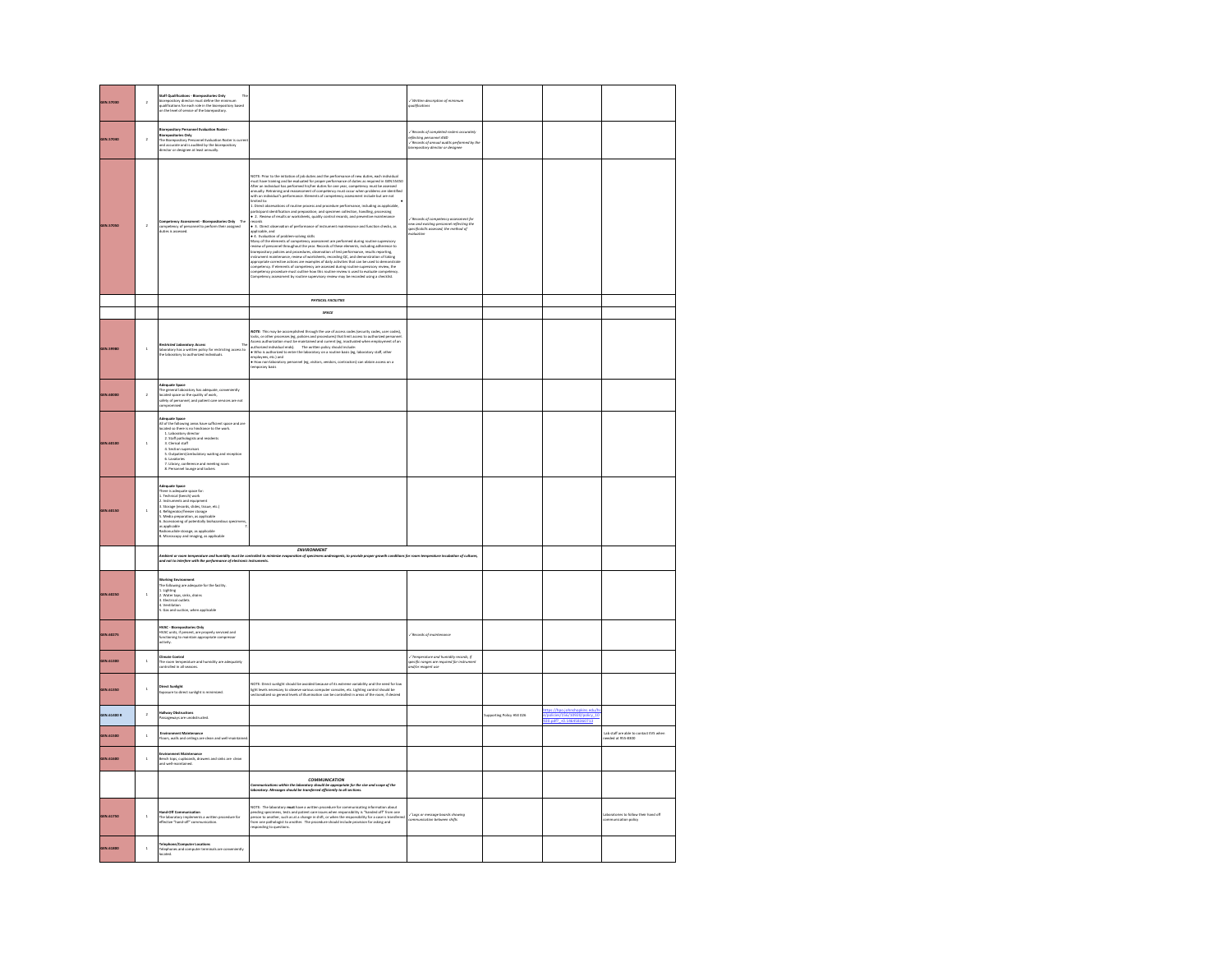| GEN.57030   | $\overline{a}$ | <b>Etaff Qualifications - Biorepositories Only</b><br>biorepository director must define the minimum<br>qualifications for each role in the biorepository based<br>on the level of service of the biorepository.                                                                                                                                                                                                                                                   |                                                                                                                                                                                                                                                                                                                                                                                                                                                                                                                                                                                                                                                                                                                                                                                                                                                                                                                                                             | / Written description of mini<br> valifications                                                                                                                                                                                                                                                                                            |                        |                                                                                            |                                                              |
|-------------|----------------|--------------------------------------------------------------------------------------------------------------------------------------------------------------------------------------------------------------------------------------------------------------------------------------------------------------------------------------------------------------------------------------------------------------------------------------------------------------------|-------------------------------------------------------------------------------------------------------------------------------------------------------------------------------------------------------------------------------------------------------------------------------------------------------------------------------------------------------------------------------------------------------------------------------------------------------------------------------------------------------------------------------------------------------------------------------------------------------------------------------------------------------------------------------------------------------------------------------------------------------------------------------------------------------------------------------------------------------------------------------------------------------------------------------------------------------------|--------------------------------------------------------------------------------------------------------------------------------------------------------------------------------------------------------------------------------------------------------------------------------------------------------------------------------------------|------------------------|--------------------------------------------------------------------------------------------|--------------------------------------------------------------|
| GEN.57040   | $\,$ $\,$      | nnel Evaluation Ros<br>tory Per<br>Biorepositories Only<br>The Biorepository Personnel Evaluation Roster is can<br>and accurate and is audited by the biorepository<br>director or designee at least annually.                                                                                                                                                                                                                                                     |                                                                                                                                                                                                                                                                                                                                                                                                                                                                                                                                                                                                                                                                                                                                                                                                                                                                                                                                                             | -/ Records of completed rosters accurately<br>reflecting personnel AND<br>-/ Records of annual audits performed by the<br>biorepository director or designee                                                                                                                                                                               |                        |                                                                                            |                                                              |
| GEN.57050   | $\,$ $\,$      | Competency Assessment - Biorepositories Only - The<br>competency of personnel to perform their assigned<br>daties is assessed.                                                                                                                                                                                                                                                                                                                                     | NOTE: Prior to the initiation of job duties and the performance of new duties, each individual and the translation of proper performance of duties are regired as determined in GRA ARES and the model of the state of the st<br>mited to:<br>1. Direct observations of routine process and procedure performance, including as applicable.<br>participant identification and preparation; and specimen collection, handling, processing<br>• 2. Neview of results or worksheets, quality control records, and preventive maintenance<br>ards<br>. 3. Direct observation of performance of instrument maintenance and function checks, as<br>icable, and<br>. 4. Evaluation of problem-solving skills<br>$\bullet \bullet \bullet$ .<br>Changes the construction of probability and the construction of the construction of the distribution of the distribution of the construction of the construction of the construction of the construction of the con | $\label{thm:main} \begin{small} \sqrt{N} & \textit{eccords} & \textit{of} & \textit{component} & \textit{for} \\ \textit{new} & \textit{and} & \textit{existing} & \textit{presentel} & \textit{reflecting} & \textit{the} \\ \textit{specifccskills} & \textit{assertised}, & \textit{the method} & \textit{of} \end{small}$<br>nalastion |                        |                                                                                            |                                                              |
|             |                |                                                                                                                                                                                                                                                                                                                                                                                                                                                                    | PHYSICAL FACILITIES                                                                                                                                                                                                                                                                                                                                                                                                                                                                                                                                                                                                                                                                                                                                                                                                                                                                                                                                         |                                                                                                                                                                                                                                                                                                                                            |                        |                                                                                            |                                                              |
|             |                |                                                                                                                                                                                                                                                                                                                                                                                                                                                                    | <b>SPACE</b>                                                                                                                                                                                                                                                                                                                                                                                                                                                                                                                                                                                                                                                                                                                                                                                                                                                                                                                                                |                                                                                                                                                                                                                                                                                                                                            |                        |                                                                                            |                                                              |
| GEN.59980   | $\overline{1}$ | -<br>Restricted Loboratory Access<br>aboratory has a written policy for restricting access to<br>the laboratory to authorized individuals.                                                                                                                                                                                                                                                                                                                         | AOTE: This may be accomplished through the use of access codes (security codes, user codes), lecks, or other processes (eg, policies and procedures) that limit access to authorized presented access and<br>because the maintai<br>· How non-laboratory personnel (eg, visitors, vendors, contractors) can obtain access on a<br>nporary basis                                                                                                                                                                                                                                                                                                                                                                                                                                                                                                                                                                                                             |                                                                                                                                                                                                                                                                                                                                            |                        |                                                                                            |                                                              |
| GEN.60000   | $\,$ $\,$      | Adequate Space<br>The general laboratory has adequate, conveniently<br>located space so the quality of work,<br>safety of personnel, and patient care services are not<br>compromised                                                                                                                                                                                                                                                                              |                                                                                                                                                                                                                                                                                                                                                                                                                                                                                                                                                                                                                                                                                                                                                                                                                                                                                                                                                             |                                                                                                                                                                                                                                                                                                                                            |                        |                                                                                            |                                                              |
| GEN.60100   | $\,$ 1         | Adequate Space<br>All of the following areas have sufficient space and are<br>located so there is no hindrance to the work.<br>caled to there is no hindrates to the work.<br>1. Liaboratory director<br>2. Suiff pathdogatis and residents<br>3. Cierical superiors<br>4. Section superiors<br>4. Section superiors<br>5. Outpatient/armodulatory waiting and reception                                                                                           |                                                                                                                                                                                                                                                                                                                                                                                                                                                                                                                                                                                                                                                                                                                                                                                                                                                                                                                                                             |                                                                                                                                                                                                                                                                                                                                            |                        |                                                                                            |                                                              |
| GEN.60150   | $\mathbf{1}$   | .<br>Adequate Space<br>There is adequate space for:<br>1. Technical (bench) work<br>1. Technical (bench) were<br>2. Instruments and equipment<br>3. Storage (records, slides, tissue, etc.)<br>4. Refrigerator/freezer storage<br>5. Media preparation, as applicable<br>6. Accessioning of potentially bishazers<br>6. Accessioning<br>us speci<br>s applicable<br>Sapplicable<br>Radionuclide storage, as applicable<br>8. Microscopy and imaging, as applicable |                                                                                                                                                                                                                                                                                                                                                                                                                                                                                                                                                                                                                                                                                                                                                                                                                                                                                                                                                             |                                                                                                                                                                                                                                                                                                                                            |                        |                                                                                            |                                                              |
|             |                | mbient or room temperature and humidity must be controlled to min<br>nd not to interfere with the performance of electronic instruments.                                                                                                                                                                                                                                                                                                                           | <b>ENVIRONMENT</b><br>ts, to provide proper prowth condit<br>n of spec                                                                                                                                                                                                                                                                                                                                                                                                                                                                                                                                                                                                                                                                                                                                                                                                                                                                                      | ins for room temperature incubation of cultures,                                                                                                                                                                                                                                                                                           |                        |                                                                                            |                                                              |
| GEN.60250   | $\,$ 1         | Working Environment<br>The following are adequate for the facility.<br>1. Lighting<br>2. Water taps, sinks, drains<br>3. Electrical outlets<br>L. Ventilation<br>.<br>Gas and suction, when applicable                                                                                                                                                                                                                                                             |                                                                                                                                                                                                                                                                                                                                                                                                                                                                                                                                                                                                                                                                                                                                                                                                                                                                                                                                                             |                                                                                                                                                                                                                                                                                                                                            |                        |                                                                                            |                                                              |
| GEN.60275   |                | HVAC - Biorepositories Orly<br>HVAC units, if present, are properly serviced and<br>functioning to maintain appropriate compressor<br>activity.                                                                                                                                                                                                                                                                                                                    |                                                                                                                                                                                                                                                                                                                                                                                                                                                                                                                                                                                                                                                                                                                                                                                                                                                                                                                                                             | / Records of maintenance                                                                                                                                                                                                                                                                                                                   |                        |                                                                                            |                                                              |
| GEN.61300   | $\overline{1}$ | <b>Imate Control</b><br>.<br>The room temperature and humidity are adequately<br>ontrolled in all seasons.                                                                                                                                                                                                                                                                                                                                                         |                                                                                                                                                                                                                                                                                                                                                                                                                                                                                                                                                                                                                                                                                                                                                                                                                                                                                                                                                             | -/ Temperature and humidity records, if<br>specific ranges are required for instrumen<br>and/or reagent use                                                                                                                                                                                                                                |                        |                                                                                            |                                                              |
| GEN.61350   | $\overline{1}$ | i <b>rect Sunlight</b><br>xposure to direct sunlight is minimized.                                                                                                                                                                                                                                                                                                                                                                                                 | NOTE: Direct sunlight should be avoided because of its extreme variability and the need for low<br>light levels necessary to observe various computer consoles, etc. Lighting control should be<br>sectionalized so general levels o                                                                                                                                                                                                                                                                                                                                                                                                                                                                                                                                                                                                                                                                                                                        |                                                                                                                                                                                                                                                                                                                                            |                        |                                                                                            |                                                              |
| GEN.61400 R | $\,$ $\,$      | tallway Obstructions<br>Passageways are unobstructed.                                                                                                                                                                                                                                                                                                                                                                                                              |                                                                                                                                                                                                                                                                                                                                                                                                                                                                                                                                                                                                                                                                                                                                                                                                                                                                                                                                                             |                                                                                                                                                                                                                                                                                                                                            | porting Policy HSE 026 | https://hpo.johnshopkins.edu/h<br>/policies/156/10920/policy 10<br>20.odf?_+0.146458360713 |                                                              |
| GEN.61500   | $\,$           | .<br>Invironment Maintenance<br>Ioors, walls and cellings are clean and well-ma                                                                                                                                                                                                                                                                                                                                                                                    |                                                                                                                                                                                                                                                                                                                                                                                                                                                                                                                                                                                                                                                                                                                                                                                                                                                                                                                                                             |                                                                                                                                                                                                                                                                                                                                            |                        |                                                                                            | Lab staff are able to contact EVS when<br>seeded at 955-8300 |
| GEN.61600   | $\overline{1}$ | Environment Maintenance<br>Bench tops, cupboards, drawers and sinks are-clean<br>ind well-maintained.                                                                                                                                                                                                                                                                                                                                                              |                                                                                                                                                                                                                                                                                                                                                                                                                                                                                                                                                                                                                                                                                                                                                                                                                                                                                                                                                             |                                                                                                                                                                                                                                                                                                                                            |                        |                                                                                            |                                                              |
|             |                |                                                                                                                                                                                                                                                                                                                                                                                                                                                                    | COMMUNICATION<br>communications within the laboratory should be appropriate for the<br>boratory. Messages should be transferred efficiently to all sections.<br>te for the size and scope of the                                                                                                                                                                                                                                                                                                                                                                                                                                                                                                                                                                                                                                                                                                                                                            |                                                                                                                                                                                                                                                                                                                                            |                        |                                                                                            |                                                              |
| GEN.61750   | $\overline{1}$ | <b>Hand-Off Communication</b><br>The laboratory implements a written procedure for<br>effective "hand-off" communication.                                                                                                                                                                                                                                                                                                                                          | NOTE: The laboratory <b>must</b> have a written procedure for communicating information about<br>pending specimens, sesta und paleert care stours when responsibility is "handed off" form one payable.<br>Jeansen to another, such as at                                                                                                                                                                                                                                                                                                                                                                                                                                                                                                                                                                                                                                                                                                                   | .<br>Logs or message baards show<br>communication between shifts<br>sing                                                                                                                                                                                                                                                                   |                        |                                                                                            | ories to follow their hand off<br>rication policy            |
| GEN.61800   | $\mathbf{1}$   | <b>Telephone/Computer Locations</b><br>Telephones and computer terminals are conveniently<br>located.                                                                                                                                                                                                                                                                                                                                                              |                                                                                                                                                                                                                                                                                                                                                                                                                                                                                                                                                                                                                                                                                                                                                                                                                                                                                                                                                             |                                                                                                                                                                                                                                                                                                                                            |                        |                                                                                            |                                                              |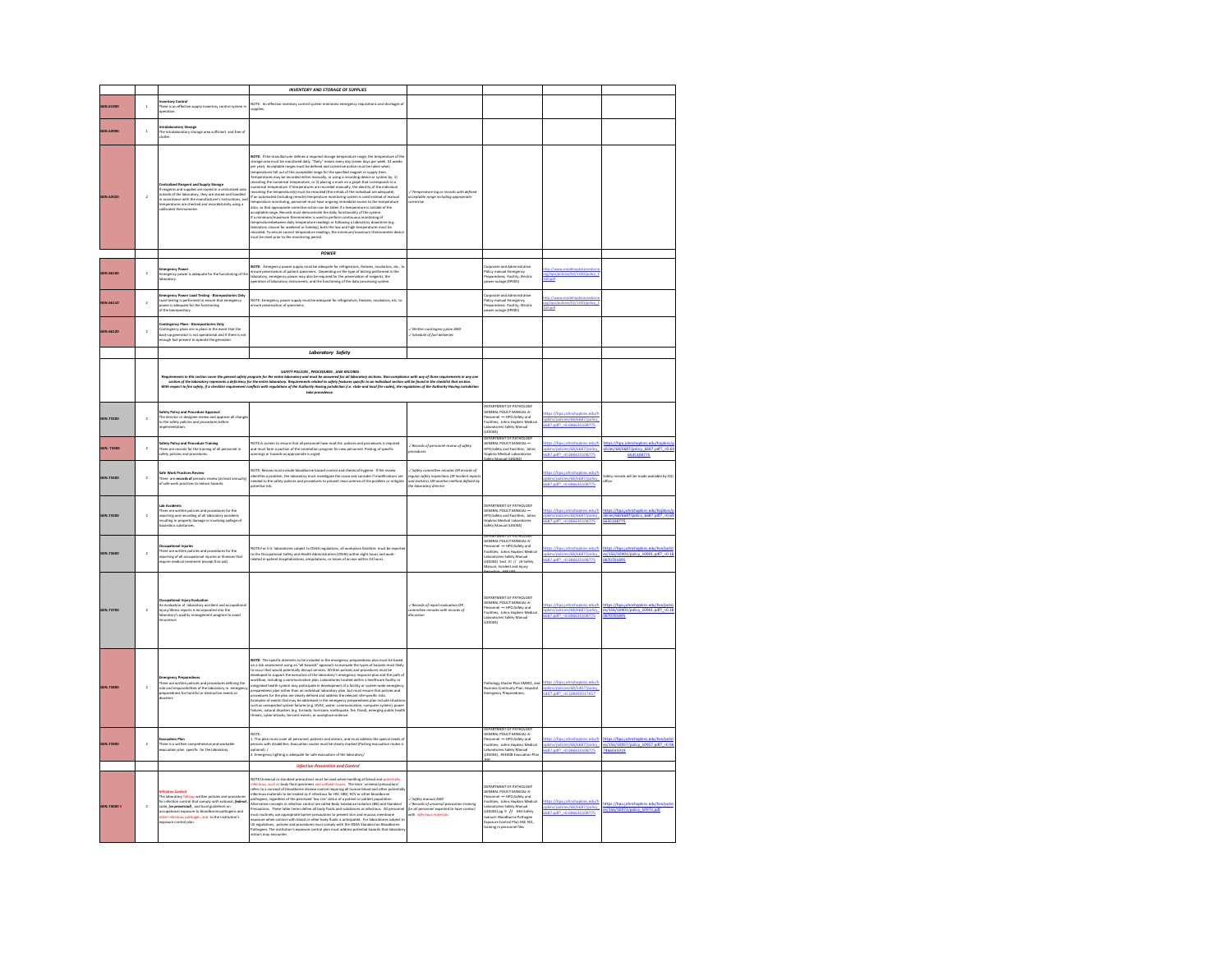|             |                |                                                                                                                                                                                                                                                                                                                    | <b>INVENTORY AND STORAGE OF SUPPLIES</b>                                                                                                                                                                                                                                                                                                                                                                                                                                                                                                                                                                                                                                                                                                                                                                                                                                                                                                                                                                                                                                                                                                                                                                                                                                 |                                                                                                                                                                  |                                                                                                                                                                                                                                                                                     |                                                                                            |                                                                                            |
|-------------|----------------|--------------------------------------------------------------------------------------------------------------------------------------------------------------------------------------------------------------------------------------------------------------------------------------------------------------------|--------------------------------------------------------------------------------------------------------------------------------------------------------------------------------------------------------------------------------------------------------------------------------------------------------------------------------------------------------------------------------------------------------------------------------------------------------------------------------------------------------------------------------------------------------------------------------------------------------------------------------------------------------------------------------------------------------------------------------------------------------------------------------------------------------------------------------------------------------------------------------------------------------------------------------------------------------------------------------------------------------------------------------------------------------------------------------------------------------------------------------------------------------------------------------------------------------------------------------------------------------------------------|------------------------------------------------------------------------------------------------------------------------------------------------------------------|-------------------------------------------------------------------------------------------------------------------------------------------------------------------------------------------------------------------------------------------------------------------------------------|--------------------------------------------------------------------------------------------|--------------------------------------------------------------------------------------------|
| GEN.61900   | $\overline{1}$ | here is an effective                                                                                                                                                                                                                                                                                               | NOTE: An effective inventory control system minimizes emergency requisitions and shortages of                                                                                                                                                                                                                                                                                                                                                                                                                                                                                                                                                                                                                                                                                                                                                                                                                                                                                                                                                                                                                                                                                                                                                                            |                                                                                                                                                                  |                                                                                                                                                                                                                                                                                     |                                                                                            |                                                                                            |
| GEN.62000   | $\mathbf{1}$   | ntralaboratory Storage<br>The intralaboratory storage area sufficient and free of<br>lutter.                                                                                                                                                                                                                       |                                                                                                                                                                                                                                                                                                                                                                                                                                                                                                                                                                                                                                                                                                                                                                                                                                                                                                                                                                                                                                                                                                                                                                                                                                                                          |                                                                                                                                                                  |                                                                                                                                                                                                                                                                                     |                                                                                            |                                                                                            |
| GEN.62020   | $\overline{2}$ | entralized Reagent and Supply Storage<br>If reagents and supplies are stored in a centralized area<br>outside of the laboratory, they are stored and handled<br>in accordance with the manufacturer's instructions, and<br>temperatures are checked and recorded daily using a<br>librated thermometer.            | NOTE: If the manufacturer defines a required storage temperature range, the temperature of the<br>storage area must be monitored daily. "Daily" means every day (seven days per week, 52 weeks<br>$\label{thm:main} \begin{minipage}[t]{. \emph{The input set} \emph{of} \emph{inif} \emph{inif} \emph{inif} \emph{inif} \emph{inif} \emph{inif} \emph{inif} \emph{inif} \emph{inif} \emph{inif} \emph{inif} \emph{inif} \emph{inif} \emph{inif} \emph{inif} \emph{inif} \emph{inif} \emph{inif} \emph{inif} \emph{inif} \emph{inif} \emph{inif} \emph{inif} \emph{inif} \emph{inif} \emph{inif} \emph{inif$<br>merical temperature. If temperatures are recorded manually, the identity of the individual<br>membres interpretation and proposition are freedome interpretations of our derivative of the membres of the state of the state of the state of the state of the state of the state of the state of the state of the state of<br>temperaturesbetween daily temperature readings or following a laboratory downtime (e.g.<br>laboratory closure for weekend or holiday), both the low and high temperatures must be<br>ecorded. To ensure correct temperature readings, the minimum/ma<br>rust be reset prior to the monitoring period.<br>num thermometer d | / Temperature lag or records with defined<br>icceptable range including appropriate<br>rective                                                                   |                                                                                                                                                                                                                                                                                     |                                                                                            |                                                                                            |
|             |                |                                                                                                                                                                                                                                                                                                                    | POWER                                                                                                                                                                                                                                                                                                                                                                                                                                                                                                                                                                                                                                                                                                                                                                                                                                                                                                                                                                                                                                                                                                                                                                                                                                                                    |                                                                                                                                                                  |                                                                                                                                                                                                                                                                                     |                                                                                            |                                                                                            |
| GEN.66100   | $\mathbf{2}$   | mergency Power<br>mergency power is adequate for the functioning of th<br>boratory                                                                                                                                                                                                                                 | VOTE: Emergency power supply must be adequate for refrigerators, freezers, incubators, etc., to<br>insure preservation of patient specimens. Depending on the type of testing performed in the<br>aboratory, emergency power may also be required for the preservation of reagents, the<br>peration of laboratory instruments, and the functioning of the data processing system.                                                                                                                                                                                                                                                                                                                                                                                                                                                                                                                                                                                                                                                                                                                                                                                                                                                                                        |                                                                                                                                                                  | orporate and Administrative<br>.<br>Policy manual Emergency<br>Preparedness -Facility: Electric<br>ower outane (EPODS)                                                                                                                                                              | distant PC271920/molinu 1<br>20.001                                                        |                                                                                            |
| GEN.66110   | $\lambda$      | ergency Power Load Testing - Biorepo<br>itories Only<br>cad testing is performed to ensure that emergency<br>ower is adequate for the functioning<br>f the biorepository.                                                                                                                                          | .<br>NOTE: Emergency power supply must be adequate for refrigerators, freezers, incubators, etc. to<br>insure preservation of specimens.                                                                                                                                                                                                                                                                                                                                                                                                                                                                                                                                                                                                                                                                                                                                                                                                                                                                                                                                                                                                                                                                                                                                 |                                                                                                                                                                  | rporate and Administrat<br><b>holicy manual Emergency<br/>heparedness -Facility: Electric<br/>nower outage (EP005)</b>                                                                                                                                                              | 0.601                                                                                      |                                                                                            |
| GEN.66120   | $\overline{a}$ | <b>Contingency Plans - Biorepositories Only</b><br>Contingency plans are in place in the ever<br>nt that the<br>ack-up generator is not operational and if there is not<br>ough fuel present to operate the generator                                                                                              |                                                                                                                                                                                                                                                                                                                                                                                                                                                                                                                                                                                                                                                                                                                                                                                                                                                                                                                                                                                                                                                                                                                                                                                                                                                                          | √ Written contingency plan AND<br>√ Schedule of fuel deliveries                                                                                                  |                                                                                                                                                                                                                                                                                     |                                                                                            |                                                                                            |
|             |                |                                                                                                                                                                                                                                                                                                                    | Laboratory Safety                                                                                                                                                                                                                                                                                                                                                                                                                                                                                                                                                                                                                                                                                                                                                                                                                                                                                                                                                                                                                                                                                                                                                                                                                                                        |                                                                                                                                                                  |                                                                                                                                                                                                                                                                                     |                                                                                            |                                                                                            |
|             |                |                                                                                                                                                                                                                                                                                                                    | SAFETY POLICIES, PROCEDURES, AND RECORDS<br>hepimman inthi sutton core the governing lefty program for the entity behavior party activation of the intermal technical states of the state of the construction of the state of the construction in the construction of the                                                                                                                                                                                                                                                                                                                                                                                                                                                                                                                                                                                                                                                                                                                                                                                                                                                                                                                                                                                                | tis in any one                                                                                                                                                   |                                                                                                                                                                                                                                                                                     |                                                                                            |                                                                                            |
| GEN.73200   | $\lambda$      | afety Policy and Procedure Approval<br>Advisor of the less provides and a<br>, roosy was recedure approval<br>The director or designee review and approv<br>to the safety policies and procedures before<br>implementation.<br>ive all chang                                                                       |                                                                                                                                                                                                                                                                                                                                                                                                                                                                                                                                                                                                                                                                                                                                                                                                                                                                                                                                                                                                                                                                                                                                                                                                                                                                          |                                                                                                                                                                  | DEPARTMENT OF PATHOLOGY<br>GENERAL POLICY MANUAL-A-<br>Personnel ---- HPO;Safety and<br>Facilities; Johns Hopkins Medical<br>Liaboratories Safety Manual<br>(LESO04)<br>DEPARTMENT OF PATHOLOGY                                                                                     | tes://hon.inhoshookins.edu/l<br>pkins/policies/68/6687/policy<br>87.pdf? = 0.696635108775  |                                                                                            |
| GEN. 73300  | $\overline{a}$ | <b>Safety Policy and Procedure Training</b><br>There are records for the training of all personnel in<br>lafety policies and procedures.                                                                                                                                                                           | NOTE-A system to ensure that all personnel have read the policies and procedures is required<br>and must form a portion of the orientation program for new personnel. Posting of specific<br>warnings or hazards as appropriate is urged.                                                                                                                                                                                                                                                                                                                                                                                                                                                                                                                                                                                                                                                                                                                                                                                                                                                                                                                                                                                                                                | / Records of personnel review of safety<br>pondures                                                                                                              | GENERAL POLICY MANUAL-<br>HPO; Safety and Facilities; Johns<br>Hopkins Medical Laboratories<br>February Manual RESODAT                                                                                                                                                              | tps://hpo.john<br>pkins.edu/l<br>pkins/policies/68/6687/policy<br>25301259999.0e.5999.0e   | s://hpo.johnshopk<br>cies/68/6687/policy 6687.pdf? -0.6<br>6635108775                      |
| GEN.73400   | $\bar{2}$      | iafe Work Practices Review<br>There are <b>records of</b> periodic review (at least an<br>of safe work practices to reduce hazards.                                                                                                                                                                                | NOTE: Review must include bloodborne hazard control and chemical hygiene. If the review<br>identifies a problem, the laboratory must investigate the cause and consider if modifications are<br>needed to the safety policies and pr                                                                                                                                                                                                                                                                                                                                                                                                                                                                                                                                                                                                                                                                                                                                                                                                                                                                                                                                                                                                                                     | Sofety committee minutes OR records of<br>egular safety impections Oft incident report<br>ind statistics Oft another method defined by<br>he laboratory director |                                                                                                                                                                                                                                                                                     | opkins.edu/h<br>pkins/policies/68/6687/policy<br>687.pdf? - 0.696635108775                 | lafety records will be made available by CQI<br>office.                                    |
| GEN 23500   | $\lambda$      | and Accidents<br>There are written policies and procedures for the<br>reporting and recording of all laboratory accidents<br>resulting in property damage or involving spillage of<br>hazardous substances.                                                                                                        |                                                                                                                                                                                                                                                                                                                                                                                                                                                                                                                                                                                                                                                                                                                                                                                                                                                                                                                                                                                                                                                                                                                                                                                                                                                                          |                                                                                                                                                                  | DERARTMENT OF RATHOLOGY<br>DEPARTMENT OF PATROLOGY<br>GENERAL POLICY MANUAL-<br>HPO;Safety and Facilities; Johns<br>Hopkins Medical Laboratories<br>afety Manual (LESOD4)                                                                                                           | ttps://hpo.johnshopkins.edu/h<br>pkins/policies/68/6687/policy<br>87.pdf? - 0.696635108775 | ttps://hpo.johnshopkins.edu/hopkins/<br>licies/68/6687/policy 6687.pdf? = 0.65<br>35108775 |
| GEN.73600   | $\overline{2}$ | <b>upational Injuries</b><br>w are written policies and procedures for the<br>orting of all occupational injuries or illnesses ti<br>zire medical treatment (except first aid).<br>hana ana w<br>$\tilde{t}$                                                                                                       | VOTE:for U.S. laboratories subject to OSHA regulations, all workplace fiatalities must be re<br>to the Occupational Safety and Health Administration (OSHA) within eight hours and work-<br>viated in-patient hospitalizations, ampu<br>to the Occupational S<br>related in-patient hos                                                                                                                                                                                                                                                                                                                                                                                                                                                                                                                                                                                                                                                                                                                                                                                                                                                                                                                                                                                  |                                                                                                                                                                  | <b>DEPARTMENT OF PATHOLOGY</b><br>GENERAL POLICY MANUAL-A-<br>Parsonnel — HPO;Safety and<br>Facilities; Johns Hopkins Medical<br>Laboratories Safety Manual<br>Manual: Incident and Injury<br>Manual: Incident and Injury<br>Navoulso - ME-OA                                       | pkins/policies/68/6687/policy<br>687.pdf? = 0.696635108775                                 | s/156/10901/policy 10901.pdf? +0.18<br>870701895                                           |
| EN.73700    | $\bar{2}$      | al Injury Evalu<br>ution of laboratory accident and occupa<br>in ev<br>.<br>njury/lihess reports is incorporated into the<br>aboratory's quality management program to avoid                                                                                                                                       |                                                                                                                                                                                                                                                                                                                                                                                                                                                                                                                                                                                                                                                                                                                                                                                                                                                                                                                                                                                                                                                                                                                                                                                                                                                                          | / Records of report evaluation OR<br>committee minutes with records of<br>liscussion                                                                             | DEPARTMENT OF PATHOLOGY<br>GENERAL POLICY MANUAL-A-<br>Personnel ---- HPO;Safety and<br>Facilities; Johns Hopkins Medical<br>Laboratories Safety Manual<br>A-Freneri                                                                                                                | opkins.edu/h<br>pkins/policies/68/6687/policy<br>687.pdf? =0.696635108775                  | s/156/10901/policy_10901.pdf?_+0.11<br>70701895                                            |
| GEN.73800   | $\overline{a}$ | gency vrepairedness<br>There are written policies and procedures defining the<br>tole and responsibilities of the laboratory in  emergenc<br>Ireparedness for harmful or destructive events or<br>Iisasters.                                                                                                       | <b>MOTE:</b> The specific elements to be included in the energoncy proporedness plan must be based as a ride assessment using an "Al-haused" approach to couple and correlate the couple of the couple of the couple of the couple<br>.<br>preparedness plan rather than an individual laboratory plan, but must ensure that pol<br>procedures for the plan are clearly defined and address the relevant site-specific risks.<br>processes are un pass and the addressed in the emergency preparedness plus include situation<br>Examples of events that may be addressed in the emergency preparedness plus include situation<br>such as unexpected system failures<br>threats, cyber-attacks, terrorist events, or workplace violence                                                                                                                                                                                                                                                                                                                                                                                                                                                                                                                                  |                                                                                                                                                                  | .<br>Nathology Diaster Plan EM001, and<br>Imergency Preparedness,                                                                                                                                                                                                                   | tps://hpo.johnshopkins.edu/l<br>407.pdf? - 0.328493517417                                  |                                                                                            |
| GEN.73900   | $\overline{2}$ | lvacuation Plan<br>here is a written comprehensive,and workable<br>wacuation plan  specific  for the laboratory.                                                                                                                                                                                                   | with<br>nust cover all personnel, patients and visitors, and must address the special needs of<br>disabilities. Evacuation routes must be clearly marked (Posting evacuation routes is<br>This plan #<br>aersons with disabilities. Evacuation routes must be clearly marked (Pos<br>sptional). /<br>L. Emergency lighting is adequate for safe evacuation of the laboratory/                                                                                                                                                                                                                                                                                                                                                                                                                                                                                                                                                                                                                                                                                                                                                                                                                                                                                            |                                                                                                                                                                  | DEPARTMENT OF PATHOLOGY<br>GENERAL POLICY MANUAL-A-<br>Parsonnel ---- HPO;Safety and<br>Facilities; - Johns Hopkins Medical<br>Laboratories Safety Manual<br>(LESD04) , HSE408 Evacuation Plan<br>Islo                                                                              | //hon.ich<br>pkins/policies/68/6687/policy<br>687.odf? - 0.696635108775                    | <b>C/Man inh</b><br>s/156/10957/policy_1095<br>66035919                                    |
| GEN.74000 R | $\overline{a}$ | The laboratory follows written policies and procedure<br>for infection control that comply with national, <b>federa</b><br>state, (or provincial), and local guidelines on<br>counctional exposure to blood<br>ome pathogens and<br>her infectiou<br>s pathogen, and to the institution's<br>oposure control plan. | <b>Infection Prevention and Control</b><br>.<br>NOTE: Universal or standard precautions must be used when handling all blood and potential<br>nfectious, such as body fluid specimens and unfixed tissues. The term 'universal precautions<br>whes to a concept of bloodborne disease control requiring all human blood and other potentially<br>nfectious materials to be treated as if infectious for HIV, HBV, HCV or other bloodborne<br>sathogens, regardless of the perceived 'low risk' status of a patient or patient population.<br>Uternative concepts in infection control are called Body Substance Isolation (BSI) and Standard<br>.<br>Precautions. These latter terms define all body fluids and substances as infectious. All personne<br>must routinely use appropriate barrier precautions to prevent skin and mucous membrane<br>exposure when contact with blood or other body fluids is anticipated. For laboratories subject to<br>US regulations, policies and procedures must comply with the OSHA Standard on Bloodborne<br>Pathogens. The institution's exposure control plan must address potential hazards that laborator<br>isitors may encounter.                                                                                          | Sofety monual AND<br>/ Records of universal precoution training<br>for all personnel expected to have contact<br>with infectious materials                       | DEPARTMENT OF PATHOLOGY<br>GENERAL POLICY MANUAL-A<br>Nirsonnel -- HPO:Safety and<br>acilities: Johns Hookins Medical<br>Laborato<br>es Safety Manual<br>(LESDD4) pg. 9 // JHH Safety<br>anual- Bloor<br>a Pathogen<br>Exposure Control Plan HSE 501,<br>raining in personnel files | ttps://hpo.johnshopkins.edu/h<br>pkins/policies/68/6687/policy<br>687.pdf? =0.696635108775 | tos://hoo.johnshookins.edu/<br>10072-04                                                    |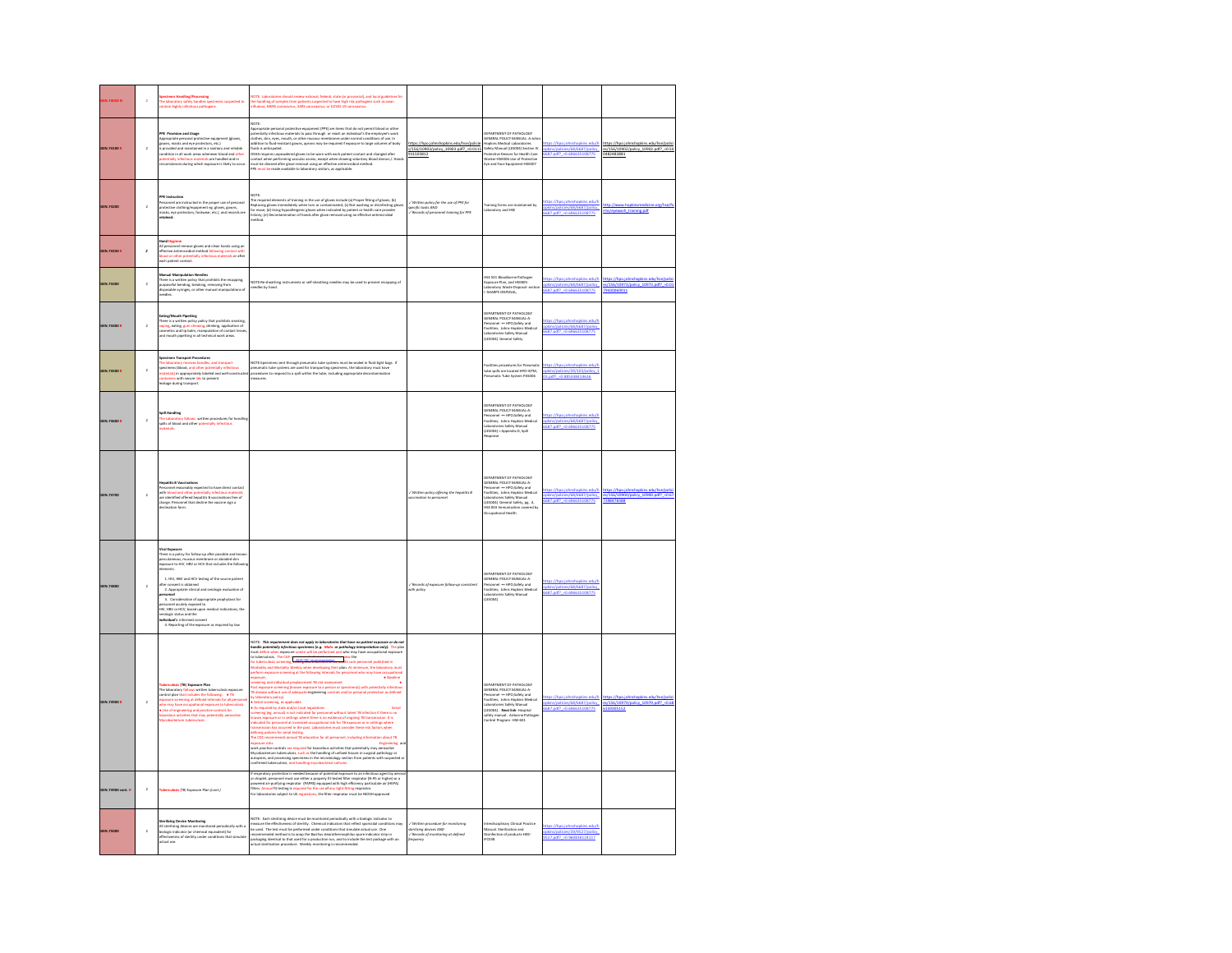|                 |                | ntain highly infectious pathogene                                                                                                                                                                                                                                                                                                                                                                                                             | boratories should review national, federal, state (or provincial), and local guidelines for<br>ling of samples from patients suspected to have high risk pathogens such as avian<br>nza, MERS coronavirus, SARS coronavirus, or COVID-19 coronavirus                                                                                                                                                                                                                                                                                                                                                                                                                                                                                                                                                                                                                                                                                                                                                                                                                                                                                                                                                                                                                                                                                                                                                                                                                                                  |                                                                                                                 |                                                                                                                                                                                                                                                                                                       |                                                                                            |                                                                                             |
|-----------------|----------------|-----------------------------------------------------------------------------------------------------------------------------------------------------------------------------------------------------------------------------------------------------------------------------------------------------------------------------------------------------------------------------------------------------------------------------------------------|-------------------------------------------------------------------------------------------------------------------------------------------------------------------------------------------------------------------------------------------------------------------------------------------------------------------------------------------------------------------------------------------------------------------------------------------------------------------------------------------------------------------------------------------------------------------------------------------------------------------------------------------------------------------------------------------------------------------------------------------------------------------------------------------------------------------------------------------------------------------------------------------------------------------------------------------------------------------------------------------------------------------------------------------------------------------------------------------------------------------------------------------------------------------------------------------------------------------------------------------------------------------------------------------------------------------------------------------------------------------------------------------------------------------------------------------------------------------------------------------------------|-----------------------------------------------------------------------------------------------------------------|-------------------------------------------------------------------------------------------------------------------------------------------------------------------------------------------------------------------------------------------------------------------------------------------------------|--------------------------------------------------------------------------------------------|---------------------------------------------------------------------------------------------|
| GEN.74100 R     | $\lambda$      | <b>PPE</b> Provision and Usage<br>Appropriate personal probabilitie equipment (gloves, approximate and one protectors, etc.)<br>is provided and maintained in a samilary and reliable condition in all work areas whenever blood and oth                                                                                                                                                                                                      | NOTE:<br>nt (PPE) are items that do not permit bli<br>.<br>opropriate perso<br>mal protective equipm<br>Agencytics proceed posterior mappiness (PPI) are leaves that do not permit binds of other depends pointing pointing the system of the system of the system of the system of the system of the system of the system of the sys<br>nes of body<br>ors / Hand                                                                                                                                                                                                                                                                                                                                                                                                                                                                                                                                                                                                                                                                                                                                                                                                                                                                                                                                                                                                                                                                                                                                    | tns://hnn.inhnshnnki<br>edu/hse/nolic<br>s/156/10903/policy 10903.pdf? = 0.0115<br>1503812                      | DEPARTMENT OF PATHOLOGY<br>GENERAL POLICY MANUAL: A-John<br>Hopkins Medical Laboratories<br>Safety Manual (LESOPA) Section IV.<br>Pronctive Device for Health Care<br>Worker-HSEODG.Use of Protective<br>Eye and Face Equipment-HSEOD7                                                                | pkins/policies/68/6687/policy                                                              | $100 -$<br>es/156/10902/policy_10902.pdf?_+0.50<br>182483881                                |
| GEN.74200       | $\,$ 2 $\,$    | PPE Instruction<br>Personnel are instructed in the proper use of personal<br>protective clothing/equipment eg. gloves, gowns,<br>mateix, eye protectors, footwear, etc.), and records are<br>reteined                                                                                                                                                                                                                                         | NOTE:<br>The respired elements of training in the use of gloves include (a) Proper fitting of gloves; (b)<br>Replacing gloves inrmediately when tom or contaminated; (c) Not washing or disirfecting gloves<br>for reuse; (d) Using hyp<br>story; (e) Deconta<br>athori                                                                                                                                                                                                                                                                                                                                                                                                                                                                                                                                                                                                                                                                                                                                                                                                                                                                                                                                                                                                                                                                                                                                                                                                                               | Written policy for the use of PPE for<br>ecific tosks AND<br>/ Records of personnel training for PPE            | Training forms are m<br>aboratory                                                                                                                                                                                                                                                                     | ttps://hpo.johnshopkins.edu/h<br>let 1719-1816-1816-1816<br> ekins/golicies/68/6687/golicy | ash training.pdf                                                                            |
| GEN 74250 B     | $\overline{z}$ | land Hygiene<br>nane regument<br>Ill personnel remove gloves and clean hands using an<br>effective antimicrobial method following contact with<br>sidod or other potentially infectious materials or after<br>each patient contact.                                                                                                                                                                                                           |                                                                                                                                                                                                                                                                                                                                                                                                                                                                                                                                                                                                                                                                                                                                                                                                                                                                                                                                                                                                                                                                                                                                                                                                                                                                                                                                                                                                                                                                                                       |                                                                                                                 |                                                                                                                                                                                                                                                                                                       |                                                                                            |                                                                                             |
| GEN.74300       | $\overline{a}$ | Manual Manipulation Needles<br>There is a written policy that prohibits the recapping,<br>surposeful bending, breaking, removing from<br>disposable syringes, or other manual manipulations of<br><b>Address</b>                                                                                                                                                                                                                              | <b>VOTF-Bauly</b><br>ay be used to prevent recap<br>ing of<br>redles by hand.                                                                                                                                                                                                                                                                                                                                                                                                                                                                                                                                                                                                                                                                                                                                                                                                                                                                                                                                                                                                                                                                                                                                                                                                                                                                                                                                                                                                                         |                                                                                                                 | HSE 501 Bloodborne Pathoeer<br>re Plan, and HSE801<br>aboratory Waste Disposal- sec                                                                                                                                                                                                                   | ttps://hpo.johnshopkins.edu/t<br>phins/policies/68/6687/policy                             | tos://hoo.johnshookins.edu/hse/polic<br>es/156/10973/policy 10973.pdf? = 0.01<br>9430069011 |
| GEN.74400 R     | $\lambda$      | Eating/Mouth Pipeting<br>There is a written policy policy that prohibits smoking,<br>vaping, eating, gern chewing, drinking, application of<br>cormetics and lip balm, manipulation of contact lenses<br>and mouth pipetting in all techni                                                                                                                                                                                                    |                                                                                                                                                                                                                                                                                                                                                                                                                                                                                                                                                                                                                                                                                                                                                                                                                                                                                                                                                                                                                                                                                                                                                                                                                                                                                                                                                                                                                                                                                                       |                                                                                                                 | DEPARTMENT OF PATHOLOGY<br>GENERAL POLICY MANUAL-A-<br>Parsonnel ---- HPO;Safety and<br>Facilities; Johns Hopkins Medical<br>Laboratories Safety Manual<br>(LESDD4) General Safety                                                                                                                    | tec//hon inhoshookins edu<br>pkins/policies/68/6687/policy<br>687.pdf? - 0.696635108775    |                                                                                             |
| GEN.74500 R     | $\overline{2}$ | <b>Specimen Transport Procedures</b><br>The laboratory receives handles, and transport specimens (blood, and other potentially indections materials) in appropriately labeled and well-constructed<br>conditions in the propriately labeled and well-constructed<br>conditi                                                                                                                                                                   | NOTE:Specimens sent through prerumatic tube systems must be sealed in fluid-tight bags. If<br>presumatic tube systems are used for transporting specimens, the laboratory must have<br>procedures to respond to a splil within the t<br>asures.                                                                                                                                                                                                                                                                                                                                                                                                                                                                                                                                                                                                                                                                                                                                                                                                                                                                                                                                                                                                                                                                                                                                                                                                                                                       |                                                                                                                 | ities procedures for Pre<br>ube spills are located HPO-ICPM,<br>neumatic Tube System PAS006                                                                                                                                                                                                           | //hpo.johnshopkins.edu/l<br>pkins/policies/39/103/policy 1<br>3.odf? +0.885348414636       |                                                                                             |
| GEN.74600 R     | $\overline{2}$ | .<br>The Laboratory follows written procedures for has<br>pills of blood and other potentially infectious                                                                                                                                                                                                                                                                                                                                     |                                                                                                                                                                                                                                                                                                                                                                                                                                                                                                                                                                                                                                                                                                                                                                                                                                                                                                                                                                                                                                                                                                                                                                                                                                                                                                                                                                                                                                                                                                       |                                                                                                                 | .<br>DEPARTMENT OF PATHOLOGY<br>GENERAL POLICY MANUAL-A-<br>.<br>Nersonnel -- HPO;Safety and<br>lacilities; Johns Hopkins Medical<br>Jaboratories Safety Manual<br>(LESDD4) < Appendix D, Spill                                                                                                       | <b>Thomas Links</b><br>pkins/policies/68/6687/policies<br>pkins/policies/68/6687/policies  |                                                                                             |
| GEN.74700       | $\bar{2}$      | Mepatitis B Vaccinations<br>Personnel reasonably expected to have direct contact<br>with blood and other potentially infectious materials<br>are identified offered hepatitis B vaccinations free of<br>charge. Personnel that decline the<br>stion form.                                                                                                                                                                                     |                                                                                                                                                                                                                                                                                                                                                                                                                                                                                                                                                                                                                                                                                                                                                                                                                                                                                                                                                                                                                                                                                                                                                                                                                                                                                                                                                                                                                                                                                                       | policy offering the hepotitis &<br>t pia<br>10 dia pe                                                           | DERARTMENT OF PATHOLOGY<br>GENERALMENT OF PATROLOGY<br>GENERAL POLICY MANUAL-A-<br>Personnel --- HPO;Safety and<br>Facilities; Johns Hopkins Medical<br>es Safatu Manual<br>aborat<br>(LESDD4) General Safety, pg. .4,<br><b>HSE 003 Immunization co</b><br>.<br>ned by<br><b>Occupational Health</b> | tec://hon.inhoshookins.edu/<br>let 1577 168/68/687/2010                                    | nkins orlufty<br>licy 10900.pdf? +0.6<br>7398478388                                         |
| GEN.74800       | $\overline{a}$ | rical Exp<br>here is a policy for follow-up after possible and kne<br>percutan<br>us, mucous membrane or abraded skin<br>opposure to HIV, HBV or HCV that includes the followis<br>ilements.<br>1. HIV, HBV and HCV testing of the source patient<br>fter consent is obtained<br>2. Appropriate clinical and serologic evaluation of<br>3. Consideration of appropriate prophylaxis for                                                       |                                                                                                                                                                                                                                                                                                                                                                                                                                                                                                                                                                                                                                                                                                                                                                                                                                                                                                                                                                                                                                                                                                                                                                                                                                                                                                                                                                                                                                                                                                       | Records of expasure follow-up com<br>with policy                                                                | DEPARTMENT OF PATHOLOGY<br>GENERAL POLICY MANUAL-A-<br>Personnel ---- HPO;Safety and<br>Facilities; Johns Hopkins Medical<br>Laboratories Safety Manual<br>(LESOD4)                                                                                                                                   | tps://hpo.jof<br>pkins/policies/68/6687/policy<br><b>GR7</b> off2 +0                       |                                                                                             |
| GEN.74900 R     | $\overline{2}$ | serculosis (TB) Exposure Plan<br><b>The laboratory follows written tuberculosis exposure</b><br>The laboratory follows written tuberculosis exposure<br>control plan that includes the following:<br><b>• TB</b><br>exposure screening at defined intervals for all persons<br>.<br>Ho may have occupational exposure to tuberculosis.<br>Use of engineering and practice controls for<br>izardous activities that may potentially aerosolize | NOTE: This requirement does not apply to isboratories that have no patient exposure or<br>handle potentially infectious specimens (e.g., Mohs or pathology interpretation only). T<br>must define when exposure screen will be perfo<br>we ar da er<br>to tuberculosis. The CAP r <b>epart of the CAP relationship of the Section</b><br>for tuberculosis screening, while <b>SEC treatment times ma</b> nth care personnel published in<br>ebidity and Mortality Weekh<br>when developing their plan. At minimum, the laboratory m<br>power screening at the following intervals for personnel who may have occupational<br>+ Baseline<br>ining and individual preplacement TB risk assessment<br>st exposure screening (known exposure to a person or specimen(s) with potentially infectious<br>disease without use of adequate engineering controls and/or personal protection as defined<br>laboratory policy)<br>erial screening, as applicable<br>is required by state and/or local regulations<br>Serial<br>As required by take analytic local regulations<br>verifying the main state of the property of the state of the state of<br>the state of the state of the state of the state of the state of the<br>state of the state of the state of t<br>anposce nist.<br>unof practice controls are required for heardcox activities that potentially may arenosize<br>Myrochacterium tuberculois, such as the hardfree of unfeat tissues in surgical pathology or<br>untopies, and processing |                                                                                                                 | DEPARTMENT OF PATHOLOGY<br>GENERAL POLICY MANUAL-A-<br>Personnel -- HPO;Safety and<br>Facilities; Johns Hopkins Medical<br>Laboratories Safety Manual<br>(LESDD4) - Next link-Hospital<br>ifety manual: Airborne Pathog<br>ontrol Program- HSE-601                                                    | tps://hpo.jof<br>pkins/policies/68/6687/policy<br>687.pdf? +0.696635108775                 | es/156/10979/policy_10979.pdf? = 0.68<br>159305152                                          |
| GEN.74900 cont. | $\bar{2}$      | losis (TB) Exposure Plan (cont.)                                                                                                                                                                                                                                                                                                                                                                                                              | If respiratory protection is needed because of potential exposere to an infectious agent by aer<br>or dropiet, personnel must use either a properly fit-tested fliter respirator (N-DS or higher) or a<br>powered air-purifying resp                                                                                                                                                                                                                                                                                                                                                                                                                                                                                                                                                                                                                                                                                                                                                                                                                                                                                                                                                                                                                                                                                                                                                                                                                                                                  |                                                                                                                 |                                                                                                                                                                                                                                                                                                       |                                                                                            |                                                                                             |
| GEN.75000       | $\overline{a}$ | rilizing Device Monitoring<br>All sterilizing devices are monitored periodically with a<br>.<br>biologic indicator (or chemical equivalent) for<br>effectiveness of sterility under conditions that sim<br>actual use.                                                                                                                                                                                                                        | VOTE: Each sterilizing device must be monitored periodically with a biologic indicator to<br>vocal Saam memmarg serves music so manuscus personality who is associated the effectiveness of sterlity. Chemical indicators that reflect sporicidal condition<br>the used. The test must be performed under conditions that s<br>mi miw<br>packaging identical to that used for a production run, and to include the test package with an<br>actual sterilization procedure. Weekly monitorine is recom-<br>mended.                                                                                                                                                                                                                                                                                                                                                                                                                                                                                                                                                                                                                                                                                                                                                                                                                                                                                                                                                                                     | Written arocedure for monitoring<br>sterilizing devices AND<br>-/ Records of manitoring at defined<br>frequency | erdisciplinary Clinical Practice<br><b>Manual: Sterilization and<br/>Disinfection of products-HEIC-</b><br><b>IFC038</b>                                                                                                                                                                              | ttps://hpo.johnshopkins.edu/<br>phins/policies/39/9527/policy<br>IS27.pdf? =0.960836124117 |                                                                                             |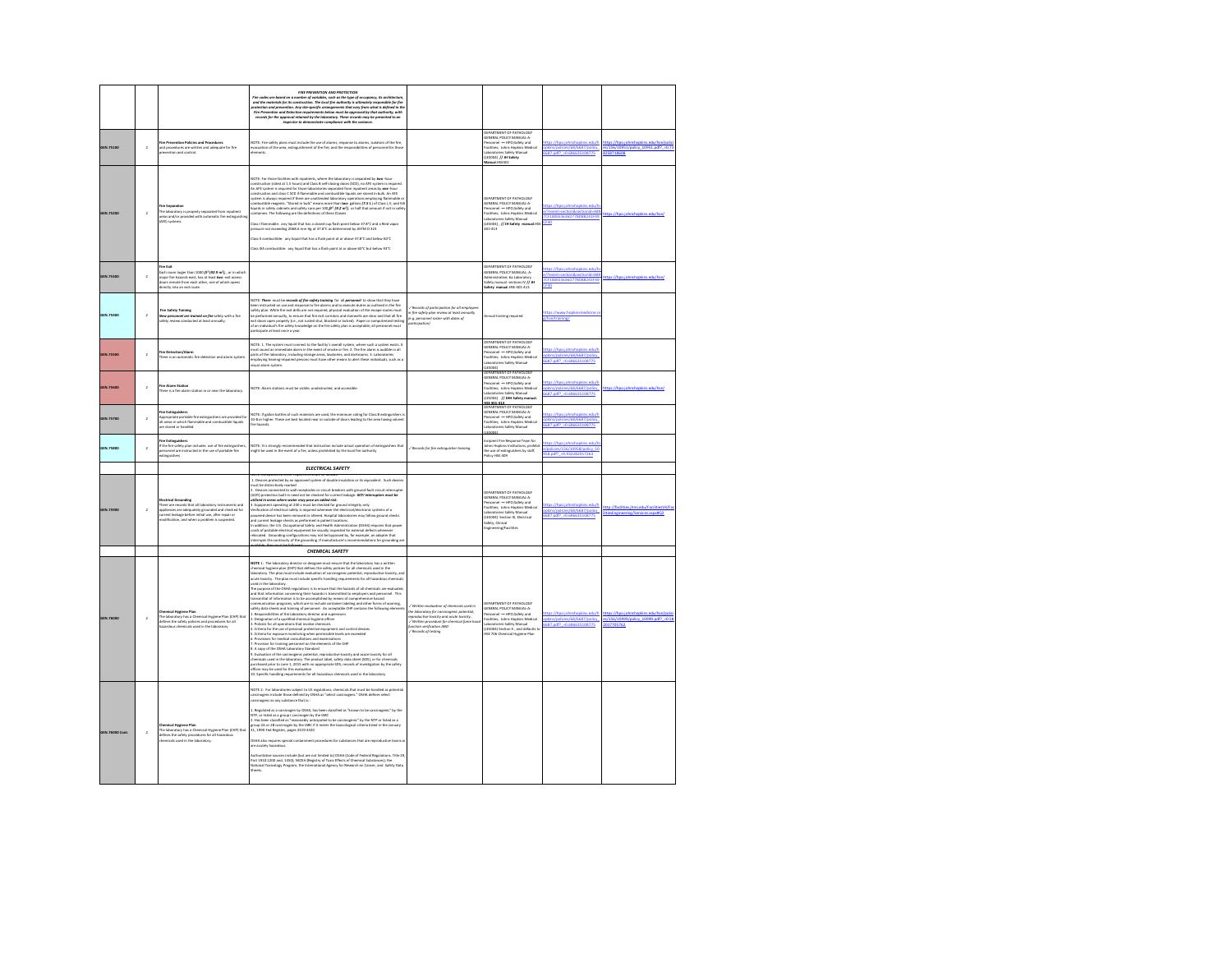|                  |                         |                                                                                                                                                                                                                                           | FIRE PREVENTION AND PROTECTION<br>Fire codes are based on a number of variables, such as the type of accupancy, its architecturi<br>and the materials for its construction. The local fire authority is ultimately responsible for fire<br>ratection and prevention. Any site-specific arrangements that vary from what is defined in th<br>and Detection requ<br>ints below must be approved by that auth<br>ne creates and a securition requirements above must are approved by that authority, with<br>records for the approval retained by the Isboratory. These records may be presented to an<br>records for the paymeter to demonstrate co                                                                                                                                                                                                                                                                                                                                                                                                                                                                                                                                                                                                                                                                                                                                                                                                                                                                                                                                                                                                                                                                                                                                                                                                                                                                                  |                                                                                                                                                                                                                                           |                                                                                                                                                                                                                                                                          |                                                                                            |                                                                          |
|------------------|-------------------------|-------------------------------------------------------------------------------------------------------------------------------------------------------------------------------------------------------------------------------------------|------------------------------------------------------------------------------------------------------------------------------------------------------------------------------------------------------------------------------------------------------------------------------------------------------------------------------------------------------------------------------------------------------------------------------------------------------------------------------------------------------------------------------------------------------------------------------------------------------------------------------------------------------------------------------------------------------------------------------------------------------------------------------------------------------------------------------------------------------------------------------------------------------------------------------------------------------------------------------------------------------------------------------------------------------------------------------------------------------------------------------------------------------------------------------------------------------------------------------------------------------------------------------------------------------------------------------------------------------------------------------------------------------------------------------------------------------------------------------------------------------------------------------------------------------------------------------------------------------------------------------------------------------------------------------------------------------------------------------------------------------------------------------------------------------------------------------------------------------------------------------------------------------------------------------------|-------------------------------------------------------------------------------------------------------------------------------------------------------------------------------------------------------------------------------------------|--------------------------------------------------------------------------------------------------------------------------------------------------------------------------------------------------------------------------------------------------------------------------|--------------------------------------------------------------------------------------------|--------------------------------------------------------------------------|
| GEN.75100        | $\overline{2}$          | ire Prevention Policies and Procedure<br>nd procedures are written and adequate for fire<br>revention and control.                                                                                                                        | <b>COTE:</b> Fire safety plans must include the use of alarms, response to alarms, isolation of the fire,<br>on we we was assuming propose to alarms, isolation of the fire, and the fire, and the responsibilities of personnel for those emers.                                                                                                                                                                                                                                                                                                                                                                                                                                                                                                                                                                                                                                                                                                                                                                                                                                                                                                                                                                                                                                                                                                                                                                                                                                                                                                                                                                                                                                                                                                                                                                                                                                                                                  |                                                                                                                                                                                                                                           | DEPARTMENT OF PATHOLOGY<br>GENERAL POLICY MANUAL-A<br>encome Poince Woodwin<br>Senomel — HPO;Safety and<br>Aboratories Safety Manual<br>(LESODA) // JM Safety<br>Manual HSE401                                                                                           | pkins/policies/68/6687/policy<br>687.pdf? = 0.696635108775                                 | es/156/10951/policy_10951.pdf? = 0.7<br>258718608                        |
| GEN.75200        | $\overline{2}$          | ire Separation<br>The laboratory is properly separated from inpatient<br>areas and/or provided with automatic fire extinguishing<br>(AFE) systems                                                                                         | <b>AOTE:</b> For those facilities with inpatients, where the laboratory is separated by two-hour<br>onstruction (rated at 1.5 hours) and Class B self-closing doors (SCD), no AFE system is required.<br>.<br>In AFE system is required for those laboratories separated from inpatient areas by one-hour<br>onstruction and class C SCD if flammable and combustible liquids are stored in bulk. An AFE<br>consumerant and cases of the main mean and consumer regions in the number of the main of the constant is absolute the constant of the constant of the constant of the constant of the constant of the constant of the constan<br>ontainers. The following are the definitions of these Classes<br>Jass I flammable: any liquid that has a closed-cup flash point below 37.8°C and a Reid vapor<br>re not exceeding 2068.6 mm Hg at 37.8°C as determined by ASTM D 323<br>lass II combustible: any liquid that has a flash point at or above 37.8°C and below 60°C<br>Class IIA combustible: any liquid that has a flash point at or above 60°C but below 93°C                                                                                                                                                                                                                                                                                                                                                                                                                                                                                                                                                                                                                                                                                                                                                                                                                                                          |                                                                                                                                                                                                                                           | DERARTMENT OF PATHOLOGY<br><b>GENERAL POLICY MANUAL A-</b><br>Personnel -- HPO;Safety and<br>Facilities; Johns Hopkins Medical<br>Laboratories Safety Manual<br>(LESOD4) ; // JH Safety manual HSE<br>401-413                                                            | /?event-section&sectionid-Al<br>CF180EE3636D77BD88243F49<br>F40                            | ttos://hpo.johnshopkins.edu.                                             |
| GEN.75300        | $\overline{2}$          | ire Exit<br>Each room larger than 1000 ft <sup>p</sup> (92.9 m <sup>2</sup> ), or in which<br>najor fire hazards exist, has at least two exit access<br>loors remote from each other, one of which opens<br>irectly into an exit route.   |                                                                                                                                                                                                                                                                                                                                                                                                                                                                                                                                                                                                                                                                                                                                                                                                                                                                                                                                                                                                                                                                                                                                                                                                                                                                                                                                                                                                                                                                                                                                                                                                                                                                                                                                                                                                                                                                                                                                    |                                                                                                                                                                                                                                           | <b>CEPARTMENT OF PATHOLOGY</b><br>GENERAL POLICY MANUAL: A-<br>idministrative; 6a Laboratory<br>afety manual -sections IV // JH<br>Safety manual HSE-401-413                                                                                                             | /?event=section&sectionid=AE<br>CF180EE3636D77BD88243F49<br>40.                            |                                                                          |
| GEN.75400        | $\overline{a}$          | Fire Safety Training<br>New personnel ore troined on fire safety with a fire<br>safety review conducted at least annually.                                                                                                                | .<br>AOTE: There must be records of fire safety training for all personnel to show that they have<br>seen instructed on use and response to fire alarms and to execute duties as outlined in the fire<br>awar manuscau un was anno response to the australian since the basic state of the escape routes must<br>usefy plan. While fire exit drills are not required, physical evaluation of the escape routes must<br>be performed annually<br>of an individual's fire safety knowledge on the fire safety plan is acceptable; all personnel must<br>articipate at least once a year.                                                                                                                                                                                                                                                                                                                                                                                                                                                                                                                                                                                                                                                                                                                                                                                                                                                                                                                                                                                                                                                                                                                                                                                                                                                                                                                                             | Records of participation for all employees<br>n fire safety plan review at least a<br>(e.g. personnel roster with dates of<br>participation)                                                                                              | mual training required                                                                                                                                                                                                                                                   | <b>Prse/training/</b>                                                                      |                                                                          |
| GEN.75500        | $\overline{2}$          | Fire Detection/Alarm<br>There is an automatic fire detection and alarm system                                                                                                                                                             | NOTE: 1. The system must connect to the facility's overall system, where such a system exists. It<br>ust sound an immediate alarm in the event of smoke or fire. 2. The fire alarm is audible in all<br>arts of the laboratory, including storage areas, lavatories, and darkrooms. 3. Laboratories<br>mploying hearing-impaired persons must have other means to alert these individuals, such as a<br>ying hi<br>sual alarm system.                                                                                                                                                                                                                                                                                                                                                                                                                                                                                                                                                                                                                                                                                                                                                                                                                                                                                                                                                                                                                                                                                                                                                                                                                                                                                                                                                                                                                                                                                              |                                                                                                                                                                                                                                           | DEPARTMENT OF PATHOLOGY<br>GENERAL POLICY MANUAL-A-<br>acoscovic PSLIST INVIRUAL-A-<br>Nesonnel --- HPO;Safety and<br>facilities; Johns Hopkins Medica<br>boratories Safety Manual<br>(LESO04)<br><b>CPARTMENT OF PATHOLOGY</b>                                          | s://hpo.iohnshopkins.edu/l<br>s/policies/68/6687/po<br>687.pdf? = 0.696635108775           |                                                                          |
| GEN.75600        | $\overline{2}$          | Fire Alann Station<br>here is a fire alarm station in or near the laboratory.                                                                                                                                                             | VOTE: Alarm stations must be visible, unobstructed, and accessible.                                                                                                                                                                                                                                                                                                                                                                                                                                                                                                                                                                                                                                                                                                                                                                                                                                                                                                                                                                                                                                                                                                                                                                                                                                                                                                                                                                                                                                                                                                                                                                                                                                                                                                                                                                                                                                                                |                                                                                                                                                                                                                                           | GENERAL POLICY MANUAL-A<br>Nissannel – HPO;Safety and<br>lacilities; Johns Hopkins Medical<br>aboratories Safety Manual<br>(LESDO4) // JHH Safety manual<br>KE 401.411<br>JEPARTMENT OF PATHOLOGY                                                                        | tps://hpo.johnshopkins.edu/t<br>pkins/policies/68/6687/policy<br>687.pdf? +0.696635108775  |                                                                          |
| GEN.75700        | $\overline{2}$          | Fire Extinguishers<br>Appropriate portable fire extinguishers are provided for<br>all areas in which flammable and combustible liquids<br>e stored or handled.                                                                            | NOTE: If gallon bottles of such materials are used, the minimum rating for Class & extinguishers i<br>10-8 or higher. These are best located near or outside of doors leading to the area having solvent<br>fire hazards.                                                                                                                                                                                                                                                                                                                                                                                                                                                                                                                                                                                                                                                                                                                                                                                                                                                                                                                                                                                                                                                                                                                                                                                                                                                                                                                                                                                                                                                                                                                                                                                                                                                                                                          |                                                                                                                                                                                                                                           | GENERAL POLICY MANUAL-A-<br>-<br>Nesonnel -- HPO;Safety and<br>Facilities; Johns Hopkins Medical<br>ries Safety Manual<br>aborato<br>Fichhall                                                                                                                            | tos://hoo.johnshookins.edu/l<br>pláns/policies/68/6687/policy<br>687.pdf? = 0.696635108775 |                                                                          |
| GEN.75800        | $\lambda$               | f <b>ire Extinguishers</b><br>f the fire safety plan includes use of fire extinguishers,<br>esonnel are instructed in the use of portable fire<br>Singuishers                                                                             | NOTE: It is strongly recommended that instruction include actual operation of extinguishers that<br>night be used in the event of a fire, unless prohibited by the local fire authority                                                                                                                                                                                                                                                                                                                                                                                                                                                                                                                                                                                                                                                                                                                                                                                                                                                                                                                                                                                                                                                                                                                                                                                                                                                                                                                                                                                                                                                                                                                                                                                                                                                                                                                                            | / Records for fire extinguisher training                                                                                                                                                                                                  | ncipient Fire Response Team for<br>ncipeus rive response veam co<br>Iohns Hopkins Institutions, prohib<br>Policy HSE 409                                                                                                                                                 | as://hao.johnshookins.edu/<br>policies/156/10958/policy 10<br>58.pdf? +0.932282017263      |                                                                          |
| <b>JEN.75900</b> | $\overline{\mathbf{2}}$ | <b>Christian Con</b><br>here are records that all laboratory instruments and<br>appliances are adequately grounded and checked for<br>urrent leakage before initial use, after repair or<br>odification, and when a problem is suspected. | <b>ELECTRICAL SAFETY</b><br>UIE: Exceptions to these requirements are as follows<br>1. Devices protected by an approved system of double insulation or its equivalent. Such devices<br>ust be distinctively marked<br>. Devices connected to wall receptacles or circuit breakers with eround-fault circuit interrupte<br>. Devices commetee to was receptates or criticis consenses with ground-leat circuit memory<br>OCPI) protection built-in need not be checked for current leakage. <b>OCPI interrupters must be</b><br>Alliand in annos where weder may pos<br>lerification of electrical safety is required whenever the electrical/electronic systems of a<br>iowered device has been removed or altered. Hospital laboratories may follow ground checks<br>ind current leakage checks as performed in patient locations.<br>addition, the U.S. Occupational Safety and Health Administration (OSHA) requires that po<br>ords of portable electrical equipment be visually inspected for external defects whenever<br>ilocated.  Grounding configurations may not be bypassed by, for example, an adapter that                                                                                                                                                                                                                                                                                                                                                                                                                                                                                                                                                                                                                                                                                                                                                                                                           |                                                                                                                                                                                                                                           | <b>DEBARTMENT OF BATHOLOGY</b><br><b>DEPARTMENT OF PATRULUS</b><br>GENERAL POLICY MANUAL-A-<br>Personnel ---- HPO;Safety and<br>Facilities; Johns Hopkins Medical<br>Laboratories Safety Manual<br>(LESDD4) Section IX, Electrical<br>afety, Clinical<br>ving/Facilities | tps://hpo.jol<br>pkins/policies/68/6687/policy<br>687.pdf? - 0.696635108775                | ttp://facilities.ihmi.edu/Faci<br>otFneineering/Servires assygn?         |
|                  |                         |                                                                                                                                                                                                                                           | terrupts the continuity of the grounding. If manufacturer's recommendations for grounding an                                                                                                                                                                                                                                                                                                                                                                                                                                                                                                                                                                                                                                                                                                                                                                                                                                                                                                                                                                                                                                                                                                                                                                                                                                                                                                                                                                                                                                                                                                                                                                                                                                                                                                                                                                                                                                       |                                                                                                                                                                                                                                           |                                                                                                                                                                                                                                                                          |                                                                                            |                                                                          |
| GEN.76000        | $\overline{2}$          | mical Hygiene Plan<br>The laboratory has a Chemical Hygiene Plan (CHP) that<br>efines the safety policies and procedures for all<br>azardous chemicals used in the laboratory.                                                            | CHEMICAL SAFETY<br><b>ADTE</b> 1: The laboratory director or designee must ensure that the laboratory has a written<br>hemical hygiene plan (CHP) that defines the safety policies for all chemicals used in the<br>aboratory. The plan must include evaluation of carcinogenic potential, reproductive toxicity, and<br>icute toxicity. The plan must include specific handling requirements for all hazardous chemicals<br>ICUM Rowwyr. The Manusters<br>The purpose of the OSHA regulations is to ensure that the hazards of all chemicals are evaluated<br>The purpose of the OSHA regulations is to ensure that the hazards of employers and personnel. This<br>transmittal of information is to be accomplished by means of comprehensive hazard<br>ommunication programs, which are to include container labeling and other forms of warning,<br>afety data sheets and training of personnel. An acceptable CHP contains the following eler<br>$\alpha$ , but a metallities of the laboratory director and supervisors.<br>Designation of a qualified chemical hygiene officer and supervisors<br>Policies for all operations that involve chemicals<br>. Criteria for the use of personal protective equipment and control devices<br>Criteria for exposure monitoring when permissible levels are exceeded<br>Provisions for medical consultations and examinations<br>Provision for training personnel on the elements of the CHP<br>- Fruenous not construct person on the measurement of the Care<br>I. A copy of the OSHA Laboratory Standard<br>I. Evaluation of the carcinogenic potential, reproductive toxicity and acute toxicity for all<br>hemicals used in the la<br>purchased prior to June 1, 2015 with no appropriate SDS, records of investigation by the safety<br>.<br>officer may be used for this evaluation<br>10. Specific handling requirements for all hazardous chemicals used in the laboratory | Written evaluation of chemicals used in<br>he laboratory for card<br>sogenic potential<br>productive taxicity and acute taxicity.<br><sup>/</sup> Written procedure for chemical fume<br>anction verification AND<br>/ Records of testing | DEPARTMENT OF PATHOLOGY<br>GENERAL POLICY MANUAL-A-<br>และเลาะแ PULILT ทรรชนคโลโะ<br>\ersonnel -∞ HPO;Safety and<br>'acilities; Johns Hopkins Medical<br>boratories Safety Manual<br>(LESDD4) Section X, and defaults to<br>ISE 706 Chemical Hygiene Plan                | ://hpo.johnsh<br>pkins/policies/68/6687/policy<br>587.pdf? = 0.696635108775                | os://hoo.johnsho<br>akins.edu/hse/<br>s/156/10999/policy_10999.pdf?_+0.5 |
| GEN.76000 Cont.  | $\overline{2}$          | mical Hygiene Plan<br>he laborat<br>ry has a Chamiral Hydene Plan (CHP) that<br>defines the safety procedures for all hazard<br>befines the safety procedures for all hazard<br>chemicals used in the laboratory.                         | NOTE 2: For laboratories subject to US regulations, chemicals that must be handled as potentia<br>arcinogens include those defined by OSHA as "select carcinogens." OSHA defines select<br>arcinogens as any substance that is::<br>.<br>L. Regulated as a carcinogen by OSHA, has been classified as "known to be carcinogenic" by the<br>VTP, or listed as a group I carcinogen by the IARC<br>group 2A or 2B carcinogen by the IARC if it meets the toxicological criteria listed in the January<br>31, 1990 Fed Register, pages 3319-3320<br>OSHA also requires special containment procedures for substances that are reproductive to:<br>re acutely hazardous<br>authoritative sources include (but are not limited to) OSHA (Code of Federal Regulations. Title 29<br>Part 1910.1200 and, 1450); NIOSH (Registry of Toxic Effects of Chemical Substances); the<br>National Toxicology Program; the International Agency for Research on Cancer, and Safety Data                                                                                                                                                                                                                                                                                                                                                                                                                                                                                                                                                                                                                                                                                                                                                                                                                                                                                                                                                             |                                                                                                                                                                                                                                           |                                                                                                                                                                                                                                                                          |                                                                                            |                                                                          |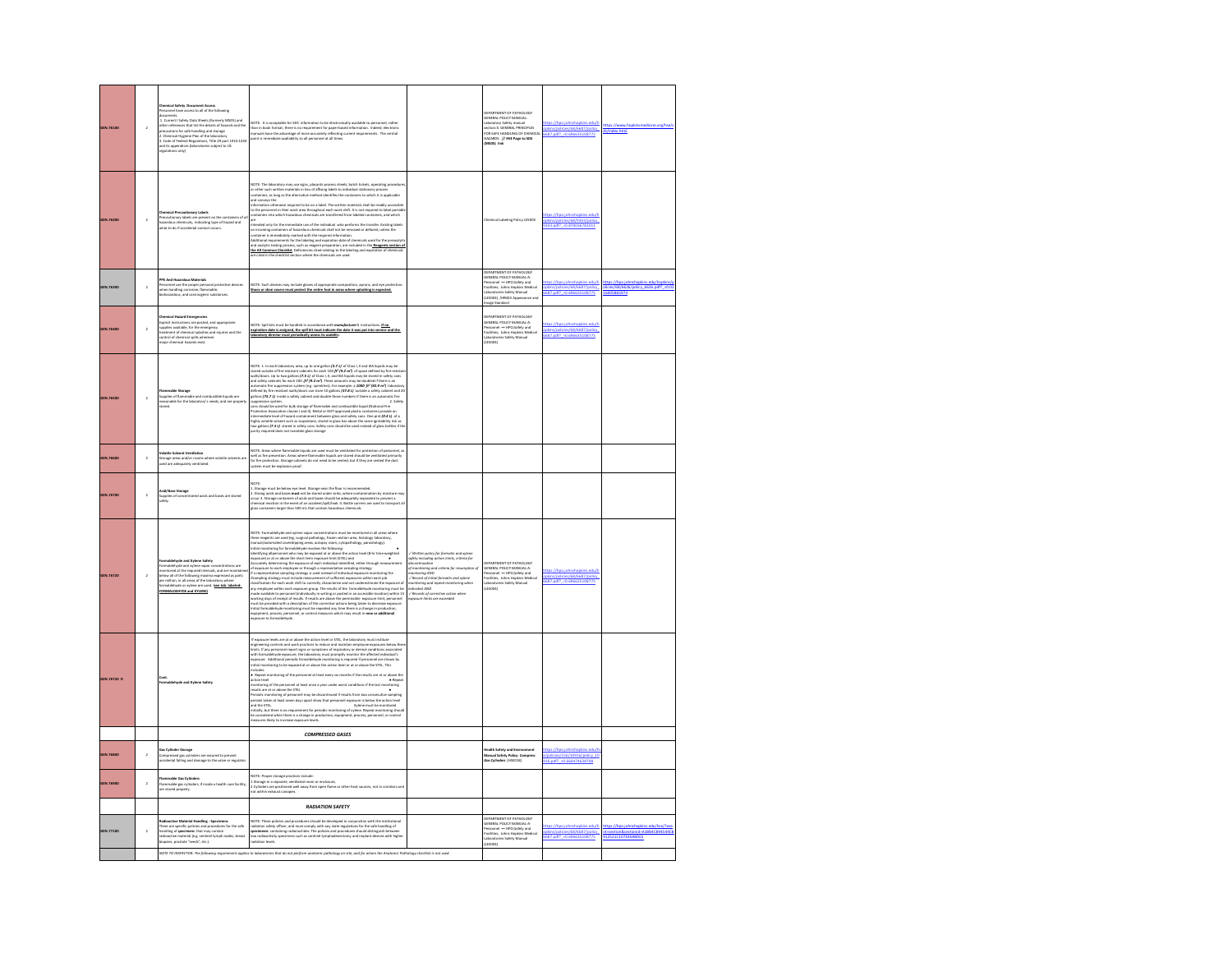| <b>GEN 76100</b> | $\overline{2}$ | <b>Chemical Safety Document Access</b><br>Personnel have access to all of the follow<br>documents.<br>1. Currents.<br>19 hr references that list the details of hazards and the<br>19 hr references that list the details of hazards and the<br>10. Chemical Hygiene Plan of the laboratory<br>8. Code of Federal Regulations, Title<br>end its appendices (laboratories subject to US<br>regulations only) | NOTE: It is acceptable for SDS information to be electronically available to personnel, rather<br>than in book format; there is no requirement for paper-based information. Indeed, electronic<br>manuals have the advantage of mor                                                                                                                                                                                                                                                                                                                                                                                                                                                                                                           |                                                                                                                                                                                                                                                | FRASTMENT OF RATHOLOGY<br>GENERAL POLICY MANUAL:<br>Laboratory Safety manual<br>section:X. GENERAL PRINCIPLES<br>FOR SAFE HANDUNG OF CHEMICA<br>AZARDS. // HSE Page to SDS<br>(MSDS) lin                                       | phins/policies/68/6687/policy<br>687.pdf? -0.696635108775                                  | s/index.html                                   |
|------------------|----------------|-------------------------------------------------------------------------------------------------------------------------------------------------------------------------------------------------------------------------------------------------------------------------------------------------------------------------------------------------------------------------------------------------------------|-----------------------------------------------------------------------------------------------------------------------------------------------------------------------------------------------------------------------------------------------------------------------------------------------------------------------------------------------------------------------------------------------------------------------------------------------------------------------------------------------------------------------------------------------------------------------------------------------------------------------------------------------------------------------------------------------------------------------------------------------|------------------------------------------------------------------------------------------------------------------------------------------------------------------------------------------------------------------------------------------------|--------------------------------------------------------------------------------------------------------------------------------------------------------------------------------------------------------------------------------|--------------------------------------------------------------------------------------------|------------------------------------------------|
| GEN.76200        | $\overline{2}$ | mary Labels<br>.<br>Precautionary labels are present on the containers of al<br>hazardous chemicals,  indicating type of hazard and<br>what to do if accidental contact occurs.                                                                                                                                                                                                                             | NOTE: The laboratory may use signs, placards process sheets, batch tickets, operating procedure<br>or other such written materials in lieu of affixing labels to individual stationary process<br>containers, as long as the altern<br>verys une<br>elson otherwise required to be on a label. The written materials shall be readily acce<br>ensonnel in their work area throughout each work shift. It is not required to label p<br>ens into which hazardous chemicals are<br>are<br>anothed only for the immediate use of the individual who performs the transfer. Ensing labels<br>containing inmediately franchised with final containers of orders of the<br>containing inmediately marked with the required in                       |                                                                                                                                                                                                                                                | emical Labeling Policy LESODS                                                                                                                                                                                                  | ikins/policies/68/9303/polici<br>303.pdf? = 0.870036781011                                 |                                                |
| GEN.76300        | $\overline{a}$ | PE And Hazarosus materiais<br>tersonnel use the proper personal protective devices<br>ehen handling corrosive, flammable,<br>iohazardous, and carcinogeric substances.                                                                                                                                                                                                                                      | NOTE: Such devices may include gloves of appropriate composition, aprons, and eye prote<br>Shoes or shoe covers must protect the entire foot in areas where splashing is expected.                                                                                                                                                                                                                                                                                                                                                                                                                                                                                                                                                            |                                                                                                                                                                                                                                                | <b>DEPARTMENT OF PATHOLOGY</b><br>SENERAL POLICY MANUAL A-<br>SENERAL PULICT MANUHL-A-<br>Versonnel ---- HPO;Safety and<br>Vacilities; Johns Hopkins Medical<br>LESOD4) /HRD03 Appearance and<br>LESOD4) /HRD03 Appearance and | plons/policies/68/6687/policy<br>687.pdf? = 0.696635108775                                 | icy 6626<br><u>{cies/68/6626</u><br>6005865973 |
| GEN.76400        | $\bar{2}$      | <b>Chemical Hazard Emergencies</b><br>Commise meanw commigneses<br>Explicit instructions are posted, and appropriate<br>supplies available, for the emergency<br>treatment of chemical splits wherever<br>control of chemical splits wherever<br>major chemical bazards exist.                                                                                                                              | NOTE: Spill kits must be handkid in accordance with monufecturer's instructions. If no<br>expiration date is assigned, the spill kit must indicate the date it was put into service and the<br>expirati<br>laboratory director must periodically assess its usability.                                                                                                                                                                                                                                                                                                                                                                                                                                                                        |                                                                                                                                                                                                                                                | <b>CEPARTMENT OF PATHOLOGY</b><br>LEPPRIMENT UP PAINUALIA<br>GENERAL POLICY MANUAL-A-<br>Parsonnel — HPO;Safety and<br>Facilities; Johns Hopkins Medical<br>Laboratories Safety Manual<br>(LES004)                             | pkins/policies/68/6687/policy<br>5687.pdf? = 0.696635108775                                |                                                |
| GEN.76500        | $\,$ 2 $\,$    | upplies of flat<br>easonable for<br>ies of flammable and combustible liquids are<br>nable for the laboratory's needs, and are prop<br>.<br>nati<br>tored                                                                                                                                                                                                                                                    | NOTE: 1. In each laboratory area, up to one gallen $[37.11]$ of Class 1.1 and IIA liquids may be described on the execution Collectors. Up to the gallent pole and subject to the section of the control of the control of th<br>nat and 20<br>2. Safety<br>.<br>Jans should be used for bulk storage of flammable and combustible liquid (National Fire<br>Protection Association classes I and II). Metal or DOT-approved plastic containers provid<br>rviews our conserver chansen i arm ps. Western cruci - approvemp punist containeir provide ain<br>thermediate level of hazard containment between glass and safety cars. One pint ( <b>B.41</b> ) of a<br>highly volution solvent such as                                            |                                                                                                                                                                                                                                                |                                                                                                                                                                                                                                |                                                                                            |                                                |
| GEN.76600        | $\mathbf{2}$   | .<br>//datile Solvent Ventilation<br>/torage areas and/or rooms where volatile solvents are<br>sed are adequately ventilated.                                                                                                                                                                                                                                                                               | NOTE: Areas where flammable liquids are used must be ventilated for protection of personnel, as<br>no cu means weren transmission. Areas where filamenable liquids are stoned should be vertilated primarised<br>well as fire prevention. Areas where filamenable liquids are stoned should be vertilated primari<br>Spritem must be<br>suld be ventilated primarily                                                                                                                                                                                                                                                                                                                                                                          |                                                                                                                                                                                                                                                |                                                                                                                                                                                                                                |                                                                                            |                                                |
| GEN.76700        | $\overline{a}$ | Acid/Base Storage<br>Supplies of concentrated acids and bases are stored<br>safely.                                                                                                                                                                                                                                                                                                                         | NOTIC:<br>1. Storage must be below eye level. Storage near the floor is recommended.<br>2. Storage introduce and season wast not be toned under with where contamination by moisture may<br>chemic integrate containers of acids and ba                                                                                                                                                                                                                                                                                                                                                                                                                                                                                                       |                                                                                                                                                                                                                                                |                                                                                                                                                                                                                                |                                                                                            |                                                |
| GEN.76720        | $\overline{a}$ | comunicative and Ayama Savery<br>formaldehyde and sylene vapor concentrations are<br>monitored at the required intervals, and are maintain<br>selow all of the following maxima expressed as parts<br>permillion, in all areas of the labo<br>ne are used. (see tab. labeled:<br>sistatuate nr vole<br>FORMALDEHYDE and XYLENE)                                                                             | NOTE: Formal<br>delingées and spires upper conservations must be monitored in all resume<br>than many conservations of the conservation of the conservation of the<br>spire of the conservation of the conservation of the conservatio                                                                                                                                                                                                                                                                                                                                                                                                                                                                                                        | .<br>Avitten policy for formalin and xylene<br>liscontinuation<br>liscontinuation<br>iscommuation<br>{ manitaring and criteria for resu<br>nanitaring AND<br>dicoted AND<br>/ Records of corrective action when<br>sposure limits are exceeded | FRASTMENT OF RATHOLOGY<br>DEPAkintenti UT reunasau.<br>GENERAL POLICY MANUAL-A-<br>Personnel -== HPO;Safety and<br>Facilities; Johns Hopkins Medical<br>lacilities; Johns Hopkins M<br>Jaboratories Safety Manual<br>(ACCES)   | tec://hon.inhode<br>plons/policies/68/6687/policy<br>587.pdf? -0.696635108775              |                                                |
| GEN.76720 R      |                | .<br>Formaldehyde and Xylene Safety                                                                                                                                                                                                                                                                                                                                                                         | if exposure levels are at or above the action level or STEL, the laboratory must institute may be expected to the control of the state of the state of the state of the state of the state of the state of the state of the s<br>cludes:<br>Repeat monitoring of the personnel at least every six months if the results are at or above the<br>Repeat<br>onitoring of the personnel at least once a year under worst conditions if the last monitoring<br>sults are at or above the STEL<br>.<br>Neriodic monitoring of personnel may be discordinued if results from two consecutive sampling<br>seriods taken at least seven days apart show that personnel exposure is below the action level<br>and the STEL.<br>Xylene must be monitored |                                                                                                                                                                                                                                                |                                                                                                                                                                                                                                |                                                                                            |                                                |
|                  |                |                                                                                                                                                                                                                                                                                                                                                                                                             | <b>COMPRESSED GASES</b>                                                                                                                                                                                                                                                                                                                                                                                                                                                                                                                                                                                                                                                                                                                       |                                                                                                                                                                                                                                                |                                                                                                                                                                                                                                |                                                                                            |                                                |
| GEN.76800        | $\,2\,$        | <b>Sas Cylinder Storage</b><br>Compressed gas cylinders are secured to prevent<br>accidental falling and damage to the valve or regulator                                                                                                                                                                                                                                                                   |                                                                                                                                                                                                                                                                                                                                                                                                                                                                                                                                                                                                                                                                                                                                               |                                                                                                                                                                                                                                                | alth Safety and Enviro<br>tanual Safety Policy: <i>Compress</i><br>los Cylinders (HSEO18)                                                                                                                                      | stos://hpo.johnshopkins.edu/l<br>es/156/10916/c<br>$\sqrt{10}$<br>916.pdf? +0.660474628708 |                                                |
| GEN.76900        | $\,2\,$        | nmable Gas Cylinder<br>-<br>llammable gas cylinders, if inside a health care facility<br>ire stored properly.                                                                                                                                                                                                                                                                                               | NOTE: Proper storage practices include:<br>1 Storage in a separate, vertilated room or enclosure,<br>2 Cylinders are positioned well away from open flame or other heat sources, not in corridors and<br>not within enhaust canopies.                                                                                                                                                                                                                                                                                                                                                                                                                                                                                                         |                                                                                                                                                                                                                                                |                                                                                                                                                                                                                                |                                                                                            |                                                |
|                  |                |                                                                                                                                                                                                                                                                                                                                                                                                             | <b>RADIATION SAFETY</b>                                                                                                                                                                                                                                                                                                                                                                                                                                                                                                                                                                                                                                                                                                                       |                                                                                                                                                                                                                                                |                                                                                                                                                                                                                                |                                                                                            |                                                |
| GEN.77100        | $\overline{2}$ | Radioactive Material Handling - Specimens<br>There are specific policies and procedures for the safe<br>handling of speci <del>mens</del> that may contain<br>radioactive material (e.g. sentinel lymph nodes, breast<br>biopsies, prostate "seeds",                                                                                                                                                        | NOTE: These policies and procedures should be developed in conjunction with the institutional<br>radiation salety officer, and must comply with any state regulations for the sale hunding of<br>specifierent containing radionactib<br>.<br>NOTE TO INSPECTOR: The following requirement applies to laboratories that do not perform anatomic pathology or-site, and for whom the Anatomic Pathology checklist is not used.                                                                                                                                                                                                                                                                                                                  |                                                                                                                                                                                                                                                | DEPARTMENT OF PATHOLOGY<br>GENERAL POLICY MANUAL-A-<br>Personnel ---- HPO;Safety and<br>Facilities; Johns Hopkins Medical<br>Laboratories Safety Manual<br>Finney                                                              | 25/68/6687/ps                                                                              |                                                |
|                  |                |                                                                                                                                                                                                                                                                                                                                                                                                             |                                                                                                                                                                                                                                                                                                                                                                                                                                                                                                                                                                                                                                                                                                                                               |                                                                                                                                                                                                                                                |                                                                                                                                                                                                                                |                                                                                            |                                                |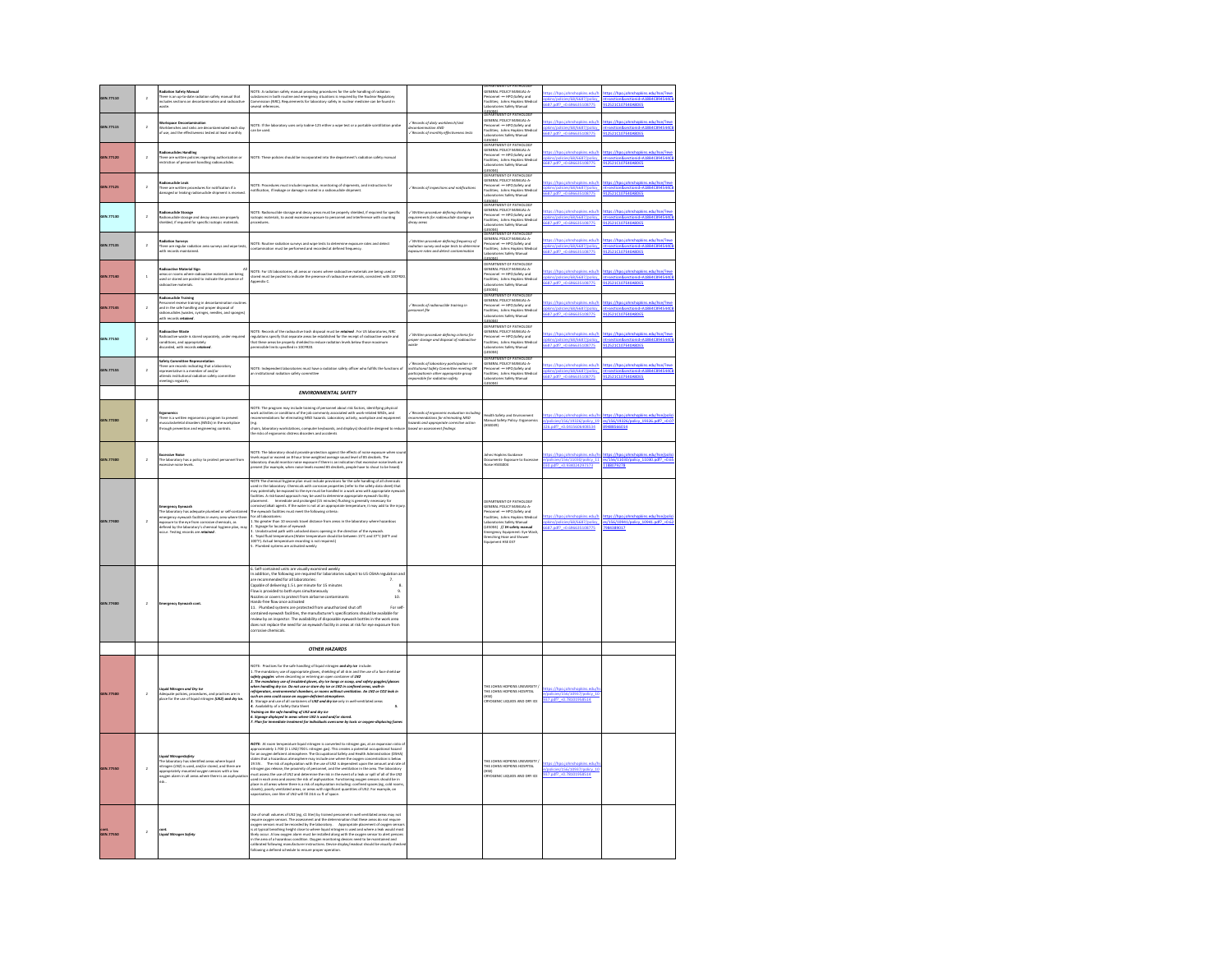| GEN.77110 | $\,$ 2 $\,$             | Radiation Safety Manual<br>There is an up-to-date radiation safety manual that<br>includes sections on decontamination and radioacti<br>waste.                                                                                                                                                   | NOTE: A radiation safety manual providing procedures for the safe handling of radiation<br>substances in both routine and emergency situations is required by the Nuclear Regulatory<br>Commission (NRC), Requirements for laborator                                                                                                                                                                                                                                                                                                                                                                                                                                                                                                                                                                                                                                                                                                                                                                                  |                                                                                                                                                                    | DEPARTMENT OF PATHOLOGY<br>GENERAL POLICY MANUAL-A-<br>Personnel ---- HPO;Safety and<br>Facilities; Johns Hopkins Medical<br>Laboratories Safety Manual                                                                                                                                                      | ttps://hpo.johnshopkins.edu/h<br><b>IERIEERTI</b><br>687.pdf? - 0.696635108775             | https://hpo.johnshopkins.edu/hse/?eve<br>12521C107E40A8DES                                      |
|-----------|-------------------------|--------------------------------------------------------------------------------------------------------------------------------------------------------------------------------------------------------------------------------------------------------------------------------------------------|-----------------------------------------------------------------------------------------------------------------------------------------------------------------------------------------------------------------------------------------------------------------------------------------------------------------------------------------------------------------------------------------------------------------------------------------------------------------------------------------------------------------------------------------------------------------------------------------------------------------------------------------------------------------------------------------------------------------------------------------------------------------------------------------------------------------------------------------------------------------------------------------------------------------------------------------------------------------------------------------------------------------------|--------------------------------------------------------------------------------------------------------------------------------------------------------------------|--------------------------------------------------------------------------------------------------------------------------------------------------------------------------------------------------------------------------------------------------------------------------------------------------------------|--------------------------------------------------------------------------------------------|-------------------------------------------------------------------------------------------------|
| GEN.77115 | $\overline{2}$          | and sinks are deconta<br>nated each day<br>if use, and the effectiveness tested at least mont                                                                                                                                                                                                    | NOTE: If the laboratory uses only lodine-125 either a wipe test or a portable scintillation probe<br>:an be used.                                                                                                                                                                                                                                                                                                                                                                                                                                                                                                                                                                                                                                                                                                                                                                                                                                                                                                     | .<br>Aecords of daily workbench/sink<br>Ierontomination AND<br>Records of manthly effectiveness tests                                                              | Laboratons<br>A REAMAN OF PATHOLOGY<br>DEPARTMENT OF PATHOLOGY<br>GENERAL POLICY MANUAL-A-<br>Personnel ---- HPO;Safety and<br>Facilities; Johns Hopkins Med<br>Laboratories Safety Manual                                                                                                                   | sc://hoo.inhoshookins.edu/l<br>pláns/policies/68/6687/policy<br>687.pdf? = 0.696635108775  | ttps:/ <u>/hpo.johnshopkins.edu/hse/</u> ?eve<br>t-section&sectionid-A18<br>12521C107E40A8DES   |
| GEN.77120 | $\overline{a}$          | Radionuclides Handling<br>There are written policies regarding authorization or<br>restriction of personnel handling radionuclides.                                                                                                                                                              | NOTE: These policies should be incorporated into the department's radiation safety manual                                                                                                                                                                                                                                                                                                                                                                                                                                                                                                                                                                                                                                                                                                                                                                                                                                                                                                                             |                                                                                                                                                                    | Finnal<br><b>CEPARTMENT OF PATHOLOGY</b><br>GENERAL POLICY MANUAL-A<br>ersonnel<br>- HPO;Safety and<br>Facilities; Johns Hopkins Medical<br>Laboratories Safety Manual                                                                                                                                       | okins.edu/l<br>pkins/policies/68/6687/policy<br>87.pdf? = 0.696635108775                   | t-section&sectionid-A18B4C894544Cl<br>2521C107E40A8DES                                          |
| GEN.77125 | $\overline{a}$          | clide Leak<br>.<br>here are written procedures for notification if a<br>amaged or leaking radionuclide shipment is recei                                                                                                                                                                         | .<br>OTE: Procedures must include inspection, monitoring of shipments, and instructions for<br>stification, if leakage or damage is noted in a radionuclide shipment.<br>OTE: Proces                                                                                                                                                                                                                                                                                                                                                                                                                                                                                                                                                                                                                                                                                                                                                                                                                                  | / Records of inspections and notifications                                                                                                                         | LES004)<br>DEPARTMENT OF PATHOLOGY<br>GENERAL POLICY MANUAL-A<br>Personnel -- HPO;Safety and<br>Facilities; Johns Hopkins Medica<br>Laboratories Safety Manual                                                                                                                                               | ps://hpo.johnshopkins.edu/<br>pkins/policies/68/6687/policy<br>687.pdf? =0.696635108775    | tps://hpo.johnshopkins.edu/hse/?eve<br>-section&sectionid-A18B4C89-<br>912521C107E40A8DES       |
| GEN.77130 | $\,2\,$                 | tadionuclide Storage<br>tadionuclide storage and decay areas are properly<br>hielded, if required for specific isotopic materials                                                                                                                                                                | .<br>NOTE: Radionuclide storage and decay areas must be properly shielded, if required for specific<br>sotopic materials, to avoid excessive exposure to personnel and interference with counting<br>rocedures.                                                                                                                                                                                                                                                                                                                                                                                                                                                                                                                                                                                                                                                                                                                                                                                                       | ./ Written procedure defining shielding<br>vauirements for radionuclide storage an<br>fecay areas                                                                  | LES004)<br>PEPARTMENT OF PATHOLOG<br><b>SENERAL POLICY MANUAL-A</b><br>ersonnel -- HPO:Safety and<br>lacilities; Johns Hopkins Medical<br>aboratories Safety Manual                                                                                                                                          | tps://hpo.johnshopkins.edu/h<br>pláns/policies/68/6687/policy<br>687.pdf? = 0.696635108775 | ttps://hpo.johnshopkins.edu/hse/?evi<br>t-section&sectionid-A18B4)<br>12521C107E40A8DES         |
| GEN.77135 | $\overline{2}$          | <mark>tadiation Surveys</mark><br>'here are regular radiation area surveys and wipe tests,<br>ith records maintained.                                                                                                                                                                            | .<br>NOTE: Routine radiation surveys and wipe tests to determine exposure rates and detect<br>contamination must be performed and recorded at defined frequency.                                                                                                                                                                                                                                                                                                                                                                                                                                                                                                                                                                                                                                                                                                                                                                                                                                                      | ,<br>Written procedure defining frequen<br>adiation survey and wipe tests to det<br>aposure rates and detect contamination                                         | <b>LESDOA)</b><br>DEPARTMENT OF PATHOLOG<br>SENERAL POLICY MANUA<br>ersonnel -- HPO:Safety and<br>lacilities; Johns Hopkins Me<br>Jaboratories Safety Manual<br>FS0041                                                                                                                                       | tos://hoo.johnshookins.edu/l<br>plans/policies/68/6687/policy<br>687.pdf? -0.696635108775  | ttas://hoo.johnshookins.edu/hse/?eve<br>LA18R40<br>t+section&sectionid+A<br>12521C107E40A8DES   |
| GEN.77140 | $\,$                    | <b>Ludioactive Material Sizn</b><br>sussex of recents where radioactive materials are being<br>reas or rooms where radioactive materials are being<br>adioactive materials.                                                                                                                      | NOTE: For US laboratories, all areas or rooms where radioactive materials are being used or<br>Acred must be posted to indicate the presence of radioactive materials, consistent with 10CFR2C<br><b>Logendix C.</b>                                                                                                                                                                                                                                                                                                                                                                                                                                                                                                                                                                                                                                                                                                                                                                                                  |                                                                                                                                                                    | .<br>DEPARTMENT OF PATHOLOGY<br>GENERAL POLICY MANUAL-A-<br>.<br>Netsonnel -- HPO:Safety and<br>lacilities; Johns Hopkins Medical<br>aboratories Safety Manual                                                                                                                                               | as://hoo.johnshookins.edu/t<br>Nins/nelicips/68/6687/nelicu<br>687.pdf? = 0.696635108775   | ttos://hoo.johnshookins.edu/hse/?ev<br>t-section&sectionid-A18B4C894<br>12521C107E40A8DE5       |
| GEN.77145 | $\overline{a}$          | Radionuclide Training<br>Personnel receive training in decontamination routine<br>and in the safe handling and proper disposal of<br>adionuclides (wastes, syringes, needles, and sponges)<br>rith records rendmed<br>ith records retained.                                                      |                                                                                                                                                                                                                                                                                                                                                                                                                                                                                                                                                                                                                                                                                                                                                                                                                                                                                                                                                                                                                       | / Records of radionuclide training in<br>onnel file                                                                                                                | <b>(LESODA)</b><br>DEPARTMENT OF PATHOLOGY<br>acilities: Johns Hookins Medica<br>aboratories Safety Manual<br>Esphan                                                                                                                                                                                         | tps://hpo.johnshopkins.edu/h<br>/policies/68/6687/policy<br>587.pdf? -0.696635108775       | ttps://hpo.johnshopkins.edu/hse/?ev<br>scortinn@cortinnideA18RAC                                |
| GEN.77150 | $\overline{a}$          | elinartius Waste<br>uanoacove waxor<br>tadioactive waxte is stored separately, under required<br>onditions, and appropriately<br>liscarded, with records <b>retwined</b> .                                                                                                                       | NOTE: Records of the radioactive trash disposal must be <b>retoined</b> . For US laboratories, NRC<br>regulations specify that separate areas be established for the receipt of radioactive waste and<br>that these areas be properly she                                                                                                                                                                                                                                                                                                                                                                                                                                                                                                                                                                                                                                                                                                                                                                             | :<br>Viritten procedure defining criteri<br>voder storage and disposal of radio<br>voste                                                                           | n Ponnat<br>DEPARTMENT OF PATHOLOGY<br>GENERAL POLICY MANUAL-A-<br>Parsonnel ---- HPO;Safety and<br>Facilibies; Johns Hopkins Medical<br>Laboratories Safety Manual<br>(ACCES)                                                                                                                               | //hpo.johnshopkins.edu/t<br>pkins/policies/68/6687/policy<br>87.pdf? = 0.696635108775      | ttps://hpo.johnshopkins.edu/hse/?eve<br>t=section&sectionid=A18B4C894544Cl<br>12521C107E40A8DE5 |
| GEN.77155 | $\overline{a}$          | afety Committee Representation<br>here are records indicating that a laboratory<br>opresentative is a member of and/or<br>ttends institutional radiation safety committee<br>ttends institutional radiation safety committee<br>eetings regularly.                                               | .<br>NOTE: Independent laboratories must have a radiation safety officer who fulfills the functi<br>in institutional radiation safety committee<br>a secondores in<br>diation safety cor                                                                                                                                                                                                                                                                                                                                                                                                                                                                                                                                                                                                                                                                                                                                                                                                                              | ://Records of laboratory porticipation in<br>institutional Sofety Committee meeting<br>sarticipationin other appropriate group<br>responsible for radiation safety | (LESDOA)<br>DÉPARTMÉNT OF PATHOLOGY<br>GÉRÉRAL POLICY MANUAL-A-<br>Pariornal ---- HPO;Sáfety and<br>Facilities; Johns Hopkins Medica<br>Laboratories Safety Manual                                                                                                                                           | tps://hpo.johnshopkins.edu/t<br>pkins/policies/68/6687/policy<br>687.odf? - 0.696635108775 | ttps://hpo.johnshopkins.edu/hse/?eve<br>t=section&sectionid=A18B4C894<br>012521C107E40A8DES     |
|           |                         |                                                                                                                                                                                                                                                                                                  | <b>ENVIRONMENTAL SAFETY</b>                                                                                                                                                                                                                                                                                                                                                                                                                                                                                                                                                                                                                                                                                                                                                                                                                                                                                                                                                                                           |                                                                                                                                                                    |                                                                                                                                                                                                                                                                                                              |                                                                                            |                                                                                                 |
| GEN.77200 | $\overline{a}$          | <b>Ergenomics</b><br>There is a written ergenomics program to prevent<br>musculoskeletal disorders (MSDs) in the workplace<br>through prevention and engineering controls.                                                                                                                       | VOTE: The program may include training of personnel about risk factors, identifying physical<br>voek activities or conditions of the job commonly associated with work-related MSDs, and<br>ecommendations for eliminating MSD hazards. Laboratory activity, workplace and equipment<br>(e.g.<br>.<br>:hairs, laboratory workstations, computer keyboards, and displays) should be designed to reduc<br>he risks of ergonomic distress disorders and accidents                                                                                                                                                                                                                                                                                                                                                                                                                                                                                                                                                        | ./ Records of ergonomic evoluation including<br>recommendations for eliminating MSD<br>isserds and appropriate corrective action<br>issed on assessment findings   | fealth Safety and Environment<br>Manual Safety Policy: Ergonomics<br>HSE040)                                                                                                                                                                                                                                 | /policies/156/19326/policy_19<br>26.pdf? +0.0415606408534                                  | s/156/19326/policy_19326.pdf?_+0.t<br>9488566014                                                |
| GEN.77300 | $\overline{\mathbf{2}}$ | <b>Excessive Noise</b><br>The laboratory has a policy to protect personnel from<br>ccessive noise levels.                                                                                                                                                                                        | .<br>NOTE: The laboratory should provide protection against the effects of noise exposure when sour<br>laboratory should monitor noise exposure if there is an indication that excessive noise levels are<br>laboratory should monitor<br>present (for example, when noise levels exceed 85 decibels, people have to shout to be heard)                                                                                                                                                                                                                                                                                                                                                                                                                                                                                                                                                                                                                                                                               |                                                                                                                                                                    | ohns Hopkins Guidance<br>Documents- Exposure to Excessive<br>Noise HSEGD04                                                                                                                                                                                                                                   | ps://hpo.johnshopkins.edu/<br>v/policies/156/11030/policy 11<br>30.pdf? +0.934024297373    | es/156/11030/policy_11030.pdf? +0.65<br>1188079278                                              |
| GEN.77400 | $\overline{\mathbf{2}}$ | nergency Eyewash<br>The laboratory has adequate plumbed or self-contain<br>.<br>nergency eyewash facilities in every area where there<br>posure to the eye from corrosive chemicals, as<br><b>lefined by the laboratory's chemical hygiene plan, may</b><br>cour. Testing records are retained . | NOTE The chemical hygiene plan must include provisions for the safe handling of all chemicals<br>used in the laboratory. Chemicals with comosive properties (refer to the safety data sheet) that<br>may potentially be exposed to the eye must be handled in a work area with appropriate eyew<br><br>facilities. A risk-based approach may be used to determine appropriate eyewash facility<br>placement.       immediate and prolonged (15 minutes) flushing is generally necessary for<br>corrosive/alkali agents. If the water i<br>the eyewash facilities must meet to not as an expressione ecosystement, it may ass to to<br>The eyewash facilities must meet the following criteria:<br>L. No greater than 10 seconds travel distance from areas in the laboratory w<br>- Au grease case to second value under our measure our measure process measures and the Supply for location of eyewakh<br>L. Signage for location of eyewakh<br>T. Signafia is temperature (Note temperature should be between 5 fr |                                                                                                                                                                    | DEPARTMENT OF PATHOLOGY<br>GENERAL POLICY MANUAL-A<br>Personnel -- HPO:Safety and<br>.<br>Facilities; Johns Hopkins Medical<br>Laboratories Safety Manual<br>LawsonvONES SIRELY Matrial<br>(LESODA) /// IN safety manual<br>Emergency Equipment: Eye Wash,<br>Drenching Hose and Shower<br>Equipment HSE 037 | ps://hpo.johnshopkins.edu/h<br>pkins/policies/68/6687/policy<br>687.pdf? +0.696635108775   | s/156/10941/policy_10941.pdf? +0.6<br>984389017                                                 |
|           | $\overline{2}$          | ergency Eyewash c                                                                                                                                                                                                                                                                                | 6. Self-contained units are visually examined weekly<br>apable of delivering 1.5 L per minute for 15 minutes<br>$\overline{\phantom{a}}$<br>-<br>Flow is provided to both eyes simultaneously<br>Nozzles or covers to protect from airborne contaminants<br>10.<br>Hands-free flow once activated<br>11. Plumbed systems are protected from unauthorized shut off<br>For self-<br>orrosive chemicals.                                                                                                                                                                                                                                                                                                                                                                                                                                                                                                                                                                                                                 |                                                                                                                                                                    |                                                                                                                                                                                                                                                                                                              |                                                                                            |                                                                                                 |
|           |                         |                                                                                                                                                                                                                                                                                                  | <b>OTHER HAZARDS</b>                                                                                                                                                                                                                                                                                                                                                                                                                                                                                                                                                                                                                                                                                                                                                                                                                                                                                                                                                                                                  |                                                                                                                                                                    |                                                                                                                                                                                                                                                                                                              |                                                                                            |                                                                                                 |
| GEN.77500 | $\overline{a}$          | itrogen and <i>Dry loe</i><br>» policies, procedures, and practices are in<br>• the use of liquid nitrogen <b>(LN2) and dry ice</b>                                                                                                                                                              | 1971 : Procédio de la calció habitat (el tap) division en polo por la calció de la calció de la calció de la c<br>Un la massimo que el diparticipa (en un la calció de la calció de la calció de la calció de la calció de la c<br>                                                                                                                                                                                                                                                                                                                                                                                                                                                                                                                                                                                                                                                                                                                                                                                   |                                                                                                                                                                    | THE JOHNS HOPKINS UNIVERSITY /<br>THE JOHNS HOPKINS HOSPITAL<br>(HSE)<br>ORYOGENIC LIQUIDS AND DRY ICE                                                                                                                                                                                                       | ps://hpo.johnshopkins.ed<br>v/policies/156/10937/policy_10<br>937.pdf? =0.78101958514      |                                                                                                 |
| GEN.77550 | $\bar{2}$               | <b>Eiquid NitrogenSofety</b><br>The liaboratory has identified areas where liquid<br>vitrogen (LN2) is used, and/or stored, and there<br>uppropriately mounted oxygen sensors with a lo<br>vigen alarm in all areas where there is an agdr<br>lisk                                               | <b>AOTE</b> . At cours temperature liquid strongen is converted to stronger gas, at an experience ratio of the state of the state of the state of the state of the state of the state of the state of the state of the state of the                                                                                                                                                                                                                                                                                                                                                                                                                                                                                                                                                                                                                                                                                                                                                                                   |                                                                                                                                                                    | THE JOHNS HOPKINS UNIVERSITY /<br>THE JOHNS HOPKINS HOSPITAL<br>ONYOGENIC LIQUIDS AND DRY ICE                                                                                                                                                                                                                | clicies/156/10937/policy 1                                                                 |                                                                                                 |
| COM       | $\bar{2}$               | <b>Liquid Nitrogen Safety</b>                                                                                                                                                                                                                                                                    | Use of small volumes of LN2 (eg, s1 liter) by trained personnel in well ventilated areas may not<br>equire oxygen sensors. The as<br>ssment and the determination that these areas do not require<br>likely occur. A low oxygen alarm must be installed along with the oxygen sensor to alert persons<br>in the area of a hazardous condition. Oxygen monitoring devices need to be maintained and<br>calibrated following manufacturer instructions. Device display/readout should be visually chec<br>following a defined schedule to ensur                                                                                                                                                                                                                                                                                                                                                                                                                                                                         |                                                                                                                                                                    |                                                                                                                                                                                                                                                                                                              |                                                                                            |                                                                                                 |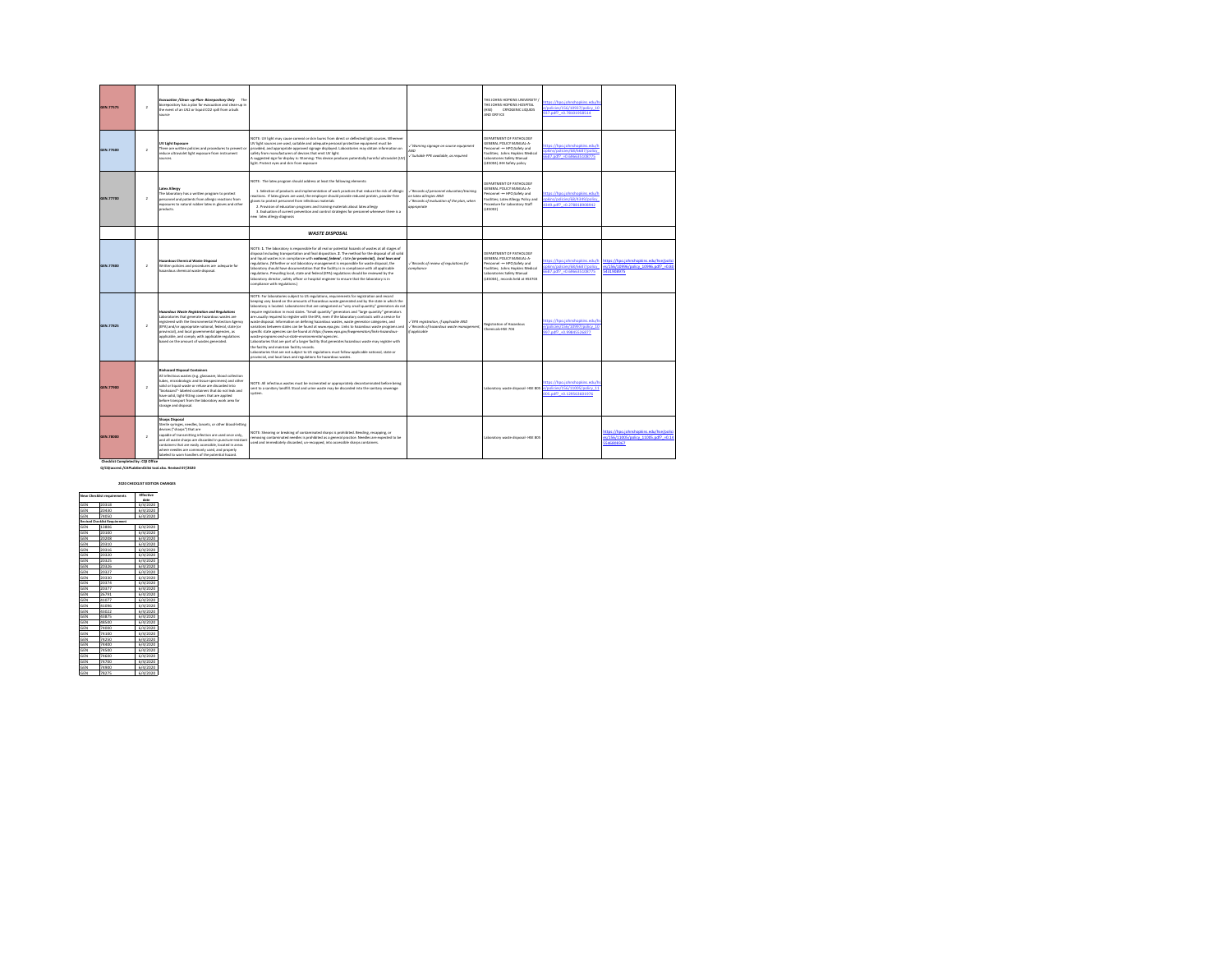| GEN.77575 | $\lambda$      | Evecuation /Clean -up Plan- Biorepository Only The<br>biorepository has a plan for evacuation and clean-up in<br>the event of an LN2 or liquid CO2 spill from a bulk<br>source                                                                                                                                                                                                                            |                                                                                                                                                                                                                                                                                                                                                                                                                                                                                                                                                                                                                                                                                                                                                                                                                                                                                                                                                                                                                                                                                                                                                                                   |                                                                                                                                            | THE IOHN'S HODGINS UNIVERSITY.<br>THE JOHNS HOPKINS HOSPITAL<br><b>ONYOGENIC LIQUIDS</b><br>(HSE)<br>AND DRY ICE                                                                                  | ttps://hpo.johnshopkins.edu/h<br>/policies/156/10937/policy 10<br>137 n/f2 +0.78101958514   |                                                                                          |
|-----------|----------------|-----------------------------------------------------------------------------------------------------------------------------------------------------------------------------------------------------------------------------------------------------------------------------------------------------------------------------------------------------------------------------------------------------------|-----------------------------------------------------------------------------------------------------------------------------------------------------------------------------------------------------------------------------------------------------------------------------------------------------------------------------------------------------------------------------------------------------------------------------------------------------------------------------------------------------------------------------------------------------------------------------------------------------------------------------------------------------------------------------------------------------------------------------------------------------------------------------------------------------------------------------------------------------------------------------------------------------------------------------------------------------------------------------------------------------------------------------------------------------------------------------------------------------------------------------------------------------------------------------------|--------------------------------------------------------------------------------------------------------------------------------------------|---------------------------------------------------------------------------------------------------------------------------------------------------------------------------------------------------|---------------------------------------------------------------------------------------------|------------------------------------------------------------------------------------------|
| GEN.77600 | $\lambda$      | UV Light Exposure<br>There are written policies and procedures to prevent or<br>reduce ultraviolet light exposure from instrument<br><b>Chevrolet</b>                                                                                                                                                                                                                                                     | NOTE: UV light may cause corneal or skin burns from direct or deflected light sources. Wherever<br>UV light sources are used, suitable and adequate personal protective equipment must be<br>provided, and appropriate approved signage displayed. Laboratories may obtain information on<br>safety from manufacturers of devices that emit UV light.<br>A suggested sign for display is: Warning: This device produces potentially harmful ultraviolet (UV)<br>light. Protect eyes and skin from exposure                                                                                                                                                                                                                                                                                                                                                                                                                                                                                                                                                                                                                                                                        | / Worning signage on source equipment<br>AND<br>Suitable PPE available, as required                                                        | DERASTMENT OF PATHOLOGY<br>GENERAL POLICY MANUAL-A-<br>Personnel -- HPO:Safety and<br>Facilities: Johns Hookins Medical<br>Laboratories Safety Manual<br>(LESDO4) JHH Safety policy               | ttps://hpo.johnshopkins.edu/h<br>nkins/nelicips/68/6687/nelicy<br>687.pdf? +0.696635108775  |                                                                                          |
| GEN.77700 | $\lambda$      | <b>Latex Allerey</b><br>The laboratory has a written program to protect<br>personnel and patients from allergic reactions from<br>exposures to natural rubber latex in gloves and other<br>products.                                                                                                                                                                                                      | NOTE: The latex program should address at least the following elements:<br>1. Selection of products and implementation of work practices that reduce the risk of allergic<br>eactions. If latex gloves are used, the employer should provide reduced protein, powder-free<br>lows to protect personnel from infectious materials<br>2. Provision of education programs and training materials about latex allergy<br>3. Evaluation of current prevention and control strategies for personnel whenever there is a<br>ew latex allergy diagnosis                                                                                                                                                                                                                                                                                                                                                                                                                                                                                                                                                                                                                                   | $\checkmark$ Records of personnel education/training<br>on latex allergies AND<br>/ Records of evoluation of the plan, when<br>oppropriate | DERASTMENT OF PATHOLOGY<br>GENERAL POLICY MANUAL-A-<br>Personnel -- HPO:Safety and<br>Facilities; Latex Allergy Policy and<br>Procedure for Laboratory Staff<br>(LESOD2)                          | tos://hpo.johnshopkins.edu/h<br>pkins/policies/68/4349/policy<br>349.pdf? = 0.278818908942  |                                                                                          |
|           |                |                                                                                                                                                                                                                                                                                                                                                                                                           | <b>WASTE DISPOSAL</b>                                                                                                                                                                                                                                                                                                                                                                                                                                                                                                                                                                                                                                                                                                                                                                                                                                                                                                                                                                                                                                                                                                                                                             |                                                                                                                                            |                                                                                                                                                                                                   |                                                                                             |                                                                                          |
| GEN.77800 | $\overline{2}$ | <b>Hazardous Chemical Waste Disposal</b><br>Written policies and procedures are adequate for<br>hazardous chemical waste disposal.                                                                                                                                                                                                                                                                        | NOTE: 1. The laboratory is responsible for all real or potential hazards of wastes at all stages of<br>disposal including transportation and final disposition. 2. The method for the disposal of all solid<br>and liquid wastes is in compliance with notional, federal, state for provincial), local laws and<br>regulations. (Whether or not laboratory management is responsible for waste disposal, the<br>laboratory should have documentation that the facility is in compliance with all applicable<br>regulations. Prevailing local, state and federal (EPA) regulations should be reviewed by the<br>laboratory director, safety officer or hospital engineer to ensure that the laboratory is in<br>compliance with regulations.)                                                                                                                                                                                                                                                                                                                                                                                                                                      | / Records of review of regulations for<br>compliance                                                                                       | DEPARTMENT OF PATHOLOGY<br><b>GENERAL DOLICY MANUAL AL</b><br>Personnel -- HPO:Safety and<br>Facilities: Johns Hookins Medical<br>Laboratories Safety Manual<br>(LESDD4) . records held at HSE703 | ttps://hpo.johnshopkins.edu/h<br>pkins/policies/68/6687/policy<br>687.odf? - 0.696635108775 | ttos://hpo.johnshookins.edu/hse/polic<br>s/156/10996/policy 10996.pdf? +0.8<br>250809154 |
| GEN.77825 | $\overline{2}$ | Hazardous Waste Registration and Regulations<br>Laboratories that experate hazardous wastes are<br>registered with the Environmental Protection Aeency<br>(EPA) and/or appropriate national, federal, state (or<br>provincial), and local governmental agencies, as<br>applicable, and comply with applicable regulations<br>based on the amount of wastes generated.                                     | NOTE: For laboratories subject to US regulations, requirements for registration and record<br>keeping yary based on the amounts of hazardous waste generated and by the state in which the<br>aboratory is located. Laboratories that are categorized as "very small quantity" generators do not<br>youire registration in most states. "Small quantity" generators and "large quantity" generators<br>are usually required to register with the EPA, even if the laboratory contracts with a service for<br>waste disposal, Information on defining hazardous wastes, waste generator categories, and<br>variations between states can be found at www.epa.gov. Links to hazardous waste programs and<br>specific state agencies can be found at https://www.epo.gov/hwgenerotors/links-hozordous-<br>weste-programs-and-us-state-environmental-gaencies<br>Laboratories that are part of a larger facility that generates hazardous waste may register with<br>the facility and maintain facility records.<br>Laboratories that are not subject to US regulations must follow applicable national, state or<br>provincial, and local laws and regulations for hazardous wastes. | - EPA registration, if applicable AND<br>/ Records of hazardous waste management.<br>if applicable                                         | Registration of Hazardous<br>Chemicals-HSE 704                                                                                                                                                    | ttps://hpo.johnshopkins.edu/h<br>/policies/156/10997/policy 10<br>97.pdf? +0.99845526877    |                                                                                          |
| GEN.77900 | $\lambda$      | <b>Bichazard Disposal Containers</b><br>All infectious wastes (e.g. glassware, blood collection<br>tubes, microbiologic and tissue specimens) and other<br>solid or liquid waste or refuse are discarded into<br>"biohazard"- labeled containers that do not leak and<br>have solid, tight-fitting covers that are applied<br>before transport from the laboratory work area for<br>storage and disposal. | NOTE: All infectious wastes must be incinerated or appropriately decontaminated before being<br>sent to a sanitary landfill. Stool and urine waste may be discarded into the sanitary sewerage<br>system.                                                                                                                                                                                                                                                                                                                                                                                                                                                                                                                                                                                                                                                                                                                                                                                                                                                                                                                                                                         |                                                                                                                                            | Laboratory waste disposal- HSE 805                                                                                                                                                                | ttps://hpo.johnshopkins.edu/h<br>Modicies/156/11005/policy 11<br>05.pdf? +0.129563601976    |                                                                                          |
| GEN.78000 | $\lambda$      | <b>Shares Disposal</b><br>Sterile syringes, needles, lancets, or other blood-letting<br>devices ("sharps") that are<br>capable of transmitting infection are used once only.<br>and all waste sharps are discarded in puncture-resistant<br>containers that are easily accessible, located in areas<br>where needles are commonly used, and properly<br>labeled to warn handlers of the potential hazard. | NOTE: Shearing or breaking of contaminated sharps is prohibited. Bending, recapping, or<br>emoving contaminated needles is prohibited as a general practice. Needles are expected to be<br>used and immediately discarded, un-recapped, into accessible sharps containers.                                                                                                                                                                                                                                                                                                                                                                                                                                                                                                                                                                                                                                                                                                                                                                                                                                                                                                        |                                                                                                                                            | Laboratory waste disposal- HSE 805                                                                                                                                                                |                                                                                             | ttps://hpo.johnshopkins.edu/hse/polic<br>/156/11005/policy 11005.pdf? +0.1-<br>546808367 |

 **Checklist Completed by: CQI Office Q/CQIaccred./CAPLabGenCklist tool.xlsx. Revised 07/2020**

|            |                                      | 2020 CHECKLIST EDITION CHANGES |  |
|------------|--------------------------------------|--------------------------------|--|
|            | New Checklist requirements           | <b>Fffactive</b><br>date       |  |
| GEN        | 20318                                | 6/4/2020                       |  |
| GEN        | 20430                                | 6/4/2020                       |  |
| <b>GEN</b> | 74050                                | 6/4/2020                       |  |
|            | <b>Revised Checklist Requirement</b> |                                |  |
| GEN        | 13806                                | 6/4/2020                       |  |
| GEN        | 20100                                | 6/4/2020                       |  |
| GEN        | 20208                                | 6/4/2020                       |  |
| GEN        | 20310                                | 6/4/2020                       |  |
| GEN        | 20316                                | 6/4/2020                       |  |
| GEN        | 20320                                | 6/4/2020                       |  |
| GEN        | 20325                                | 6/4/2020                       |  |
| GEN        | 20326                                | 6/4/2020                       |  |
| GEN        | 20327                                | 6/4/2020                       |  |
| GEN        | 20330                                | 6/4/2020                       |  |
| GEN        | 20374                                | 6/4/2020                       |  |
| GEN        | 20377                                | 6/4/2020                       |  |
| GEN        | 26791                                | 6/4/2020                       |  |
| GEN        | 41077                                | 6/4/2020                       |  |
| <b>GEN</b> | 41096                                | 6/4/2020                       |  |
| GEN        | 43022                                | 6/4/2020                       |  |
| <b>GEN</b> | 43875                                | 6/4/2020                       |  |
| GEN        | 48500                                | 6/4/2020                       |  |
| GEN        | 74000                                | 6/4/2020                       |  |
| GEN        | 74100                                | 6/4/2020                       |  |
| GEN        | 74250                                | 6/4/2020                       |  |
| GEN        | 74400                                | 6/4/2020                       |  |
| GEN        | 74500                                | 6/4/2020                       |  |
| GEN        | 74600                                | 6/4/2020                       |  |
| GEN        | 74700                                | 6/4/2020                       |  |
| GEN        | 74900                                | 6/4/2020                       |  |
| GEN        | 78275                                | 6/4/2020                       |  |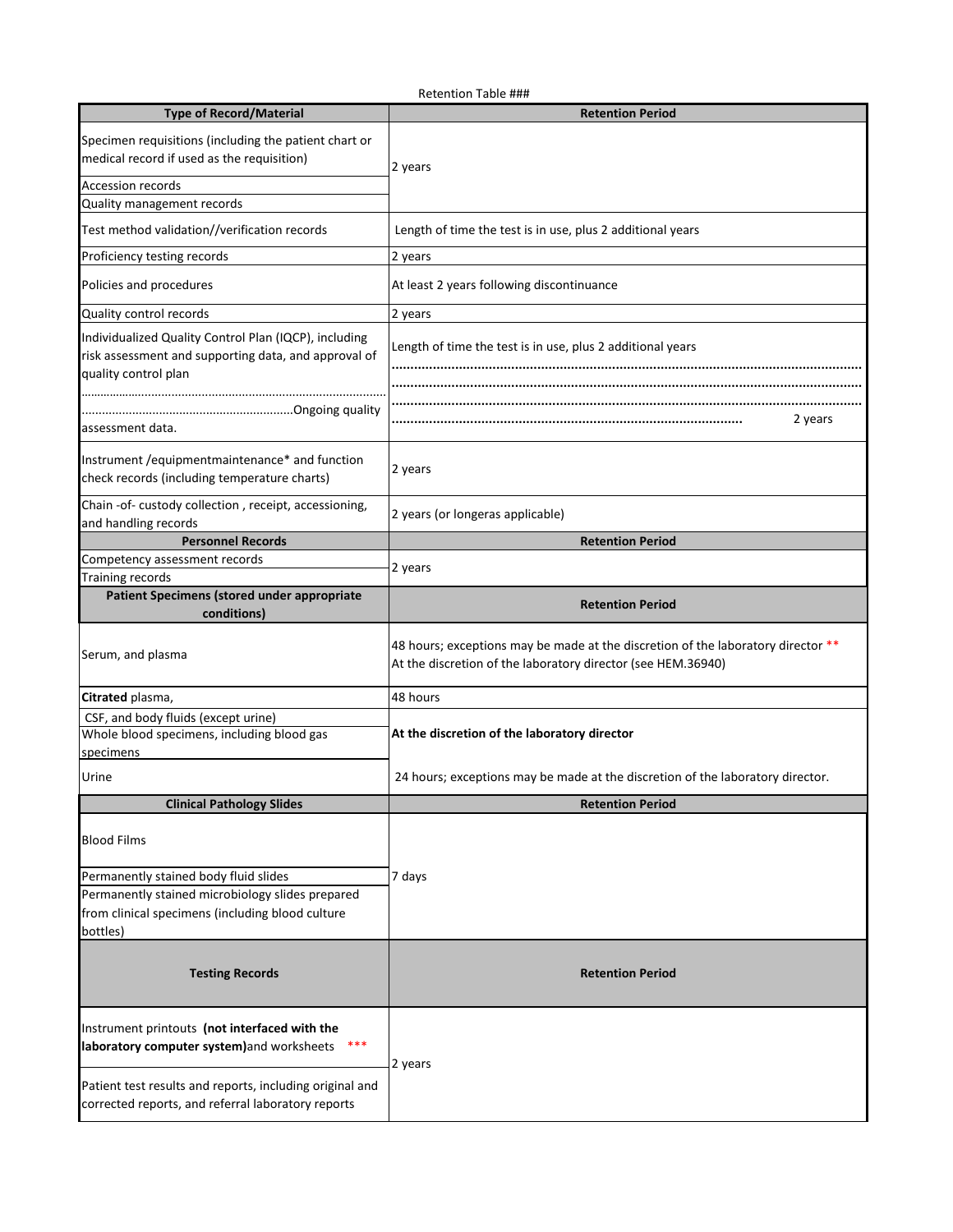|                                                                                                                                       | <b>Retention Table ###</b>                                                                                                                       |  |  |
|---------------------------------------------------------------------------------------------------------------------------------------|--------------------------------------------------------------------------------------------------------------------------------------------------|--|--|
| <b>Type of Record/Material</b>                                                                                                        | <b>Retention Period</b>                                                                                                                          |  |  |
| Specimen requisitions (including the patient chart or                                                                                 |                                                                                                                                                  |  |  |
| medical record if used as the requisition)                                                                                            | 2 years                                                                                                                                          |  |  |
| <b>Accession records</b>                                                                                                              |                                                                                                                                                  |  |  |
| Quality management records                                                                                                            |                                                                                                                                                  |  |  |
| Test method validation//verification records                                                                                          | Length of time the test is in use, plus 2 additional years                                                                                       |  |  |
| Proficiency testing records                                                                                                           | 2 years                                                                                                                                          |  |  |
| Policies and procedures                                                                                                               | At least 2 years following discontinuance                                                                                                        |  |  |
| Quality control records                                                                                                               | 2 years                                                                                                                                          |  |  |
| Individualized Quality Control Plan (IQCP), including<br>risk assessment and supporting data, and approval of<br>quality control plan | Length of time the test is in use, plus 2 additional years                                                                                       |  |  |
| assessment data.                                                                                                                      | 2 years                                                                                                                                          |  |  |
| Instrument / equipmentmaintenance* and function<br>check records (including temperature charts)                                       | 2 years                                                                                                                                          |  |  |
| Chain -of- custody collection, receipt, accessioning,<br>and handling records                                                         | 2 years (or longeras applicable)                                                                                                                 |  |  |
| <b>Personnel Records</b>                                                                                                              | <b>Retention Period</b>                                                                                                                          |  |  |
| Competency assessment records                                                                                                         | 2 years                                                                                                                                          |  |  |
| <b>Training records</b>                                                                                                               |                                                                                                                                                  |  |  |
| Patient Specimens (stored under appropriate<br>conditions)                                                                            | <b>Retention Period</b>                                                                                                                          |  |  |
| Serum, and plasma                                                                                                                     | 48 hours; exceptions may be made at the discretion of the laboratory director **<br>At the discretion of the laboratory director (see HEM.36940) |  |  |
| Citrated plasma,                                                                                                                      | 48 hours                                                                                                                                         |  |  |
| CSF, and body fluids (except urine)                                                                                                   |                                                                                                                                                  |  |  |
| Whole blood specimens, including blood gas                                                                                            | At the discretion of the laboratory director                                                                                                     |  |  |
| specimens                                                                                                                             |                                                                                                                                                  |  |  |
| Urine                                                                                                                                 | 24 hours; exceptions may be made at the discretion of the laboratory director.                                                                   |  |  |
| <b>Clinical Pathology Slides</b>                                                                                                      | <b>Retention Period</b>                                                                                                                          |  |  |
|                                                                                                                                       |                                                                                                                                                  |  |  |
| <b>Blood Films</b>                                                                                                                    |                                                                                                                                                  |  |  |
| Permanently stained body fluid slides                                                                                                 | 7 days                                                                                                                                           |  |  |
| Permanently stained microbiology slides prepared                                                                                      |                                                                                                                                                  |  |  |
| from clinical specimens (including blood culture                                                                                      |                                                                                                                                                  |  |  |
| bottles)                                                                                                                              |                                                                                                                                                  |  |  |
| <b>Testing Records</b>                                                                                                                | <b>Retention Period</b>                                                                                                                          |  |  |
| Instrument printouts (not interfaced with the<br>laboratory computer system) and worksheets                                           | 2 years                                                                                                                                          |  |  |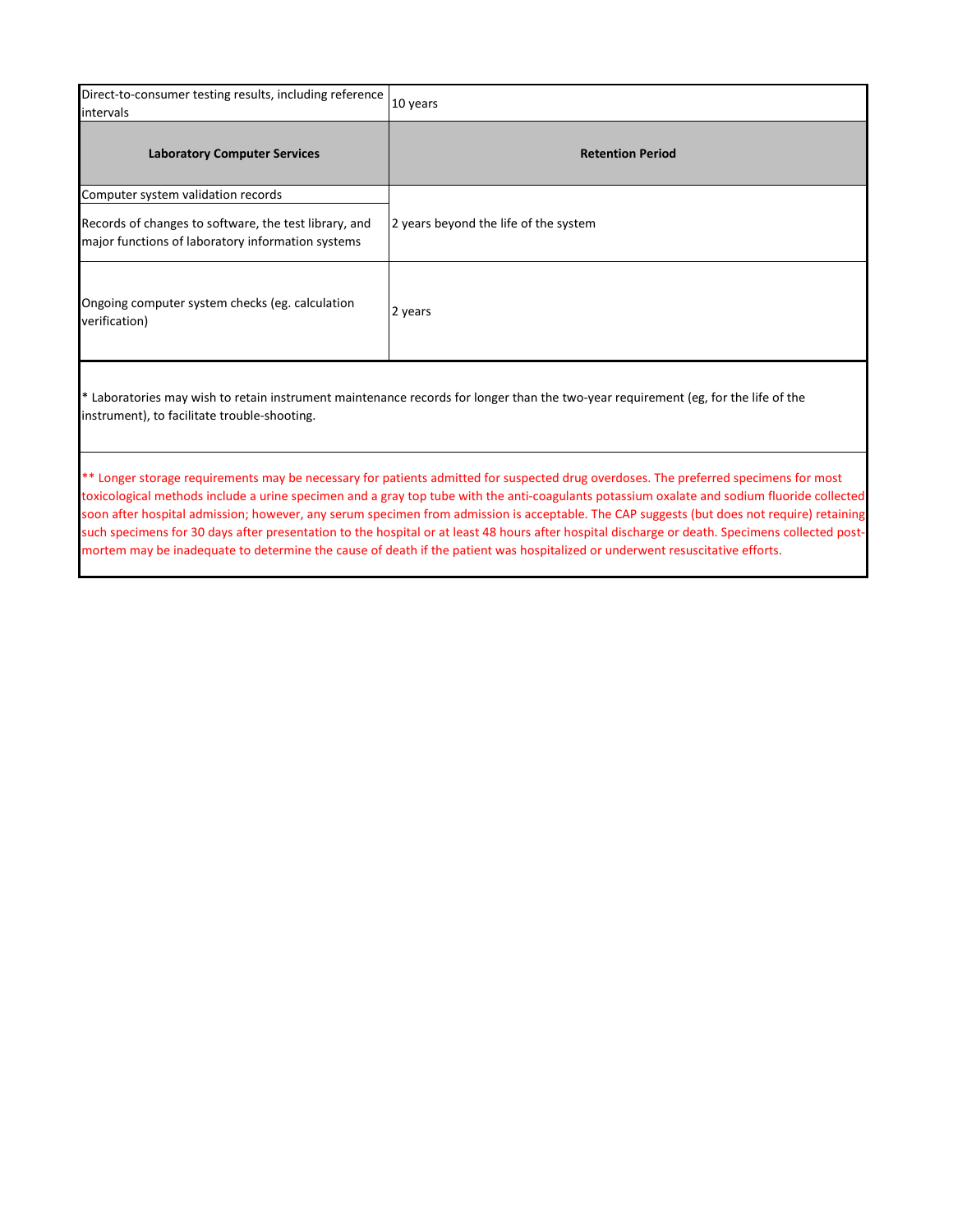| Direct-to-consumer testing results, including reference<br>intervals                                       | 10 years                              |  |  |
|------------------------------------------------------------------------------------------------------------|---------------------------------------|--|--|
| <b>Laboratory Computer Services</b>                                                                        | <b>Retention Period</b>               |  |  |
| Computer system validation records                                                                         |                                       |  |  |
| Records of changes to software, the test library, and<br>major functions of laboratory information systems | 2 years beyond the life of the system |  |  |
| Ongoing computer system checks (eg. calculation<br>verification)                                           | 2 years                               |  |  |

\* Laboratories may wish to retain instrument maintenance records for longer than the two-year requirement (eg, for the life of the instrument), to facilitate trouble-shooting.

\*\* Longer storage requirements may be necessary for patients admitted for suspected drug overdoses. The preferred specimens for most toxicological methods include a urine specimen and a gray top tube with the anti-coagulants potassium oxalate and sodium fluoride collected soon after hospital admission; however, any serum specimen from admission is acceptable. The CAP suggests (but does not require) retaining such specimens for 30 days after presentation to the hospital or at least 48 hours after hospital discharge or death. Specimens collected postmortem may be inadequate to determine the cause of death if the patient was hospitalized or underwent resuscitative efforts.